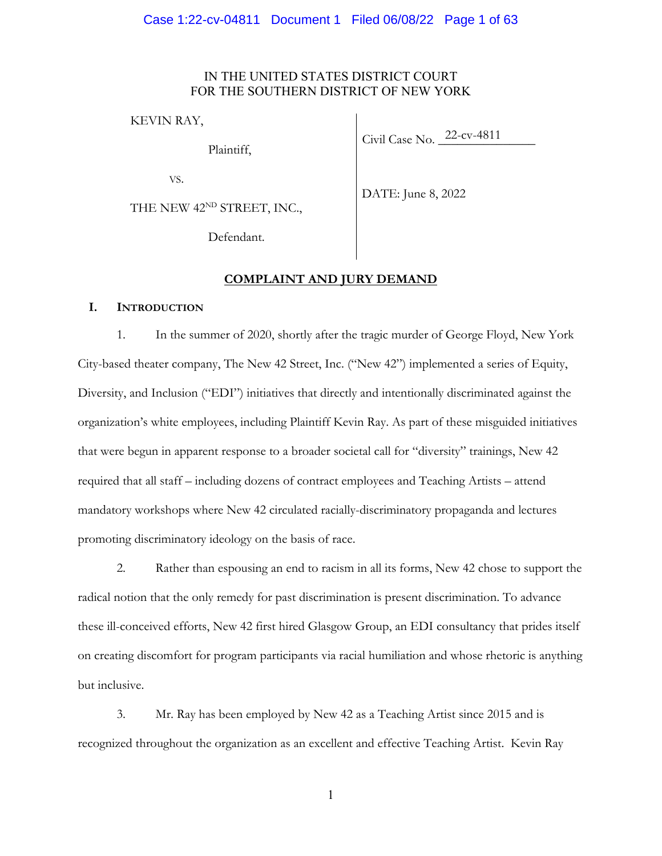#### IN THE UNITED STATES DISTRICT COURT FOR THE SOUTHERN DISTRICT OF NEW YORK

KEVIN RAY,

Plaintiff,

Civil Case No. 22-cv-4811

VS.

THE NEW 42<sup>ND</sup> STREET, INC.,

DATE: June 8, 2022

Defendant.

# **COMPLAINT AND JURY DEMAND**

#### **I. INTRODUCTION**

1. In the summer of 2020, shortly after the tragic murder of George Floyd, New York City-based theater company, The New 42 Street, Inc. ("New 42") implemented a series of Equity, Diversity, and Inclusion ("EDI") initiatives that directly and intentionally discriminated against the organization's white employees, including Plaintiff Kevin Ray. As part of these misguided initiatives that were begun in apparent response to a broader societal call for "diversity" trainings, New 42 required that all staff – including dozens of contract employees and Teaching Artists – attend mandatory workshops where New 42 circulated racially-discriminatory propaganda and lectures promoting discriminatory ideology on the basis of race.

2. Rather than espousing an end to racism in all its forms, New 42 chose to support the radical notion that the only remedy for past discrimination is present discrimination. To advance these ill-conceived efforts, New 42 first hired Glasgow Group, an EDI consultancy that prides itself on creating discomfort for program participants via racial humiliation and whose rhetoric is anything but inclusive.

3. Mr. Ray has been employed by New 42 as a Teaching Artist since 2015 and is recognized throughout the organization as an excellent and effective Teaching Artist. Kevin Ray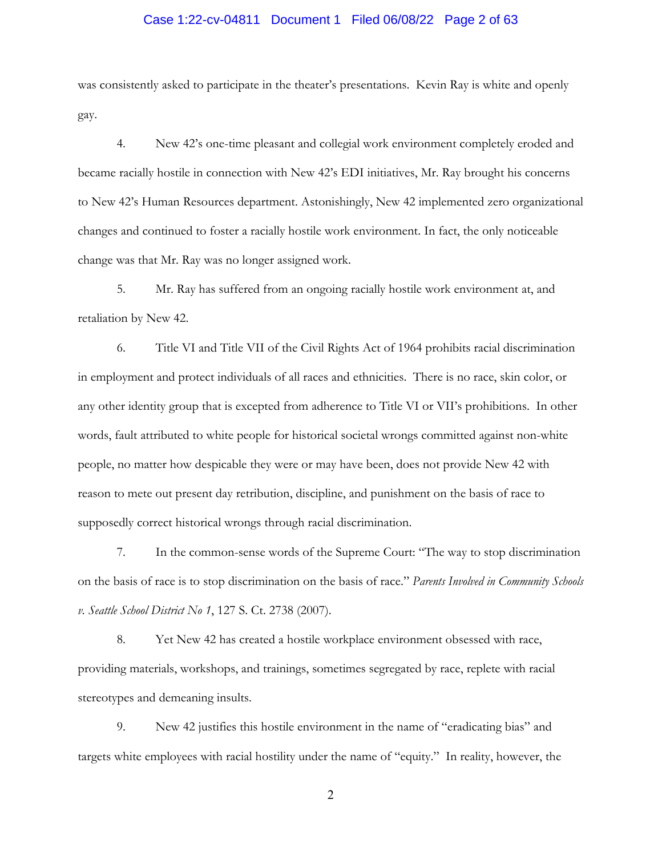# Case 1:22-cv-04811 Document 1 Filed 06/08/22 Page 2 of 63

was consistently asked to participate in the theater's presentations. Kevin Ray is white and openly gay.

4. New 42's one-time pleasant and collegial work environment completely eroded and became racially hostile in connection with New 42's EDI initiatives, Mr. Ray brought his concerns to New 42's Human Resources department. Astonishingly, New 42 implemented zero organizational changes and continued to foster a racially hostile work environment. In fact, the only noticeable change was that Mr. Ray was no longer assigned work.

5. Mr. Ray has suffered from an ongoing racially hostile work environment at, and retaliation by New 42.

6. Title VI and Title VII of the Civil Rights Act of 1964 prohibits racial discrimination in employment and protect individuals of all races and ethnicities. There is no race, skin color, or any other identity group that is excepted from adherence to Title VI or VII's prohibitions. In other words, fault attributed to white people for historical societal wrongs committed against non-white people, no matter how despicable they were or may have been, does not provide New 42 with reason to mete out present day retribution, discipline, and punishment on the basis of race to supposedly correct historical wrongs through racial discrimination.

7. In the common-sense words of the Supreme Court: "The way to stop discrimination on the basis of race is to stop discrimination on the basis of race." *Parents Involved in Community Schools v. Seattle School District No 1*, 127 S. Ct. 2738 (2007).

8. Yet New 42 has created a hostile workplace environment obsessed with race, providing materials, workshops, and trainings, sometimes segregated by race, replete with racial stereotypes and demeaning insults.

9. New 42 justifies this hostile environment in the name of "eradicating bias" and targets white employees with racial hostility under the name of "equity." In reality, however, the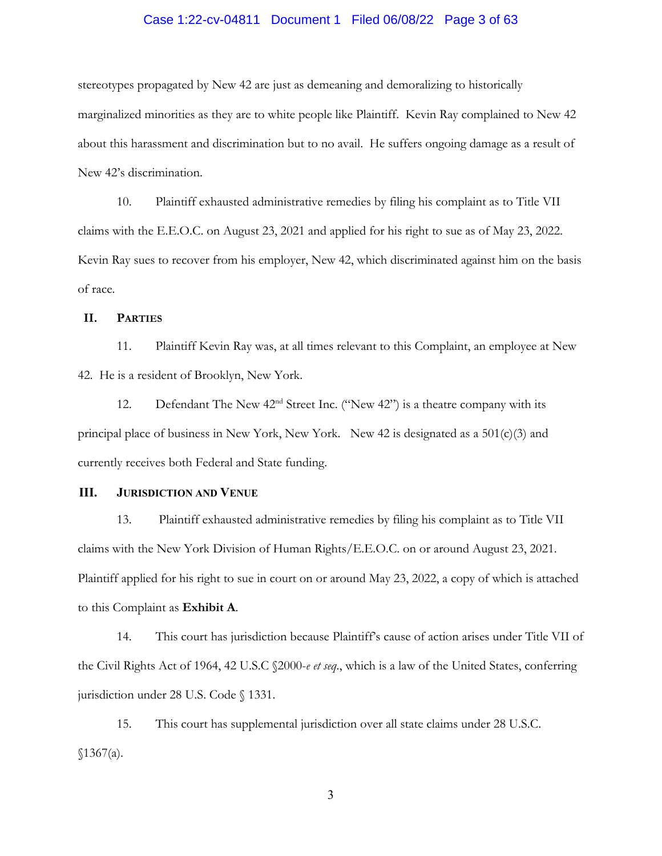# Case 1:22-cv-04811 Document 1 Filed 06/08/22 Page 3 of 63

stereotypes propagated by New 42 are just as demeaning and demoralizing to historically marginalized minorities as they are to white people like Plaintiff. Kevin Ray complained to New 42 about this harassment and discrimination but to no avail. He suffers ongoing damage as a result of New 42's discrimination.

10. Plaintiff exhausted administrative remedies by filing his complaint as to Title VII claims with the E.E.O.C. on August 23, 2021 and applied for his right to sue as of May 23, 2022. Kevin Ray sues to recover from his employer, New 42, which discriminated against him on the basis of race.

#### **II. PARTIES**

11. Plaintiff Kevin Ray was, at all times relevant to this Complaint, an employee at New 42. He is a resident of Brooklyn, New York.

12. Defendant The New  $42<sup>nd</sup>$  Street Inc. ("New  $42$ ") is a theatre company with its principal place of business in New York, New York. New 42 is designated as a 501(c)(3) and currently receives both Federal and State funding.

#### **III. JURISDICTION AND VENUE**

13. Plaintiff exhausted administrative remedies by filing his complaint as to Title VII claims with the New York Division of Human Rights/E.E.O.C. on or around August 23, 2021. Plaintiff applied for his right to sue in court on or around May 23, 2022, a copy of which is attached to this Complaint as **Exhibit A**.

14. This court has jurisdiction because Plaintiff's cause of action arises under Title VII of the Civil Rights Act of 1964, 42 U.S.C §2000-*e et seq*., which is a law of the United States, conferring jurisdiction under 28 U.S. Code § 1331.

15. This court has supplemental jurisdiction over all state claims under 28 U.S.C.  $$1367(a).$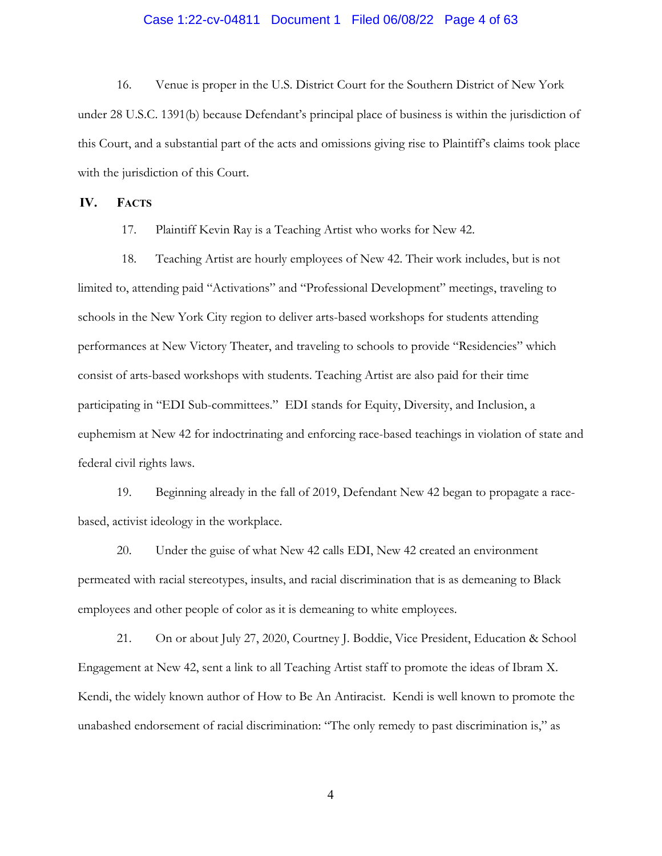# Case 1:22-cv-04811 Document 1 Filed 06/08/22 Page 4 of 63

16. Venue is proper in the U.S. District Court for the Southern District of New York under 28 U.S.C. 1391(b) because Defendant's principal place of business is within the jurisdiction of this Court, and a substantial part of the acts and omissions giving rise to Plaintiff's claims took place with the jurisdiction of this Court.

#### **IV. FACTS**

17. Plaintiff Kevin Ray is a Teaching Artist who works for New 42.

18. Teaching Artist are hourly employees of New 42. Their work includes, but is not limited to, attending paid "Activations" and "Professional Development" meetings, traveling to schools in the New York City region to deliver arts-based workshops for students attending performances at New Victory Theater, and traveling to schools to provide "Residencies" which consist of arts-based workshops with students. Teaching Artist are also paid for their time participating in "EDI Sub-committees." EDI stands for Equity, Diversity, and Inclusion, a euphemism at New 42 for indoctrinating and enforcing race-based teachings in violation of state and federal civil rights laws.

19. Beginning already in the fall of 2019, Defendant New 42 began to propagate a racebased, activist ideology in the workplace.

20. Under the guise of what New 42 calls EDI, New 42 created an environment permeated with racial stereotypes, insults, and racial discrimination that is as demeaning to Black employees and other people of color as it is demeaning to white employees.

21. On or about July 27, 2020, Courtney J. Boddie, Vice President, Education & School Engagement at New 42, sent a link to all Teaching Artist staff to promote the ideas of Ibram X. Kendi, the widely known author of How to Be An Antiracist. Kendi is well known to promote the unabashed endorsement of racial discrimination: "The only remedy to past discrimination is," as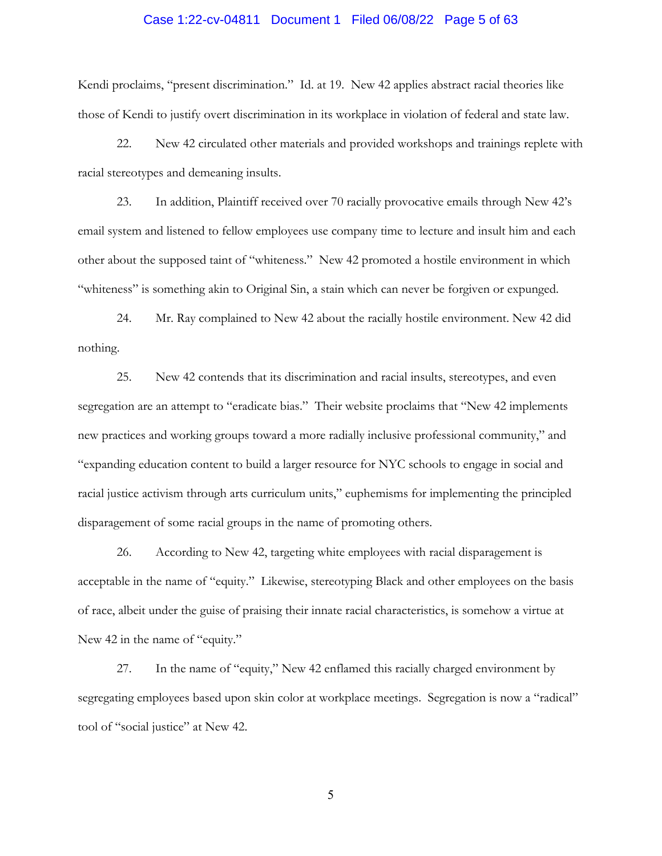# Case 1:22-cv-04811 Document 1 Filed 06/08/22 Page 5 of 63

Kendi proclaims, "present discrimination." Id. at 19. New 42 applies abstract racial theories like those of Kendi to justify overt discrimination in its workplace in violation of federal and state law.

22. New 42 circulated other materials and provided workshops and trainings replete with racial stereotypes and demeaning insults.

23. In addition, Plaintiff received over 70 racially provocative emails through New 42's email system and listened to fellow employees use company time to lecture and insult him and each other about the supposed taint of "whiteness." New 42 promoted a hostile environment in which "whiteness" is something akin to Original Sin, a stain which can never be forgiven or expunged.

24. Mr. Ray complained to New 42 about the racially hostile environment. New 42 did nothing.

25. New 42 contends that its discrimination and racial insults, stereotypes, and even segregation are an attempt to "eradicate bias." Their website proclaims that "New 42 implements new practices and working groups toward a more radially inclusive professional community," and "expanding education content to build a larger resource for NYC schools to engage in social and racial justice activism through arts curriculum units," euphemisms for implementing the principled disparagement of some racial groups in the name of promoting others.

26. According to New 42, targeting white employees with racial disparagement is acceptable in the name of "equity." Likewise, stereotyping Black and other employees on the basis of race, albeit under the guise of praising their innate racial characteristics, is somehow a virtue at New 42 in the name of "equity."

27. In the name of "equity," New 42 enflamed this racially charged environment by segregating employees based upon skin color at workplace meetings. Segregation is now a "radical" tool of "social justice" at New 42.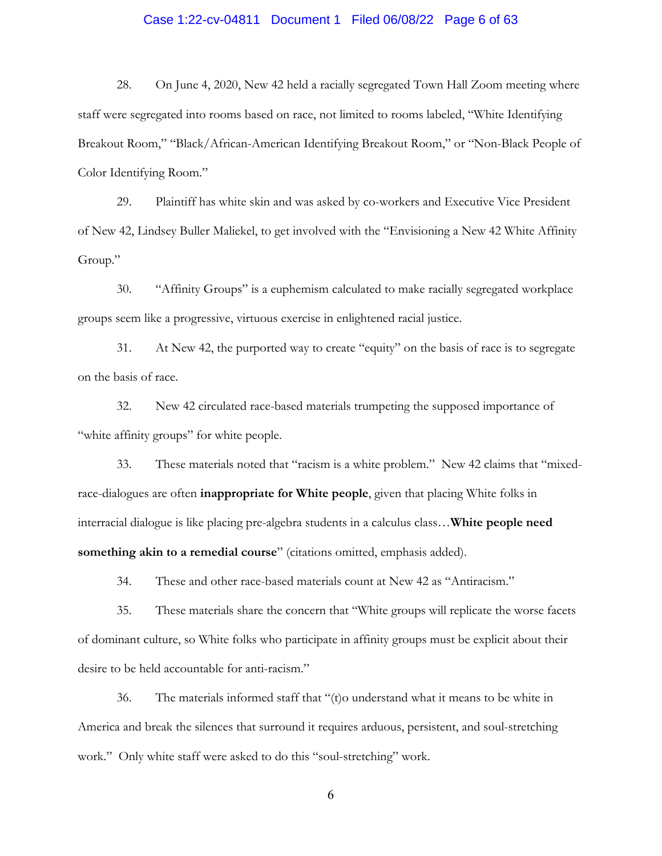# Case 1:22-cv-04811 Document 1 Filed 06/08/22 Page 6 of 63

28. On June 4, 2020, New 42 held a racially segregated Town Hall Zoom meeting where staff were segregated into rooms based on race, not limited to rooms labeled, "White Identifying Breakout Room," "Black/African-American Identifying Breakout Room," or "Non-Black People of Color Identifying Room."

29. Plaintiff has white skin and was asked by co-workers and Executive Vice President of New 42, Lindsey Buller Maliekel, to get involved with the "Envisioning a New 42 White Affinity Group."

30. "Affinity Groups" is a euphemism calculated to make racially segregated workplace groups seem like a progressive, virtuous exercise in enlightened racial justice.

31. At New 42, the purported way to create "equity" on the basis of race is to segregate on the basis of race.

32. New 42 circulated race-based materials trumpeting the supposed importance of "white affinity groups" for white people.

33. These materials noted that "racism is a white problem." New 42 claims that "mixedrace-dialogues are often **inappropriate for White people**, given that placing White folks in interracial dialogue is like placing pre-algebra students in a calculus class…**White people need something akin to a remedial course**" (citations omitted, emphasis added).

34. These and other race-based materials count at New 42 as "Antiracism."

35. These materials share the concern that "White groups will replicate the worse facets of dominant culture, so White folks who participate in affinity groups must be explicit about their desire to be held accountable for anti-racism."

36. The materials informed staff that "(t)o understand what it means to be white in America and break the silences that surround it requires arduous, persistent, and soul-stretching work." Only white staff were asked to do this "soul-stretching" work.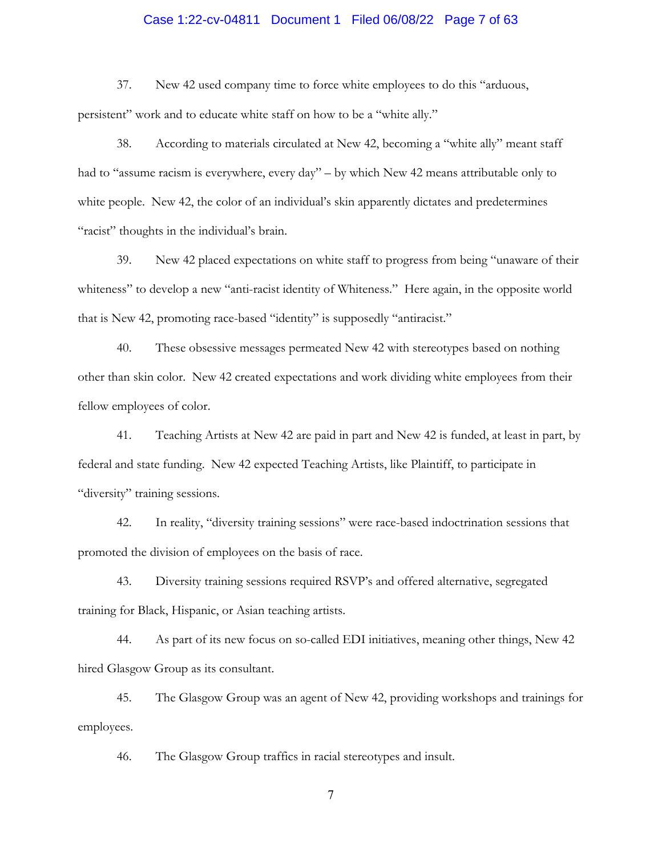#### Case 1:22-cv-04811 Document 1 Filed 06/08/22 Page 7 of 63

37. New 42 used company time to force white employees to do this "arduous, persistent" work and to educate white staff on how to be a "white ally."

38. According to materials circulated at New 42, becoming a "white ally" meant staff had to "assume racism is everywhere, every day" – by which New 42 means attributable only to white people. New 42, the color of an individual's skin apparently dictates and predetermines "racist" thoughts in the individual's brain.

39. New 42 placed expectations on white staff to progress from being "unaware of their whiteness" to develop a new "anti-racist identity of Whiteness." Here again, in the opposite world that is New 42, promoting race-based "identity" is supposedly "antiracist."

40. These obsessive messages permeated New 42 with stereotypes based on nothing other than skin color. New 42 created expectations and work dividing white employees from their fellow employees of color.

41. Teaching Artists at New 42 are paid in part and New 42 is funded, at least in part, by federal and state funding. New 42 expected Teaching Artists, like Plaintiff, to participate in "diversity" training sessions.

42. In reality, "diversity training sessions" were race-based indoctrination sessions that promoted the division of employees on the basis of race.

43. Diversity training sessions required RSVP's and offered alternative, segregated training for Black, Hispanic, or Asian teaching artists.

44. As part of its new focus on so-called EDI initiatives, meaning other things, New 42 hired Glasgow Group as its consultant.

45. The Glasgow Group was an agent of New 42, providing workshops and trainings for employees.

46. The Glasgow Group traffics in racial stereotypes and insult.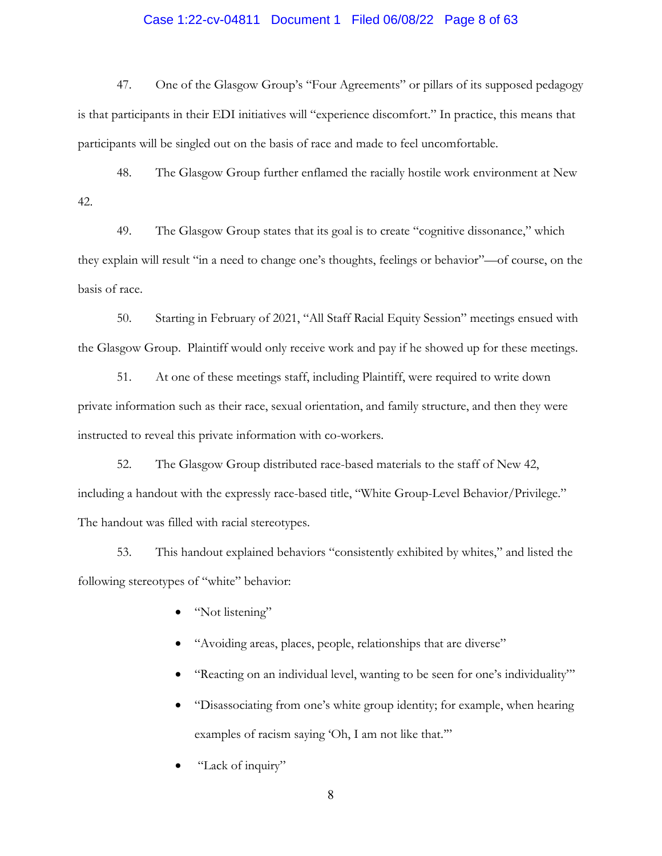# Case 1:22-cv-04811 Document 1 Filed 06/08/22 Page 8 of 63

47. One of the Glasgow Group's "Four Agreements" or pillars of its supposed pedagogy is that participants in their EDI initiatives will "experience discomfort." In practice, this means that participants will be singled out on the basis of race and made to feel uncomfortable.

48. The Glasgow Group further enflamed the racially hostile work environment at New 42.

49. The Glasgow Group states that its goal is to create "cognitive dissonance," which they explain will result "in a need to change one's thoughts, feelings or behavior"—of course, on the basis of race.

50. Starting in February of 2021, "All Staff Racial Equity Session" meetings ensued with the Glasgow Group. Plaintiff would only receive work and pay if he showed up for these meetings.

51. At one of these meetings staff, including Plaintiff, were required to write down private information such as their race, sexual orientation, and family structure, and then they were instructed to reveal this private information with co-workers.

52. The Glasgow Group distributed race-based materials to the staff of New 42, including a handout with the expressly race-based title, "White Group-Level Behavior/Privilege." The handout was filled with racial stereotypes.

53. This handout explained behaviors "consistently exhibited by whites," and listed the following stereotypes of "white" behavior:

- "Not listening"
- "Avoiding areas, places, people, relationships that are diverse"
- "Reacting on an individual level, wanting to be seen for one's individuality"'
- "Disassociating from one's white group identity; for example, when hearing examples of racism saying 'Oh, I am not like that."
- "Lack of inquiry"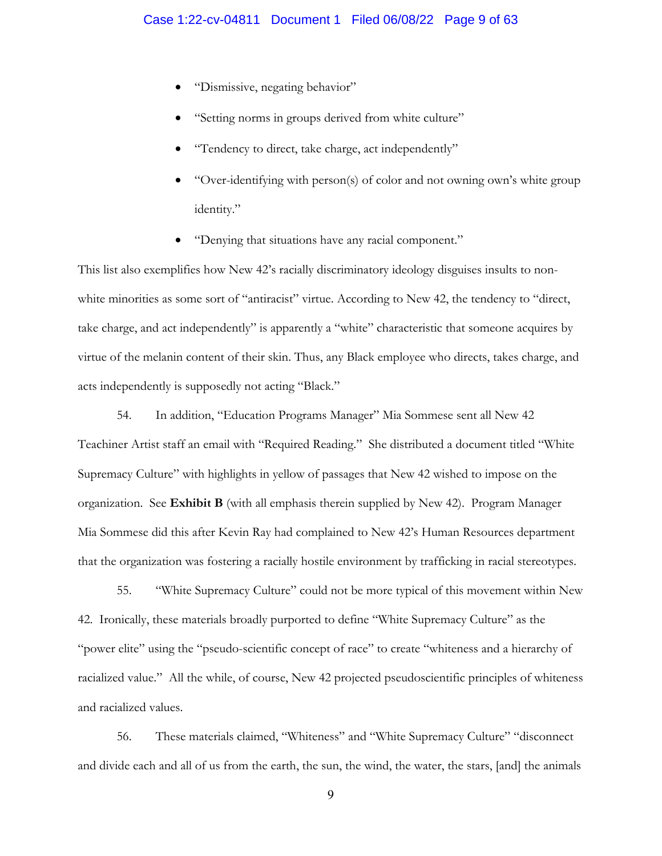- "Dismissive, negating behavior"
- "Setting norms in groups derived from white culture"
- "Tendency to direct, take charge, act independently"
- "Over-identifying with person(s) of color and not owning own's white group identity."
- "Denying that situations have any racial component."

This list also exemplifies how New 42's racially discriminatory ideology disguises insults to nonwhite minorities as some sort of "antiracist" virtue. According to New 42, the tendency to "direct, take charge, and act independently" is apparently a "white" characteristic that someone acquires by virtue of the melanin content of their skin. Thus, any Black employee who directs, takes charge, and acts independently is supposedly not acting "Black."

54. In addition, "Education Programs Manager" Mia Sommese sent all New 42 Teachiner Artist staff an email with "Required Reading." She distributed a document titled "White Supremacy Culture" with highlights in yellow of passages that New 42 wished to impose on the organization. See **Exhibit B** (with all emphasis therein supplied by New 42). Program Manager Mia Sommese did this after Kevin Ray had complained to New 42's Human Resources department that the organization was fostering a racially hostile environment by trafficking in racial stereotypes.

55. "White Supremacy Culture" could not be more typical of this movement within New 42. Ironically, these materials broadly purported to define "White Supremacy Culture" as the "power elite" using the "pseudo-scientific concept of race" to create "whiteness and a hierarchy of racialized value." All the while, of course, New 42 projected pseudoscientific principles of whiteness and racialized values.

56. These materials claimed, "Whiteness" and "White Supremacy Culture" "disconnect and divide each and all of us from the earth, the sun, the wind, the water, the stars, [and] the animals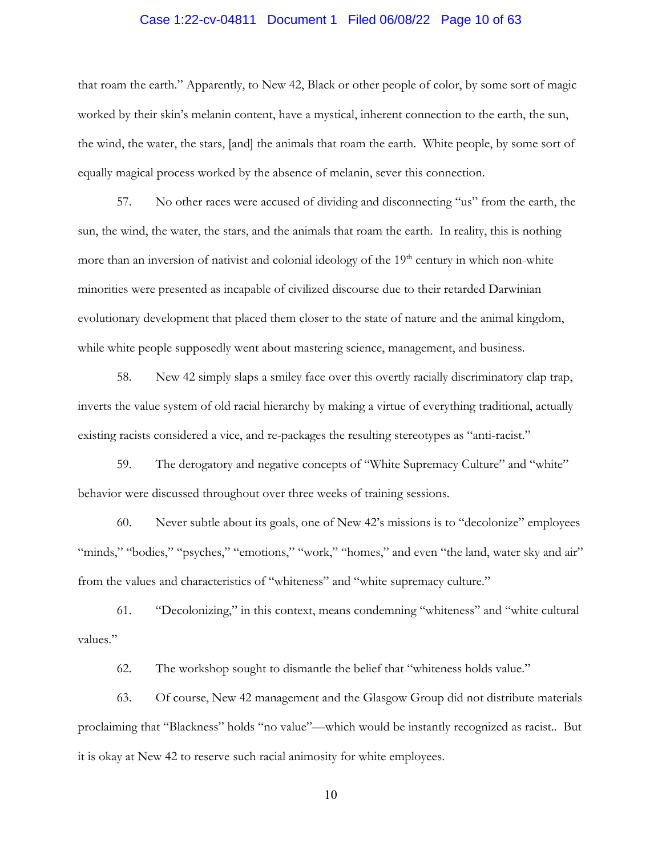#### Case 1:22-cv-04811 Document 1 Filed 06/08/22 Page 10 of 63

that roam the earth." Apparently, to New 42, Black or other people of color, by some sort of magic worked by their skin's melanin content, have a mystical, inherent connection to the earth, the sun, the wind, the water, the stars, [and] the animals that roam the earth. White people, by some sort of equally magical process worked by the absence of melanin, sever this connection.

57. No other races were accused of dividing and disconnecting "us" from the earth, the sun, the wind, the water, the stars, and the animals that roam the earth. In reality, this is nothing more than an inversion of nativist and colonial ideology of the  $19<sup>th</sup>$  century in which non-white minorities were presented as incapable of civilized discourse due to their retarded Darwinian evolutionary development that placed them closer to the state of nature and the animal kingdom, while white people supposedly went about mastering science, management, and business.

58. New 42 simply slaps a smiley face over this overtly racially discriminatory clap trap, inverts the value system of old racial hierarchy by making a virtue of everything traditional, actually existing racists considered a vice, and re-packages the resulting stereotypes as "anti-racist."

59. The derogatory and negative concepts of "White Supremacy Culture" and "white" behavior were discussed throughout over three weeks of training sessions.

60. Never subtle about its goals, one of New 42's missions is to "decolonize" employees "minds," "bodies," "psyches," "emotions," "work," "homes," and even "the land, water sky and air" from the values and characteristics of "whiteness" and "white supremacy culture."

61. "Decolonizing," in this context, means condemning "whiteness" and "white cultural values."

62. The workshop sought to dismantle the belief that "whiteness holds value."

63. Of course, New 42 management and the Glasgow Group did not distribute materials proclaiming that "Blackness" holds "no value"—which would be instantly recognized as racist.. But it is okay at New 42 to reserve such racial animosity for white employees.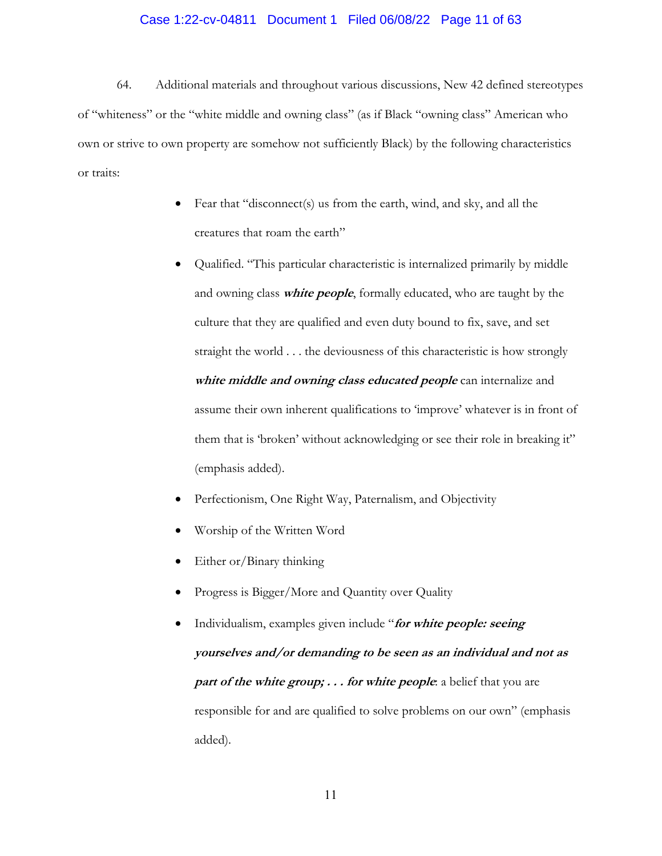#### Case 1:22-cv-04811 Document 1 Filed 06/08/22 Page 11 of 63

64. Additional materials and throughout various discussions, New 42 defined stereotypes of "whiteness" or the "white middle and owning class" (as if Black "owning class" American who own or strive to own property are somehow not sufficiently Black) by the following characteristics or traits:

- Fear that "disconnect(s) us from the earth, wind, and sky, and all the creatures that roam the earth"
- Qualified. "This particular characteristic is internalized primarily by middle and owning class **white people**, formally educated, who are taught by the culture that they are qualified and even duty bound to fix, save, and set straight the world . . . the deviousness of this characteristic is how strongly **white middle and owning class educated people** can internalize and assume their own inherent qualifications to 'improve' whatever is in front of them that is 'broken' without acknowledging or see their role in breaking it" (emphasis added).
- Perfectionism, One Right Way, Paternalism, and Objectivity
- Worship of the Written Word
- Either or/Binary thinking
- Progress is Bigger/More and Quantity over Quality
- Individualism, examples given include "**for white people: seeing yourselves and/or demanding to be seen as an individual and not as**  *part of the white group; . . . for white people: a belief that you are* responsible for and are qualified to solve problems on our own" (emphasis added).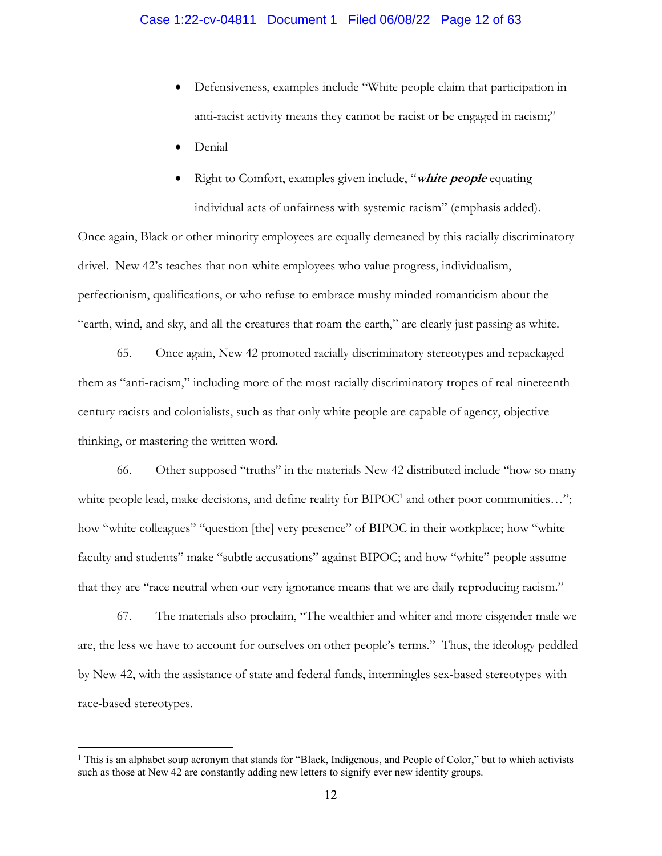- Defensiveness, examples include "White people claim that participation in anti-racist activity means they cannot be racist or be engaged in racism;"
- Denial
- Right to Comfort, examples given include, "**white people** equating individual acts of unfairness with systemic racism" (emphasis added).

Once again, Black or other minority employees are equally demeaned by this racially discriminatory drivel. New 42's teaches that non-white employees who value progress, individualism, perfectionism, qualifications, or who refuse to embrace mushy minded romanticism about the "earth, wind, and sky, and all the creatures that roam the earth," are clearly just passing as white.

65. Once again, New 42 promoted racially discriminatory stereotypes and repackaged them as "anti-racism," including more of the most racially discriminatory tropes of real nineteenth century racists and colonialists, such as that only white people are capable of agency, objective thinking, or mastering the written word.

66. Other supposed "truths" in the materials New 42 distributed include "how so many white people lead, make decisions, and define reality for  $BIDOC<sup>1</sup>$  and other poor communities..."; how "white colleagues" "question [the] very presence" of BIPOC in their workplace; how "white faculty and students" make "subtle accusations" against BIPOC; and how "white" people assume that they are "race neutral when our very ignorance means that we are daily reproducing racism."

67. The materials also proclaim, "The wealthier and whiter and more cisgender male we are, the less we have to account for ourselves on other people's terms." Thus, the ideology peddled by New 42, with the assistance of state and federal funds, intermingles sex-based stereotypes with race-based stereotypes.

<sup>&</sup>lt;sup>1</sup> This is an alphabet soup acronym that stands for "Black, Indigenous, and People of Color," but to which activists such as those at New 42 are constantly adding new letters to signify ever new identity groups.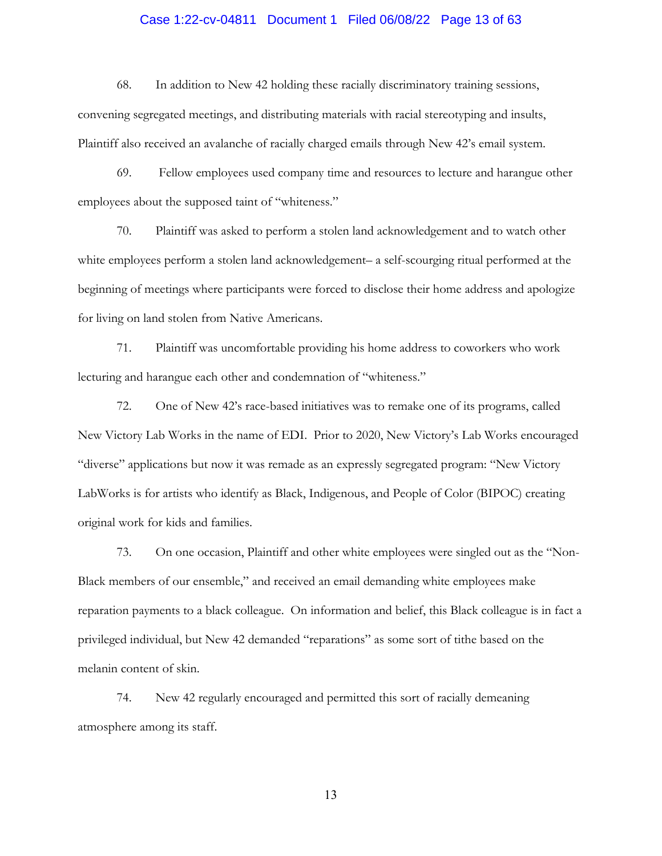# Case 1:22-cv-04811 Document 1 Filed 06/08/22 Page 13 of 63

68. In addition to New 42 holding these racially discriminatory training sessions, convening segregated meetings, and distributing materials with racial stereotyping and insults, Plaintiff also received an avalanche of racially charged emails through New 42's email system.

69. Fellow employees used company time and resources to lecture and harangue other employees about the supposed taint of "whiteness."

70. Plaintiff was asked to perform a stolen land acknowledgement and to watch other white employees perform a stolen land acknowledgement– a self-scourging ritual performed at the beginning of meetings where participants were forced to disclose their home address and apologize for living on land stolen from Native Americans.

71. Plaintiff was uncomfortable providing his home address to coworkers who work lecturing and harangue each other and condemnation of "whiteness."

72. One of New 42's race-based initiatives was to remake one of its programs, called New Victory Lab Works in the name of EDI. Prior to 2020, New Victory's Lab Works encouraged "diverse" applications but now it was remade as an expressly segregated program: "New Victory LabWorks is for artists who identify as Black, Indigenous, and People of Color (BIPOC) creating original work for kids and families.

73. On one occasion, Plaintiff and other white employees were singled out as the "Non-Black members of our ensemble," and received an email demanding white employees make reparation payments to a black colleague. On information and belief, this Black colleague is in fact a privileged individual, but New 42 demanded "reparations" as some sort of tithe based on the melanin content of skin.

74. New 42 regularly encouraged and permitted this sort of racially demeaning atmosphere among its staff.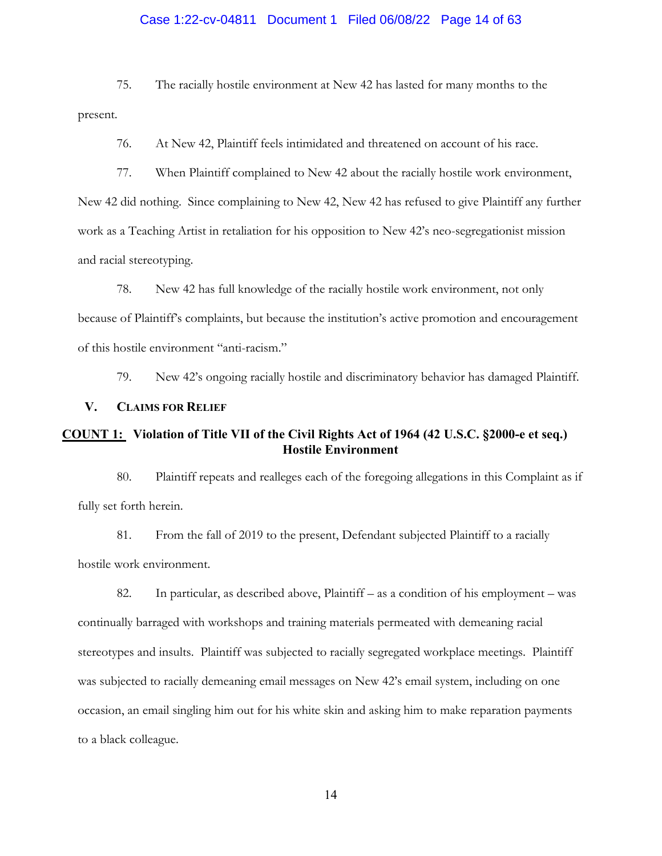#### Case 1:22-cv-04811 Document 1 Filed 06/08/22 Page 14 of 63

75. The racially hostile environment at New 42 has lasted for many months to the present.

76. At New 42, Plaintiff feels intimidated and threatened on account of his race.

77. When Plaintiff complained to New 42 about the racially hostile work environment, New 42 did nothing. Since complaining to New 42, New 42 has refused to give Plaintiff any further work as a Teaching Artist in retaliation for his opposition to New 42's neo-segregationist mission and racial stereotyping.

78. New 42 has full knowledge of the racially hostile work environment, not only because of Plaintiff's complaints, but because the institution's active promotion and encouragement of this hostile environment "anti-racism."

79. New 42's ongoing racially hostile and discriminatory behavior has damaged Plaintiff.

#### **V. CLAIMS FOR RELIEF**

# **COUNT 1: Violation of Title VII of the Civil Rights Act of 1964 (42 U.S.C. §2000-e et seq.) Hostile Environment**

80. Plaintiff repeats and realleges each of the foregoing allegations in this Complaint as if fully set forth herein.

81. From the fall of 2019 to the present, Defendant subjected Plaintiff to a racially hostile work environment.

82. In particular, as described above, Plaintiff – as a condition of his employment – was continually barraged with workshops and training materials permeated with demeaning racial stereotypes and insults. Plaintiff was subjected to racially segregated workplace meetings. Plaintiff was subjected to racially demeaning email messages on New 42's email system, including on one occasion, an email singling him out for his white skin and asking him to make reparation payments to a black colleague.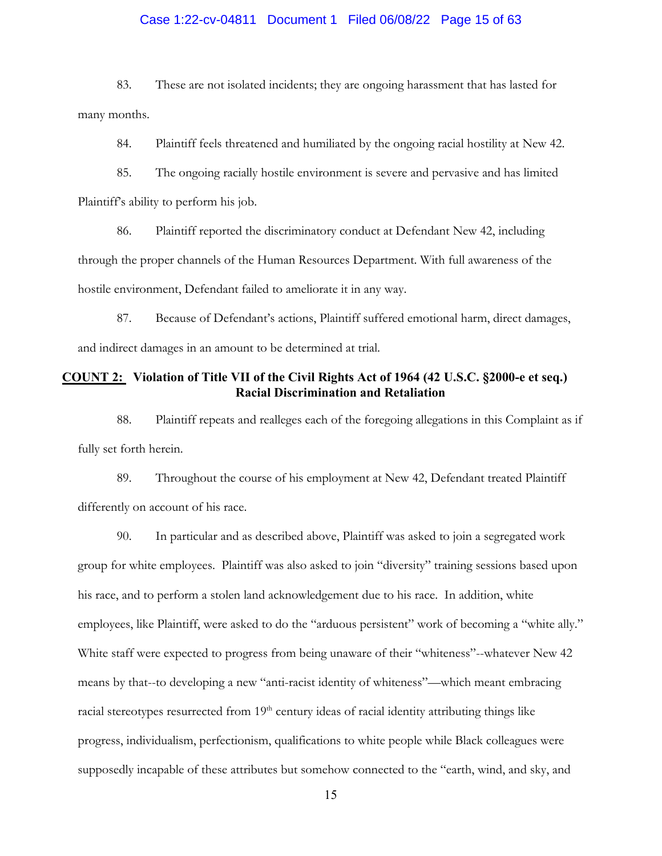#### Case 1:22-cv-04811 Document 1 Filed 06/08/22 Page 15 of 63

83. These are not isolated incidents; they are ongoing harassment that has lasted for many months.

84. Plaintiff feels threatened and humiliated by the ongoing racial hostility at New 42.

85. The ongoing racially hostile environment is severe and pervasive and has limited Plaintiff's ability to perform his job.

86. Plaintiff reported the discriminatory conduct at Defendant New 42, including through the proper channels of the Human Resources Department. With full awareness of the hostile environment, Defendant failed to ameliorate it in any way.

87. Because of Defendant's actions, Plaintiff suffered emotional harm, direct damages, and indirect damages in an amount to be determined at trial.

#### **COUNT 2: Violation of Title VII of the Civil Rights Act of 1964 (42 U.S.C. §2000-e et seq.) Racial Discrimination and Retaliation**

88. Plaintiff repeats and realleges each of the foregoing allegations in this Complaint as if fully set forth herein.

89. Throughout the course of his employment at New 42, Defendant treated Plaintiff differently on account of his race.

90. In particular and as described above, Plaintiff was asked to join a segregated work group for white employees. Plaintiff was also asked to join "diversity" training sessions based upon his race, and to perform a stolen land acknowledgement due to his race. In addition, white employees, like Plaintiff, were asked to do the "arduous persistent" work of becoming a "white ally." White staff were expected to progress from being unaware of their "whiteness"--whatever New 42 means by that--to developing a new "anti-racist identity of whiteness"—which meant embracing racial stereotypes resurrected from 19<sup>th</sup> century ideas of racial identity attributing things like progress, individualism, perfectionism, qualifications to white people while Black colleagues were supposedly incapable of these attributes but somehow connected to the "earth, wind, and sky, and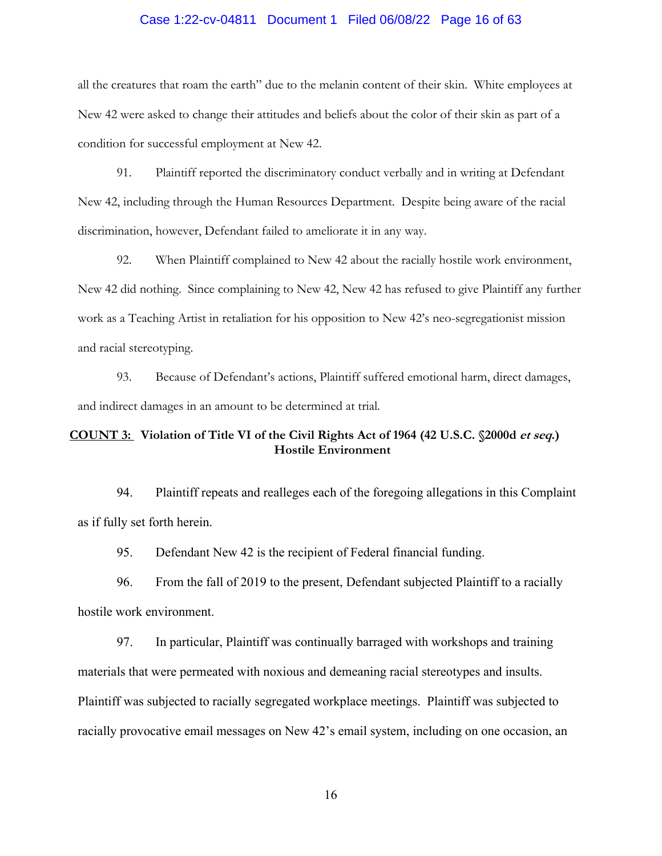#### Case 1:22-cv-04811 Document 1 Filed 06/08/22 Page 16 of 63

all the creatures that roam the earth" due to the melanin content of their skin. White employees at New 42 were asked to change their attitudes and beliefs about the color of their skin as part of a condition for successful employment at New 42.

91. Plaintiff reported the discriminatory conduct verbally and in writing at Defendant New 42, including through the Human Resources Department. Despite being aware of the racial discrimination, however, Defendant failed to ameliorate it in any way.

92. When Plaintiff complained to New 42 about the racially hostile work environment, New 42 did nothing. Since complaining to New 42, New 42 has refused to give Plaintiff any further work as a Teaching Artist in retaliation for his opposition to New 42's neo-segregationist mission and racial stereotyping.

93. Because of Defendant's actions, Plaintiff suffered emotional harm, direct damages, and indirect damages in an amount to be determined at trial.

# **COUNT 3: Violation of Title VI of the Civil Rights Act of 1964 (42 U.S.C. §2000d et seq.) Hostile Environment**

94. Plaintiff repeats and realleges each of the foregoing allegations in this Complaint as if fully set forth herein.

95. Defendant New 42 is the recipient of Federal financial funding.

96. From the fall of 2019 to the present, Defendant subjected Plaintiff to a racially hostile work environment.

97. In particular, Plaintiff was continually barraged with workshops and training materials that were permeated with noxious and demeaning racial stereotypes and insults. Plaintiff was subjected to racially segregated workplace meetings. Plaintiff was subjected to racially provocative email messages on New 42's email system, including on one occasion, an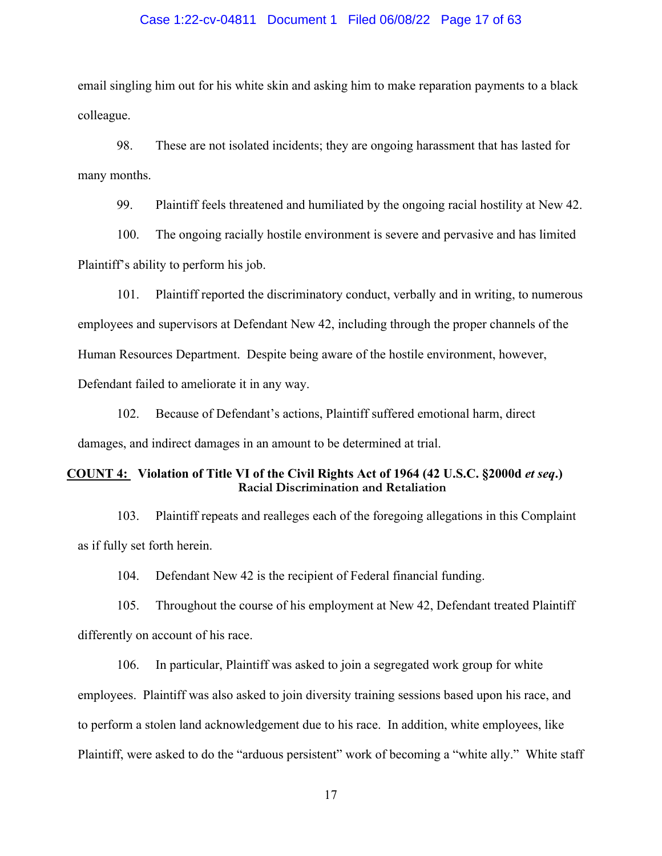#### Case 1:22-cv-04811 Document 1 Filed 06/08/22 Page 17 of 63

email singling him out for his white skin and asking him to make reparation payments to a black colleague.

98. These are not isolated incidents; they are ongoing harassment that has lasted for many months.

99. Plaintiff feels threatened and humiliated by the ongoing racial hostility at New 42.

100. The ongoing racially hostile environment is severe and pervasive and has limited Plaintiff's ability to perform his job.

101. Plaintiff reported the discriminatory conduct, verbally and in writing, to numerous employees and supervisors at Defendant New 42, including through the proper channels of the Human Resources Department. Despite being aware of the hostile environment, however, Defendant failed to ameliorate it in any way.

102. Because of Defendant's actions, Plaintiff suffered emotional harm, direct damages, and indirect damages in an amount to be determined at trial.

#### **COUNT 4: Violation of Title VI of the Civil Rights Act of 1964 (42 U.S.C. §2000d** *et seq***.) Racial Discrimination and Retaliation**

103. Plaintiff repeats and realleges each of the foregoing allegations in this Complaint as if fully set forth herein.

104. Defendant New 42 is the recipient of Federal financial funding.

105. Throughout the course of his employment at New 42, Defendant treated Plaintiff differently on account of his race.

106. In particular, Plaintiff was asked to join a segregated work group for white employees. Plaintiff was also asked to join diversity training sessions based upon his race, and to perform a stolen land acknowledgement due to his race. In addition, white employees, like Plaintiff, were asked to do the "arduous persistent" work of becoming a "white ally." White staff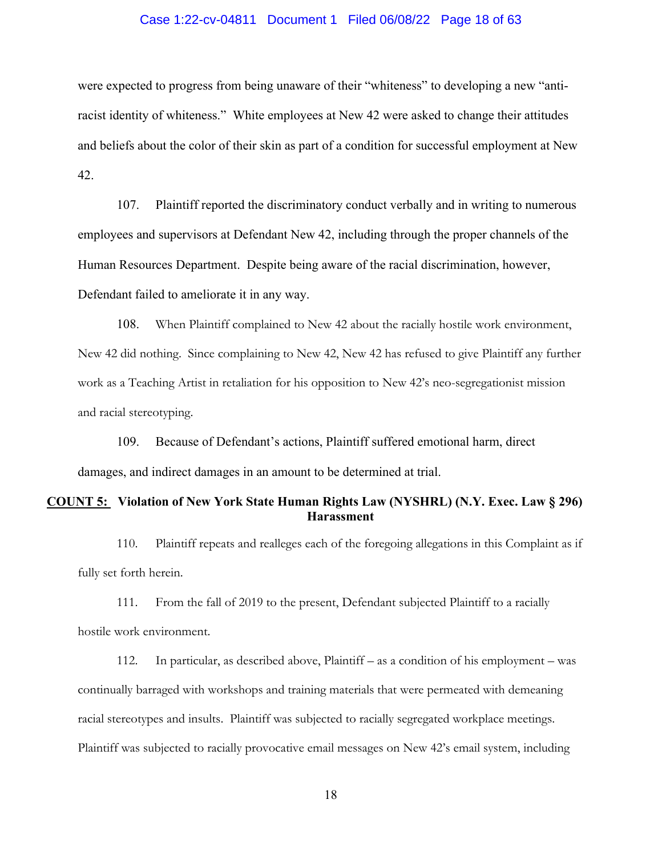#### Case 1:22-cv-04811 Document 1 Filed 06/08/22 Page 18 of 63

were expected to progress from being unaware of their "whiteness" to developing a new "antiracist identity of whiteness." White employees at New 42 were asked to change their attitudes and beliefs about the color of their skin as part of a condition for successful employment at New 42.

107. Plaintiff reported the discriminatory conduct verbally and in writing to numerous employees and supervisors at Defendant New 42, including through the proper channels of the Human Resources Department. Despite being aware of the racial discrimination, however, Defendant failed to ameliorate it in any way.

108. When Plaintiff complained to New 42 about the racially hostile work environment, New 42 did nothing. Since complaining to New 42, New 42 has refused to give Plaintiff any further work as a Teaching Artist in retaliation for his opposition to New 42's neo-segregationist mission and racial stereotyping.

109. Because of Defendant's actions, Plaintiff suffered emotional harm, direct damages, and indirect damages in an amount to be determined at trial.

#### **COUNT 5: Violation of New York State Human Rights Law (NYSHRL) (N.Y. Exec. Law § 296) Harassment**

110. Plaintiff repeats and realleges each of the foregoing allegations in this Complaint as if fully set forth herein.

111. From the fall of 2019 to the present, Defendant subjected Plaintiff to a racially hostile work environment.

112. In particular, as described above, Plaintiff – as a condition of his employment – was continually barraged with workshops and training materials that were permeated with demeaning racial stereotypes and insults. Plaintiff was subjected to racially segregated workplace meetings. Plaintiff was subjected to racially provocative email messages on New 42's email system, including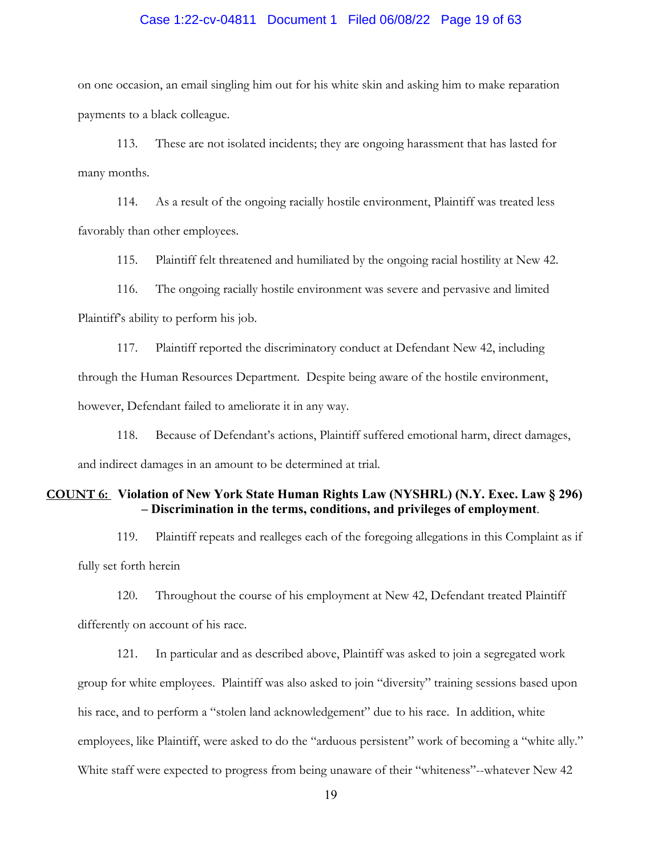#### Case 1:22-cv-04811 Document 1 Filed 06/08/22 Page 19 of 63

on one occasion, an email singling him out for his white skin and asking him to make reparation payments to a black colleague.

113. These are not isolated incidents; they are ongoing harassment that has lasted for many months.

114. As a result of the ongoing racially hostile environment, Plaintiff was treated less favorably than other employees.

115. Plaintiff felt threatened and humiliated by the ongoing racial hostility at New 42.

116. The ongoing racially hostile environment was severe and pervasive and limited Plaintiff's ability to perform his job.

117. Plaintiff reported the discriminatory conduct at Defendant New 42, including through the Human Resources Department. Despite being aware of the hostile environment, however, Defendant failed to ameliorate it in any way.

118. Because of Defendant's actions, Plaintiff suffered emotional harm, direct damages, and indirect damages in an amount to be determined at trial.

#### **COUNT 6: Violation of New York State Human Rights Law (NYSHRL) (N.Y. Exec. Law § 296) – Discrimination in the terms, conditions, and privileges of employment**.

119. Plaintiff repeats and realleges each of the foregoing allegations in this Complaint as if fully set forth herein

120. Throughout the course of his employment at New 42, Defendant treated Plaintiff differently on account of his race.

121. In particular and as described above, Plaintiff was asked to join a segregated work group for white employees. Plaintiff was also asked to join "diversity" training sessions based upon his race, and to perform a "stolen land acknowledgement" due to his race. In addition, white employees, like Plaintiff, were asked to do the "arduous persistent" work of becoming a "white ally." White staff were expected to progress from being unaware of their "whiteness"--whatever New 42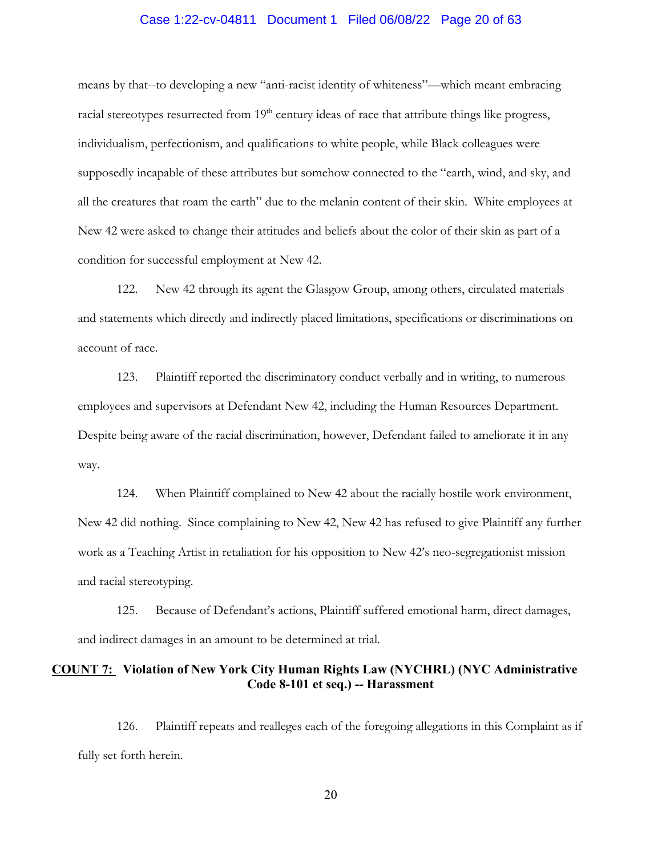#### Case 1:22-cv-04811 Document 1 Filed 06/08/22 Page 20 of 63

means by that--to developing a new "anti-racist identity of whiteness"—which meant embracing racial stereotypes resurrected from 19<sup>th</sup> century ideas of race that attribute things like progress, individualism, perfectionism, and qualifications to white people, while Black colleagues were supposedly incapable of these attributes but somehow connected to the "earth, wind, and sky, and all the creatures that roam the earth" due to the melanin content of their skin. White employees at New 42 were asked to change their attitudes and beliefs about the color of their skin as part of a condition for successful employment at New 42.

122. New 42 through its agent the Glasgow Group, among others, circulated materials and statements which directly and indirectly placed limitations, specifications or discriminations on account of race.

123. Plaintiff reported the discriminatory conduct verbally and in writing, to numerous employees and supervisors at Defendant New 42, including the Human Resources Department. Despite being aware of the racial discrimination, however, Defendant failed to ameliorate it in any way.

124. When Plaintiff complained to New 42 about the racially hostile work environment, New 42 did nothing. Since complaining to New 42, New 42 has refused to give Plaintiff any further work as a Teaching Artist in retaliation for his opposition to New 42's neo-segregationist mission and racial stereotyping.

125. Because of Defendant's actions, Plaintiff suffered emotional harm, direct damages, and indirect damages in an amount to be determined at trial.

#### **COUNT 7: Violation of New York City Human Rights Law (NYCHRL) (NYC Administrative Code 8-101 et seq.) -- Harassment**

126. Plaintiff repeats and realleges each of the foregoing allegations in this Complaint as if fully set forth herein.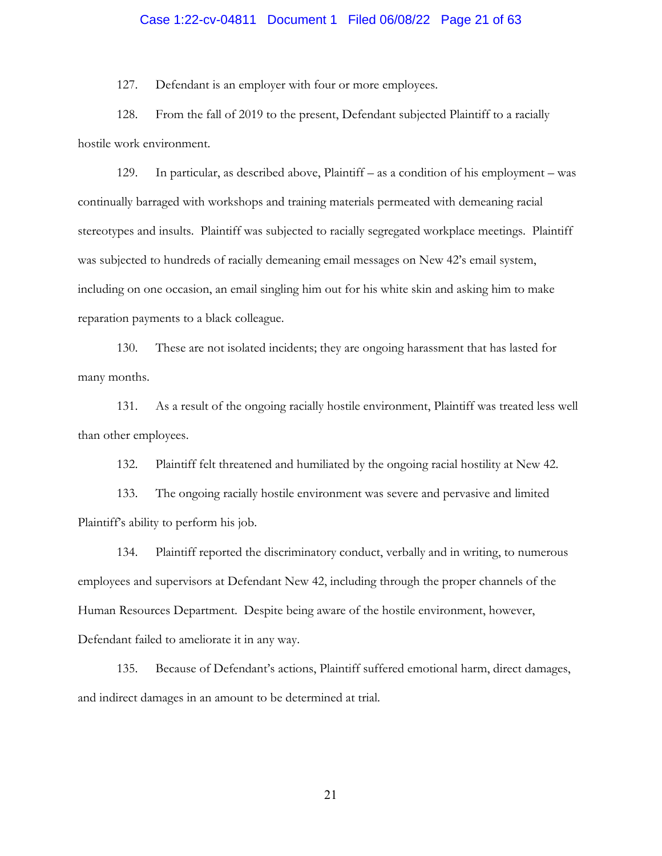# Case 1:22-cv-04811 Document 1 Filed 06/08/22 Page 21 of 63

127. Defendant is an employer with four or more employees.

128. From the fall of 2019 to the present, Defendant subjected Plaintiff to a racially hostile work environment.

129. In particular, as described above, Plaintiff – as a condition of his employment – was continually barraged with workshops and training materials permeated with demeaning racial stereotypes and insults. Plaintiff was subjected to racially segregated workplace meetings. Plaintiff was subjected to hundreds of racially demeaning email messages on New 42's email system, including on one occasion, an email singling him out for his white skin and asking him to make reparation payments to a black colleague.

130. These are not isolated incidents; they are ongoing harassment that has lasted for many months.

131. As a result of the ongoing racially hostile environment, Plaintiff was treated less well than other employees.

132. Plaintiff felt threatened and humiliated by the ongoing racial hostility at New 42.

133. The ongoing racially hostile environment was severe and pervasive and limited Plaintiff's ability to perform his job.

134. Plaintiff reported the discriminatory conduct, verbally and in writing, to numerous employees and supervisors at Defendant New 42, including through the proper channels of the Human Resources Department. Despite being aware of the hostile environment, however, Defendant failed to ameliorate it in any way.

135. Because of Defendant's actions, Plaintiff suffered emotional harm, direct damages, and indirect damages in an amount to be determined at trial.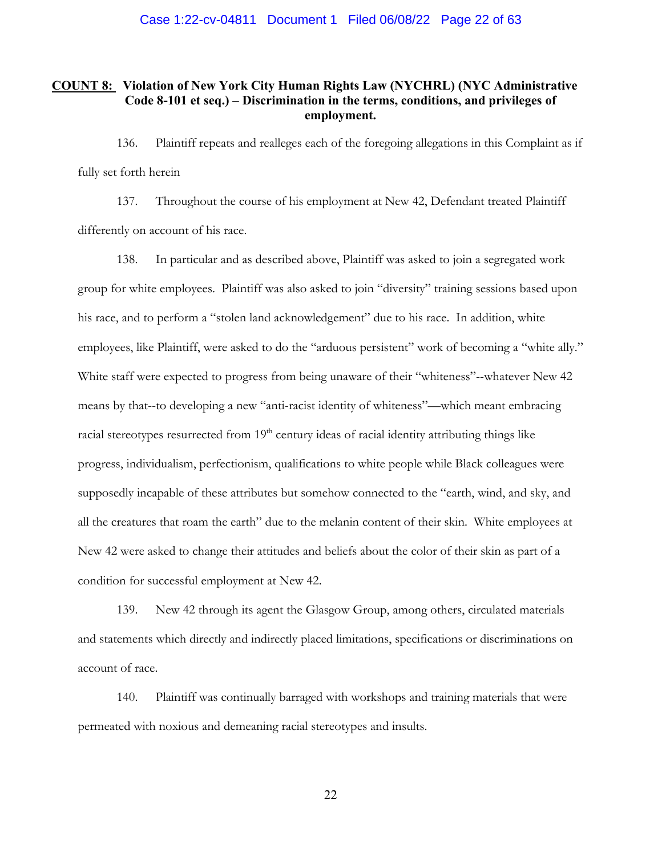#### **COUNT 8: Violation of New York City Human Rights Law (NYCHRL) (NYC Administrative Code 8-101 et seq.) – Discrimination in the terms, conditions, and privileges of employment.**

136. Plaintiff repeats and realleges each of the foregoing allegations in this Complaint as if fully set forth herein

137. Throughout the course of his employment at New 42, Defendant treated Plaintiff differently on account of his race.

138. In particular and as described above, Plaintiff was asked to join a segregated work group for white employees. Plaintiff was also asked to join "diversity" training sessions based upon his race, and to perform a "stolen land acknowledgement" due to his race. In addition, white employees, like Plaintiff, were asked to do the "arduous persistent" work of becoming a "white ally." White staff were expected to progress from being unaware of their "whiteness"--whatever New 42 means by that--to developing a new "anti-racist identity of whiteness"—which meant embracing racial stereotypes resurrected from 19<sup>th</sup> century ideas of racial identity attributing things like progress, individualism, perfectionism, qualifications to white people while Black colleagues were supposedly incapable of these attributes but somehow connected to the "earth, wind, and sky, and all the creatures that roam the earth" due to the melanin content of their skin. White employees at New 42 were asked to change their attitudes and beliefs about the color of their skin as part of a condition for successful employment at New 42.

139. New 42 through its agent the Glasgow Group, among others, circulated materials and statements which directly and indirectly placed limitations, specifications or discriminations on account of race.

140. Plaintiff was continually barraged with workshops and training materials that were permeated with noxious and demeaning racial stereotypes and insults.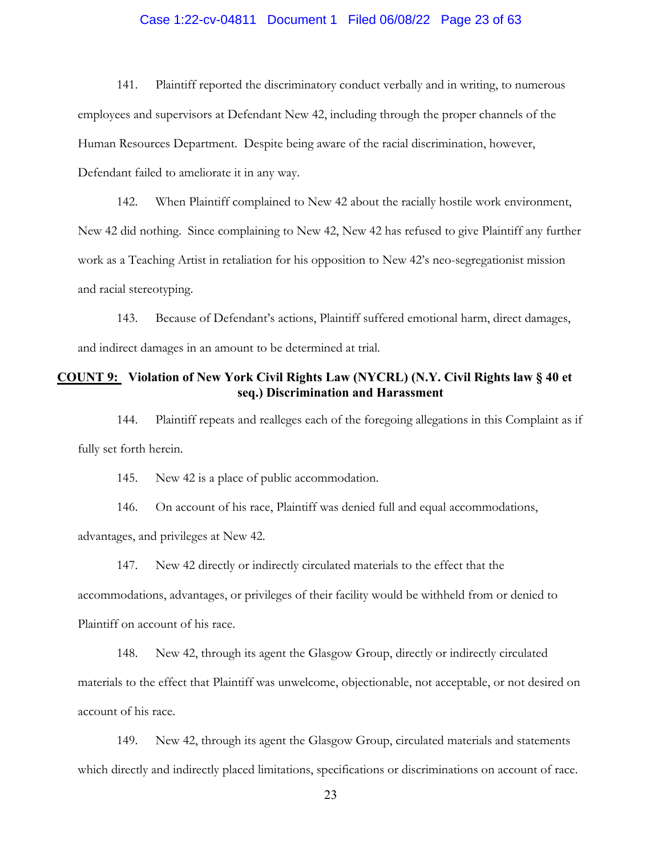# Case 1:22-cv-04811 Document 1 Filed 06/08/22 Page 23 of 63

141. Plaintiff reported the discriminatory conduct verbally and in writing, to numerous employees and supervisors at Defendant New 42, including through the proper channels of the Human Resources Department. Despite being aware of the racial discrimination, however, Defendant failed to ameliorate it in any way.

142. When Plaintiff complained to New 42 about the racially hostile work environment, New 42 did nothing. Since complaining to New 42, New 42 has refused to give Plaintiff any further work as a Teaching Artist in retaliation for his opposition to New 42's neo-segregationist mission and racial stereotyping.

143. Because of Defendant's actions, Plaintiff suffered emotional harm, direct damages, and indirect damages in an amount to be determined at trial.

#### **COUNT 9: Violation of New York Civil Rights Law (NYCRL) (N.Y. Civil Rights law § 40 et seq.) Discrimination and Harassment**

144. Plaintiff repeats and realleges each of the foregoing allegations in this Complaint as if fully set forth herein.

145. New 42 is a place of public accommodation.

146. On account of his race, Plaintiff was denied full and equal accommodations, advantages, and privileges at New 42.

147. New 42 directly or indirectly circulated materials to the effect that the accommodations, advantages, or privileges of their facility would be withheld from or denied to Plaintiff on account of his race.

148. New 42, through its agent the Glasgow Group, directly or indirectly circulated materials to the effect that Plaintiff was unwelcome, objectionable, not acceptable, or not desired on account of his race.

149. New 42, through its agent the Glasgow Group, circulated materials and statements which directly and indirectly placed limitations, specifications or discriminations on account of race.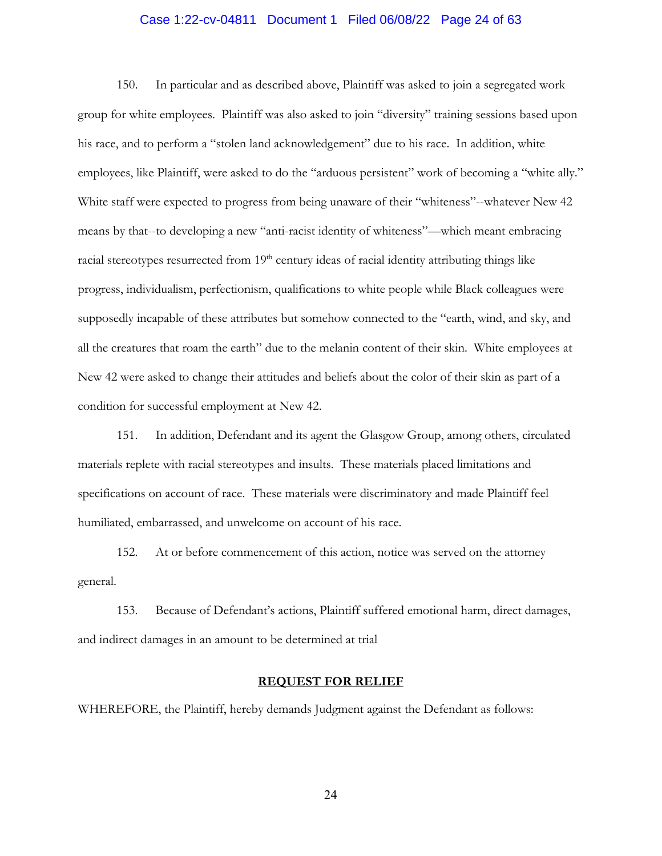# Case 1:22-cv-04811 Document 1 Filed 06/08/22 Page 24 of 63

150. In particular and as described above, Plaintiff was asked to join a segregated work group for white employees. Plaintiff was also asked to join "diversity" training sessions based upon his race, and to perform a "stolen land acknowledgement" due to his race. In addition, white employees, like Plaintiff, were asked to do the "arduous persistent" work of becoming a "white ally." White staff were expected to progress from being unaware of their "whiteness"--whatever New 42 means by that--to developing a new "anti-racist identity of whiteness"—which meant embracing racial stereotypes resurrected from 19<sup>th</sup> century ideas of racial identity attributing things like progress, individualism, perfectionism, qualifications to white people while Black colleagues were supposedly incapable of these attributes but somehow connected to the "earth, wind, and sky, and all the creatures that roam the earth" due to the melanin content of their skin. White employees at New 42 were asked to change their attitudes and beliefs about the color of their skin as part of a condition for successful employment at New 42.

151. In addition, Defendant and its agent the Glasgow Group, among others, circulated materials replete with racial stereotypes and insults. These materials placed limitations and specifications on account of race. These materials were discriminatory and made Plaintiff feel humiliated, embarrassed, and unwelcome on account of his race.

152. At or before commencement of this action, notice was served on the attorney general.

153. Because of Defendant's actions, Plaintiff suffered emotional harm, direct damages, and indirect damages in an amount to be determined at trial

#### **REQUEST FOR RELIEF**

WHEREFORE, the Plaintiff, hereby demands Judgment against the Defendant as follows: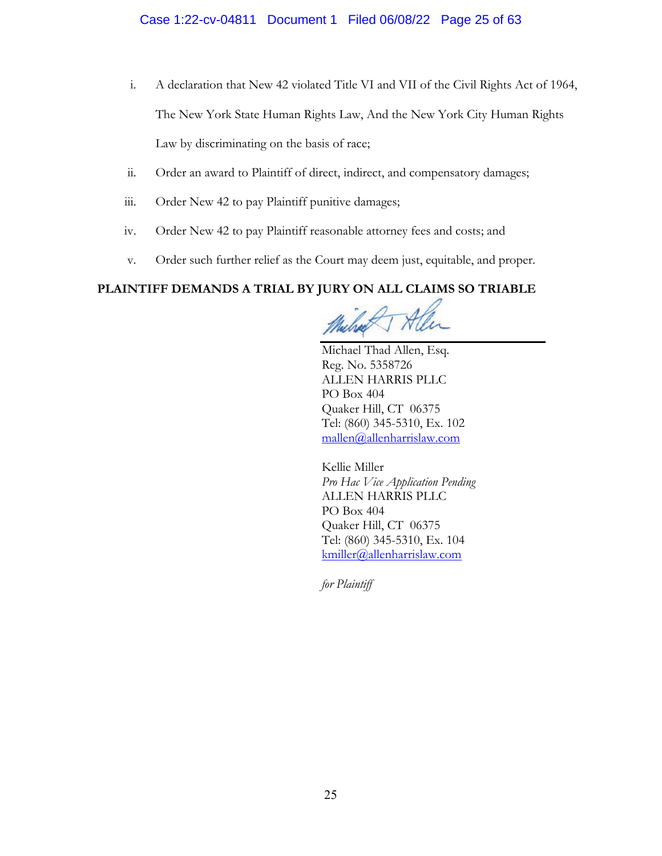#### Case 1:22-cv-04811 Document 1 Filed 06/08/22 Page 25 of 63

- i. A declaration that New 42 violated Title VI and VII of the Civil Rights Act of 1964, The New York State Human Rights Law, And the New York City Human Rights Law by discriminating on the basis of race;
- ii. Order an award to Plaintiff of direct, indirect, and compensatory damages;
- iii. Order New 42 to pay Plaintiff punitive damages;
- iv. Order New 42 to pay Plaintiff reasonable attorney fees and costs; and
- v. Order such further relief as the Court may deem just, equitable, and proper.

# **PLAINTIFF DEMANDS A TRIAL BY JURY ON ALL CLAIMS SO TRIABLE**

Michael Thad Allen, Esq. Reg. No. 5358726 ALLEN HARRIS PLLC PO Box 404 Quaker Hill, CT 06375 Tel: (860) 345-5310, Ex. 102 mallen@allenharrislaw.com

Kellie Miller *Pro Hac Vice Application Pending*  ALLEN HARRIS PLLC PO Box 404 Quaker Hill, CT 06375 Tel: (860) 345-5310, Ex. 104 kmiller@allenharrislaw.com

*for Plaintiff*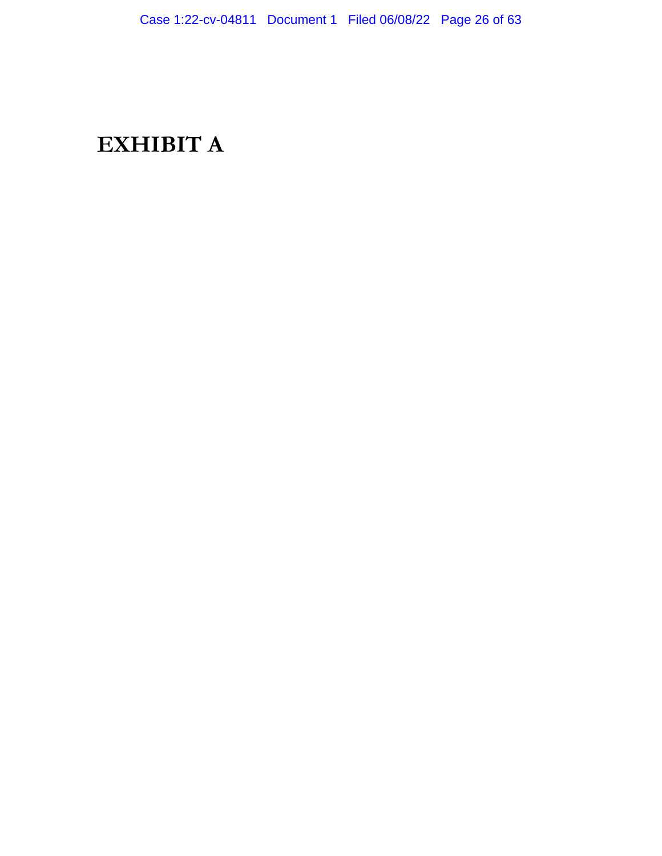# **EXHIBIT A**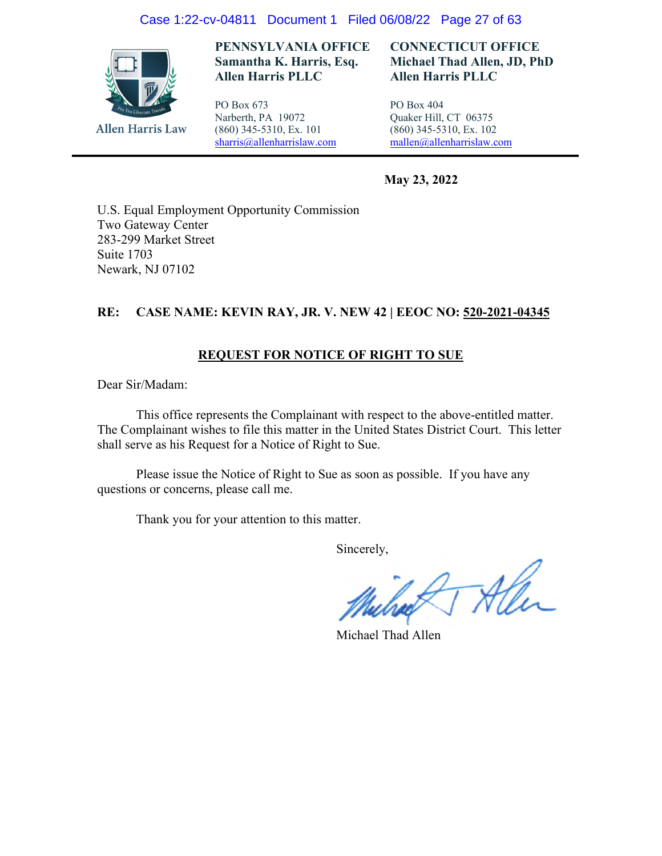#### Case 1:22-cv-04811 Document 1 Filed 06/08/22 Page 27 of 63



**PENNSYLVANIA OFFICE Samantha K. Harris, Esq. Allen Harris PLLC** 

PO Box 673 Narberth, PA 19072 (860) 345-5310, Ex. 101 sharris@allenharrislaw.com

#### **CONNECTICUT OFFICE Michael Thad Allen, JD, PhD Allen Harris PLLC**

PO Box 404 Quaker Hill, CT 06375 (860) 345-5310, Ex. 102 mallen@allenharrislaw.com

 **May 23, 2022** 

U.S. Equal Employment Opportunity Commission Two Gateway Center 283-299 Market Street Suite 1703 Newark, NJ 07102

#### **RE: CASE NAME: KEVIN RAY, JR. V. NEW 42 | EEOC NO: 520-2021-04345**

#### **REQUEST FOR NOTICE OF RIGHT TO SUE**

Dear Sir/Madam:

 This office represents the Complainant with respect to the above-entitled matter. The Complainant wishes to file this matter in the United States District Court. This letter shall serve as his Request for a Notice of Right to Sue.

Please issue the Notice of Right to Sue as soon as possible. If you have any questions or concerns, please call me.

Thank you for your attention to this matter.

Sincerely,

2TAM

Michael Thad Allen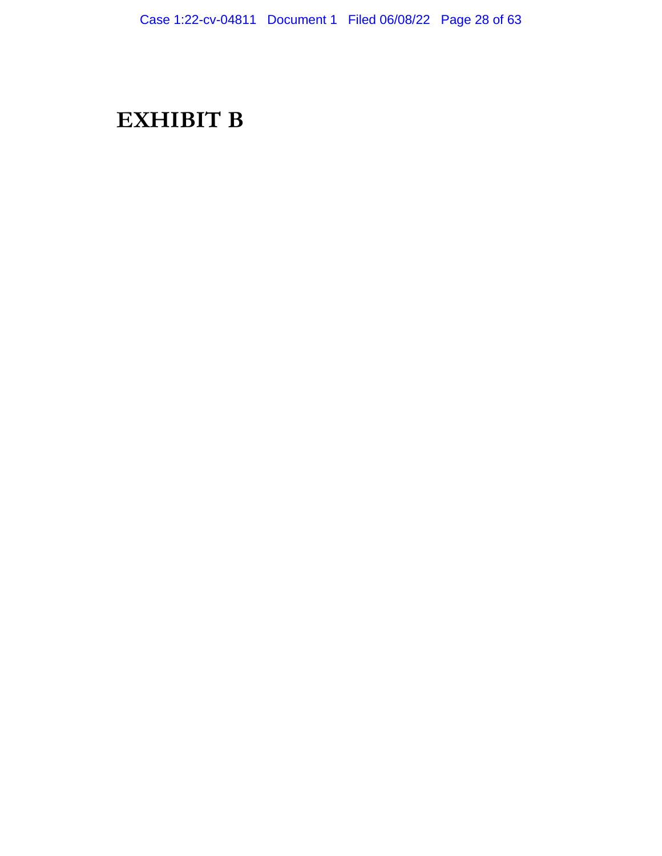# **EXHIBIT B**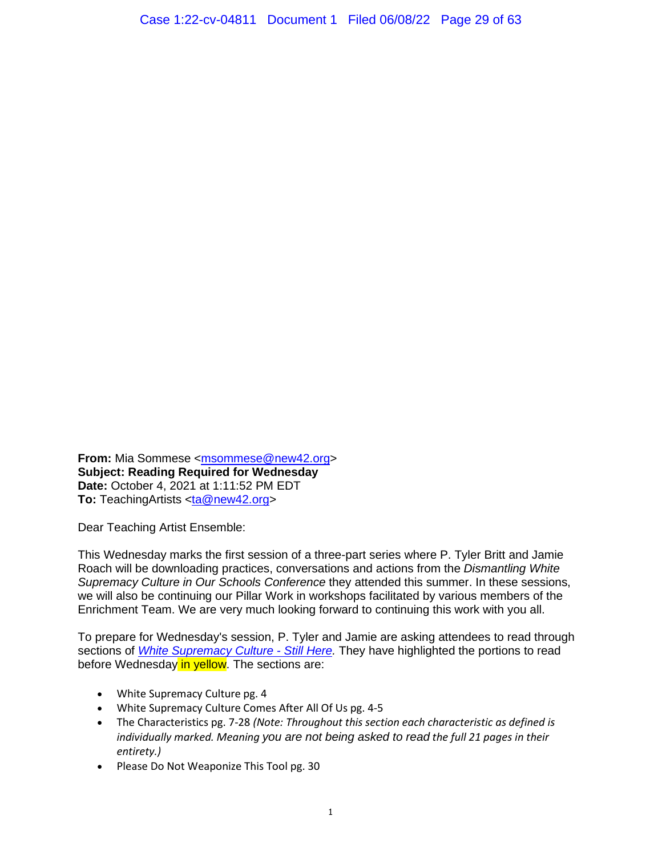**From:** Mia Sommese <msommese@new42.org> **Subject: Reading Required for Wednesday Date:** October 4, 2021 at 1:11:52 PM EDT **To:** TeachingArtists <ta@new42.org>

Dear Teaching Artist Ensemble:

This Wednesday marks the first session of a three-part series where P. Tyler Britt and Jamie Roach will be downloading practices, conversations and actions from the *Dismantling White Supremacy Culture in Our Schools Conference* they attended this summer. In these sessions, we will also be continuing our Pillar Work in workshops facilitated by various members of the Enrichment Team. We are very much looking forward to continuing this work with you all.

To prepare for Wednesday's session, P. Tyler and Jamie are asking attendees to read through sections of *White Supremacy Culture - Still Here.* They have highlighted the portions to read before Wednesday in yellow. The sections are:

- White Supremacy Culture pg. 4
- White Supremacy Culture Comes After All Of Us pg. 4-5
- The Characteristics pg. 7-28 *(Note: Throughout this section each characteristic as defined is individually marked. Meaning you are not being asked to read the full 21 pages in their entirety.)*
- Please Do Not Weaponize This Tool pg. 30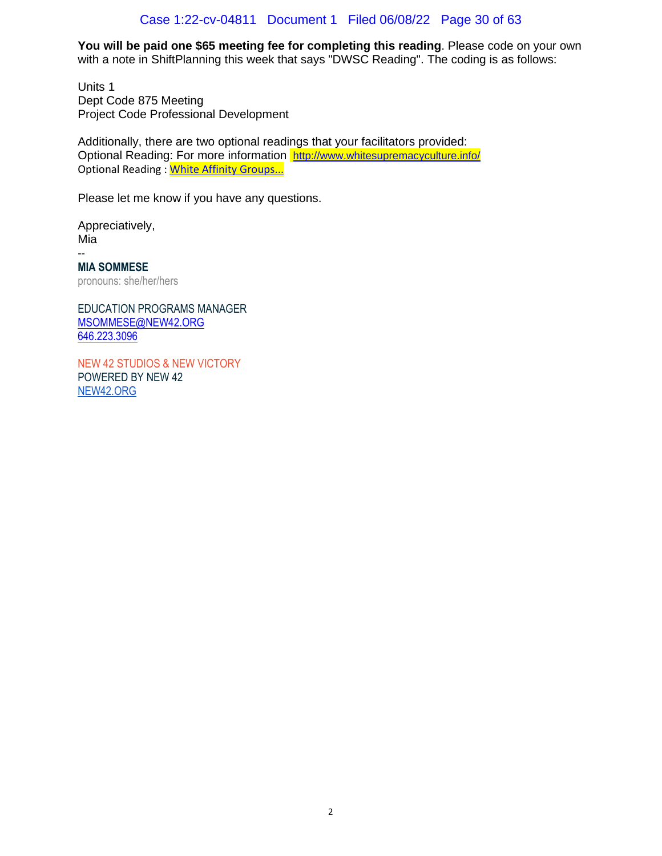#### Case 1:22-cv-04811 Document 1 Filed 06/08/22 Page 30 of 63

**You will be paid one \$65 meeting fee for completing this reading**. Please code on your own with a note in ShiftPlanning this week that says "DWSC Reading". The coding is as follows:

Units 1 Dept Code 875 Meeting Project Code Professional Development

Additionally, there are two optional readings that your facilitators provided: Optional Reading: For more information http://www.whitesupremacyculture.info/ Optional Reading : White Affinity Groups...

Please let me know if you have any questions.

Appreciatively, Mia -- **MIA SOMMESE**

pronouns: she/her/hers

EDUCATION PROGRAMS MANAGER MSOMMESE@NEW42.ORG 646.223.3096

NEW 42 STUDIOS & NEW VICTORY POWERED BY NEW 42 NEW42.ORG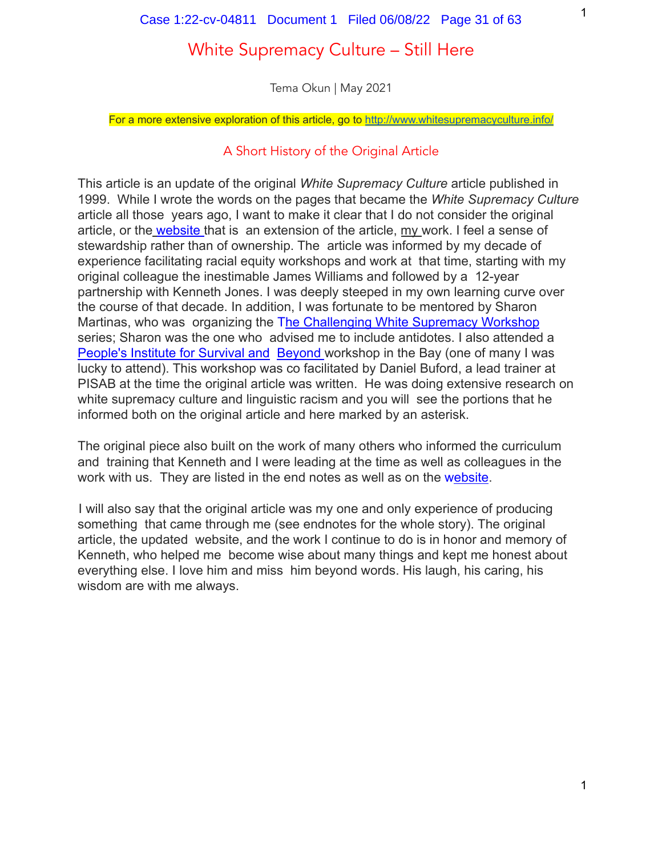# White Supremacy Culture – Still Here

Tema Okun | May 2021

For a more extensive exploration of this article, go to <http://www.whitesupremacyculture.info/>

# A Short History of the Original Article

This article is an update of the original *White Supremacy Culture* article published in 1999. While I wrote the words on the pages that became the *White Supremacy Culture* article all those years ago, I want to make it clear that I do not consider the original article, or the website that is an extension of the article, my work. I feel a sense of stewardship rather than of ownership. The article was informed by my decade of experience facilitating racial equity workshops and work at that time, starting with my original colleague the inestimable James Williams and followed by a 12-year partnership with Kenneth Jones. I was deeply steeped in my own learning curve over the course of that decade. In addition, I was fortunate to be mentored by Sharon Martinas, who was organizing the The Challenging White Supremacy Workshop series; Sharon was the one who advised me to include antidotes. I also attended a People's Institute for Survival and Beyond workshop in the Bay (one of many I was lucky to attend). This workshop was co facilitated by Daniel Buford, a lead trainer at PISAB at the time the original article was written. He was doing extensive research on white supremacy culture and linguistic racism and you will see the portions that he informed both on the original article and here marked by an asterisk.

The original piece also built on the work of many others who informed the curriculum and training that Kenneth and I were leading at the time as well as colleagues in the work with us. They are listed in the end notes as well as on the website.

I will also say that the original article was my one and only experience of producing something that came through me (see endnotes for the whole story). The original article, the updated website, and the work I continue to do is in honor and memory of Kenneth, who helped me become wise about many things and kept me honest about everything else. I love him and miss him beyond words. His laugh, his caring, his wisdom are with me always.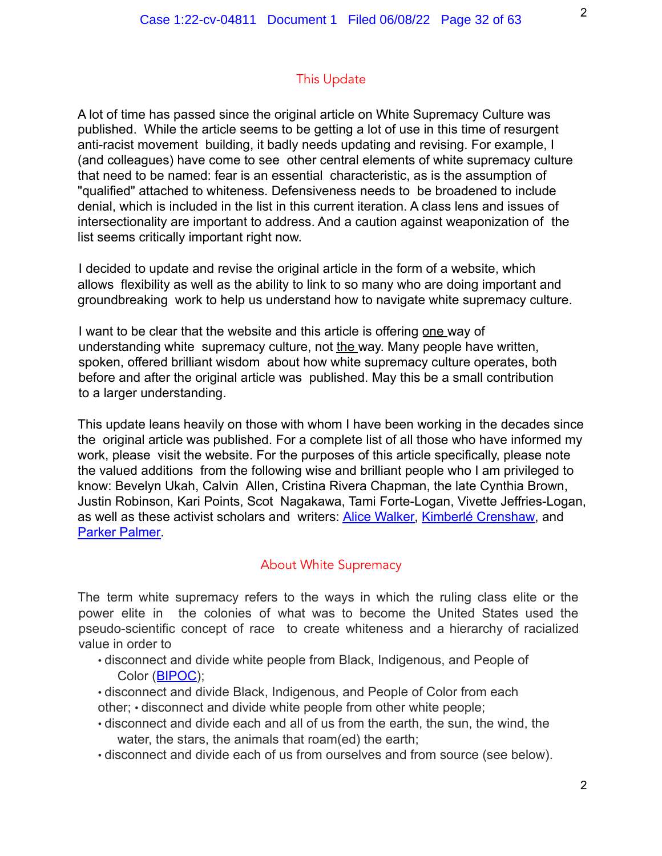# This Update

A lot of time has passed since the original article on White Supremacy Culture was published. While the article seems to be getting a lot of use in this time of resurgent anti-racist movement building, it badly needs updating and revising. For example, I (and colleagues) have come to see other central elements of white supremacy culture that need to be named: fear is an essential characteristic, as is the assumption of "qualified" attached to whiteness. Defensiveness needs to be broadened to include denial, which is included in the list in this current iteration. A class lens and issues of intersectionality are important to address. And a caution against weaponization of the list seems critically important right now.

I decided to update and revise the original article in the form of a website, which allows flexibility as well as the ability to link to so many who are doing important and groundbreaking work to help us understand how to navigate white supremacy culture.

I want to be clear that the website and this article is offering one way of understanding white supremacy culture, not the way. Many people have written, spoken, offered brilliant wisdom about how white supremacy culture operates, both before and after the original article was published. May this be a small contribution to a larger understanding.

This update leans heavily on those with whom I have been working in the decades since the original article was published. For a complete list of all those who have informed my work, please visit the website. For the purposes of this article specifically, please note the valued additions from the following wise and brilliant people who I am privileged to know: Bevelyn Ukah, Calvin Allen, Cristina Rivera Chapman, the late Cynthia Brown, Justin Robinson, Kari Points, Scot Nagakawa, Tami Forte-Logan, Vivette Jeffries-Logan, as well as these activist scholars and writers: Alice Walker, Kimberlé Crenshaw, and Parker Palmer.

# About White Supremacy

The term white supremacy refers to the ways in which the ruling class elite or the power elite in the colonies of what was to become the United States used the pseudo-scientific concept of race to create whiteness and a hierarchy of racialized value in order to

- disconnect and divide white people from Black, Indigenous, and People of Color (BIPOC);
- disconnect and divide Black, Indigenous, and People of Color from each other; • disconnect and divide white people from other white people;
- disconnect and divide each and all of us from the earth, the sun, the wind, the water, the stars, the animals that roam(ed) the earth;
- disconnect and divide each of us from ourselves and from source (see below).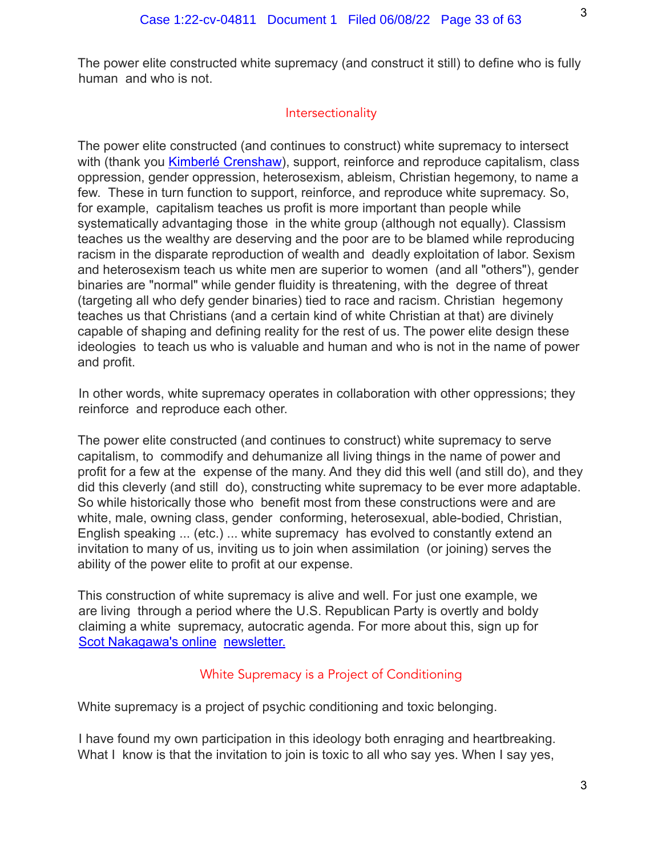The power elite constructed white supremacy (and construct it still) to define who is fully human and who is not.

# **Intersectionality**

The power elite constructed (and continues to construct) white supremacy to intersect with (thank you Kimberlé Crenshaw), support, reinforce and reproduce capitalism, class oppression, gender oppression, heterosexism, ableism, Christian hegemony, to name a few. These in turn function to support, reinforce, and reproduce white supremacy. So, for example, capitalism teaches us profit is more important than people while systematically advantaging those in the white group (although not equally). Classism teaches us the wealthy are deserving and the poor are to be blamed while reproducing racism in the disparate reproduction of wealth and deadly exploitation of labor. Sexism and heterosexism teach us white men are superior to women (and all "others"), gender binaries are "normal" while gender fluidity is threatening, with the degree of threat (targeting all who defy gender binaries) tied to race and racism. Christian hegemony teaches us that Christians (and a certain kind of white Christian at that) are divinely capable of shaping and defining reality for the rest of us. The power elite design these ideologies to teach us who is valuable and human and who is not in the name of power and profit.

In other words, white supremacy operates in collaboration with other oppressions; they reinforce and reproduce each other.

The power elite constructed (and continues to construct) white supremacy to serve capitalism, to commodify and dehumanize all living things in the name of power and profit for a few at the expense of the many. And they did this well (and still do), and they did this cleverly (and still do), constructing white supremacy to be ever more adaptable. So while historically those who benefit most from these constructions were and are white, male, owning class, gender conforming, heterosexual, able-bodied, Christian, English speaking ... (etc.) ... white supremacy has evolved to constantly extend an invitation to many of us, inviting us to join when assimilation (or joining) serves the ability of the power elite to profit at our expense.

This construction of white supremacy is alive and well. For just one example, we are living through a period where the U.S. Republican Party is overtly and boldy claiming a white supremacy, autocratic agenda. For more about this, sign up for Scot Nakagawa's online newsletter.

# White Supremacy is a Project of Conditioning

White supremacy is a project of psychic conditioning and toxic belonging.

I have found my own participation in this ideology both enraging and heartbreaking. What I know is that the invitation to join is toxic to all who say yes. When I say yes,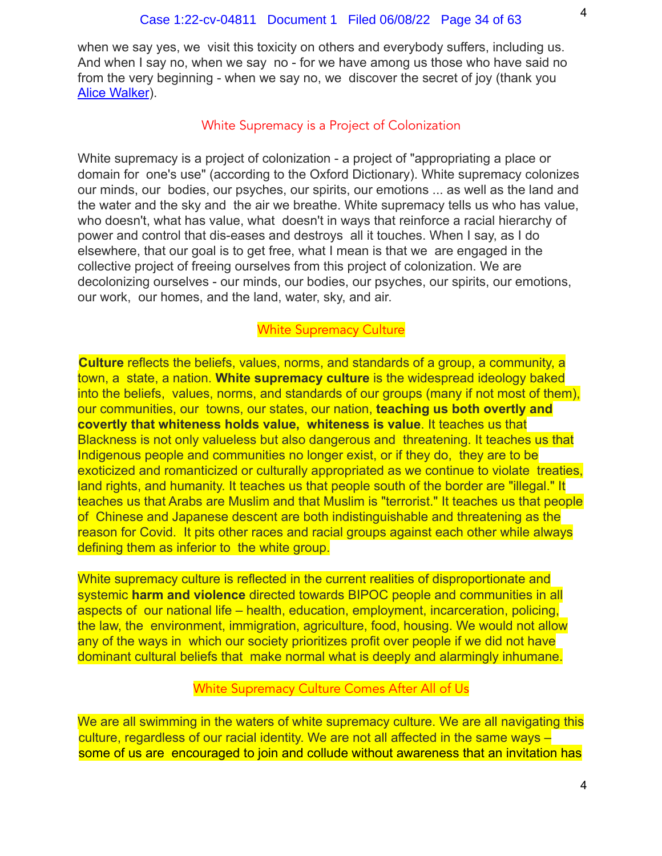when we say yes, we visit this toxicity on others and everybody suffers, including us. And when I say no, when we say no - for we have among us those who have said no from the very beginning - when we say no, we discover the secret of joy (thank you Alice Walker).

#### White Supremacy is a Project of Colonization

White supremacy is a project of colonization - a project of "appropriating a place or domain for one's use" (according to the Oxford Dictionary). White supremacy colonizes our minds, our bodies, our psyches, our spirits, our emotions ... as well as the land and the water and the sky and the air we breathe. White supremacy tells us who has value, who doesn't, what has value, what doesn't in ways that reinforce a racial hierarchy of power and control that dis-eases and destroys all it touches. When I say, as I do elsewhere, that our goal is to get free, what I mean is that we are engaged in the collective project of freeing ourselves from this project of colonization. We are decolonizing ourselves - our minds, our bodies, our psyches, our spirits, our emotions, our work, our homes, and the land, water, sky, and air.

#### White Supremacy Culture

**Culture** reflects the beliefs, values, norms, and standards of a group, a community, a town, a state, a nation. **White supremacy culture** is the widespread ideology baked into the beliefs, values, norms, and standards of our groups (many if not most of them), our communities, our towns, our states, our nation, **teaching us both overtly and covertly that whiteness holds value, whiteness is value**. It teaches us that Blackness is not only valueless but also dangerous and threatening. It teaches us that Indigenous people and communities no longer exist, or if they do, they are to be exoticized and romanticized or culturally appropriated as we continue to violate treaties, land rights, and humanity. It teaches us that people south of the border are "illegal." It teaches us that Arabs are Muslim and that Muslim is "terrorist." It teaches us that people of Chinese and Japanese descent are both indistinguishable and threatening as the reason for Covid. It pits other races and racial groups against each other while always defining them as inferior to the white group.

White supremacy culture is reflected in the current realities of disproportionate and systemic **harm and violence** directed towards BIPOC people and communities in all aspects of our national life – health, education, employment, incarceration, policing, the law, the environment, immigration, agriculture, food, housing. We would not allow any of the ways in which our society prioritizes profit over people if we did not have dominant cultural beliefs that make normal what is deeply and alarmingly inhumane.

#### White Supremacy Culture Comes After All of Us

We are all swimming in the waters of white supremacy culture. We are all navigating this culture, regardless of our racial identity. We are not all affected in the same ways – some of us are encouraged to join and collude without awareness that an invitation has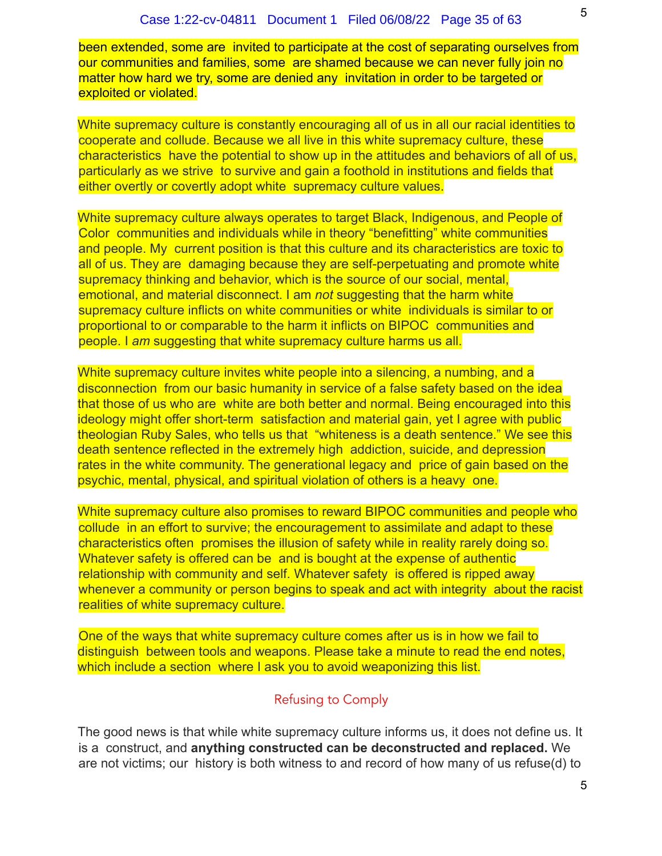been extended, some are invited to participate at the cost of separating ourselves from our communities and families, some are shamed because we can never fully join no matter how hard we try, some are denied any invitation in order to be targeted or exploited or violated.

White supremacy culture is constantly encouraging all of us in all our racial identities to cooperate and collude. Because we all live in this white supremacy culture, these characteristics have the potential to show up in the attitudes and behaviors of all of us, particularly as we strive to survive and gain a foothold in institutions and fields that either overtly or covertly adopt white supremacy culture values.

White supremacy culture always operates to target Black, Indigenous, and People of Color communities and individuals while in theory "benefitting" white communities and people. My current position is that this culture and its characteristics are toxic to all of us. They are damaging because they are self-perpetuating and promote white supremacy thinking and behavior, which is the source of our social, mental, emotional, and material disconnect. I am *not* suggesting that the harm white supremacy culture inflicts on white communities or white individuals is similar to or proportional to or comparable to the harm it inflicts on BIPOC communities and people. I *am* suggesting that white supremacy culture harms us all.

White supremacy culture invites white people into a silencing, a numbing, and a disconnection from our basic humanity in service of a false safety based on the idea that those of us who are white are both better and normal. Being encouraged into this ideology might offer short-term satisfaction and material gain, yet I agree with public theologian Ruby Sales, who tells us that "whiteness is a death sentence." We see this death sentence reflected in the extremely high addiction, suicide, and depression rates in the white community. The generational legacy and price of gain based on the psychic, mental, physical, and spiritual violation of others is a heavy one.

White supremacy culture also promises to reward BIPOC communities and people who collude in an effort to survive; the encouragement to assimilate and adapt to these characteristics often promises the illusion of safety while in reality rarely doing so. Whatever safety is offered can be and is bought at the expense of authentic relationship with community and self. Whatever safety is offered is ripped away whenever a community or person begins to speak and act with integrity about the racist realities of white supremacy culture.

One of the ways that white supremacy culture comes after us is in how we fail to distinguish between tools and weapons. Please take a minute to read the end notes, which include a section where I ask you to avoid weaponizing this list.

# Refusing to Comply

The good news is that while white supremacy culture informs us, it does not define us. It is a construct, and **anything constructed can be deconstructed and replaced.** We are not victims; our history is both witness to and record of how many of us refuse(d) to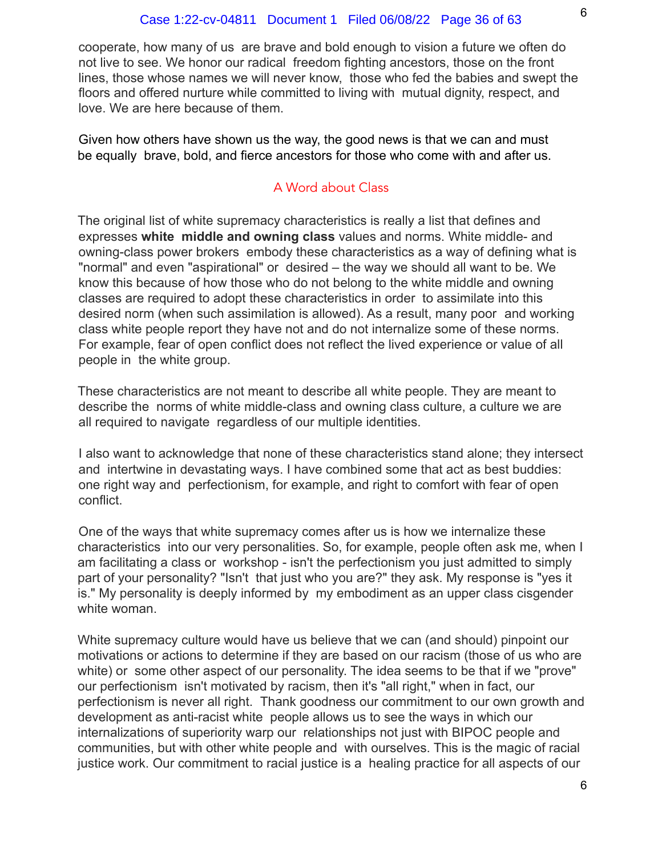cooperate, how many of us are brave and bold enough to vision a future we often do not live to see. We honor our radical freedom fighting ancestors, those on the front lines, those whose names we will never know, those who fed the babies and swept the floors and offered nurture while committed to living with mutual dignity, respect, and love. We are here because of them.

Given how others have shown us the way, the good news is that we can and must be equally brave, bold, and fierce ancestors for those who come with and after us.

# A Word about Class

The original list of white supremacy characteristics is really a list that defines and expresses **white middle and owning class** values and norms. White middle- and owning-class power brokers embody these characteristics as a way of defining what is "normal" and even "aspirational" or desired – the way we should all want to be. We know this because of how those who do not belong to the white middle and owning classes are required to adopt these characteristics in order to assimilate into this desired norm (when such assimilation is allowed). As a result, many poor and working class white people report they have not and do not internalize some of these norms. For example, fear of open conflict does not reflect the lived experience or value of all people in the white group.

These characteristics are not meant to describe all white people. They are meant to describe the norms of white middle-class and owning class culture, a culture we are all required to navigate regardless of our multiple identities.

I also want to acknowledge that none of these characteristics stand alone; they intersect and intertwine in devastating ways. I have combined some that act as best buddies: one right way and perfectionism, for example, and right to comfort with fear of open conflict.

One of the ways that white supremacy comes after us is how we internalize these characteristics into our very personalities. So, for example, people often ask me, when I am facilitating a class or workshop - isn't the perfectionism you just admitted to simply part of your personality? "Isn't that just who you are?" they ask. My response is "yes it is." My personality is deeply informed by my embodiment as an upper class cisgender white woman.

White supremacy culture would have us believe that we can (and should) pinpoint our motivations or actions to determine if they are based on our racism (those of us who are white) or some other aspect of our personality. The idea seems to be that if we "prove" our perfectionism isn't motivated by racism, then it's "all right," when in fact, our perfectionism is never all right. Thank goodness our commitment to our own growth and development as anti-racist white people allows us to see the ways in which our internalizations of superiority warp our relationships not just with BIPOC people and communities, but with other white people and with ourselves. This is the magic of racial justice work. Our commitment to racial justice is a healing practice for all aspects of our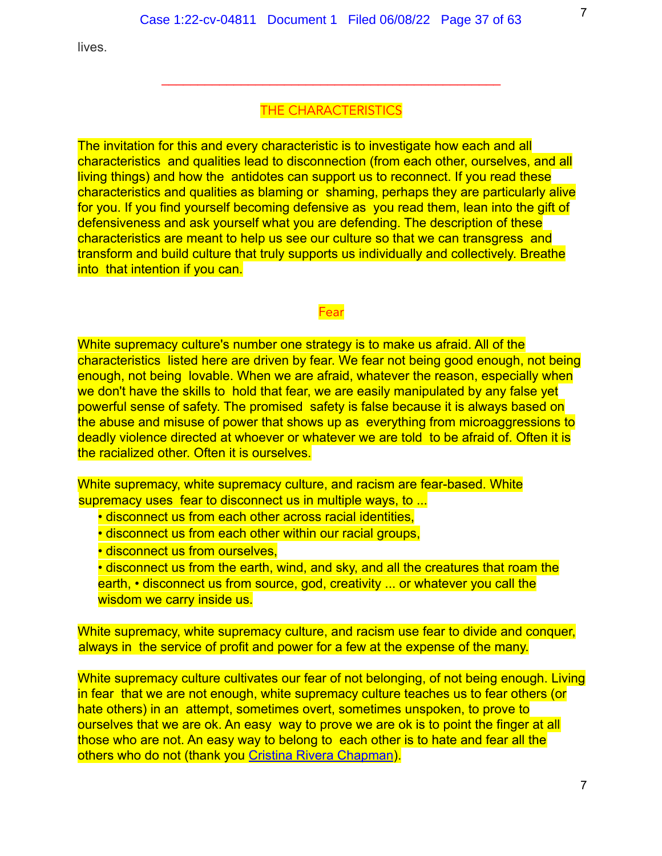lives.

#### THE CHARACTERISTICS

\_\_\_\_\_\_\_\_\_\_\_\_\_\_\_\_\_\_\_\_\_\_\_\_\_\_\_\_\_\_\_\_\_\_\_\_\_\_\_\_\_\_\_\_\_\_\_

The invitation for this and every characteristic is to investigate how each and all characteristics and qualities lead to disconnection (from each other, ourselves, and all living things) and how the antidotes can support us to reconnect. If you read these characteristics and qualities as blaming or shaming, perhaps they are particularly alive for you. If you find yourself becoming defensive as you read them, lean into the gift of defensiveness and ask yourself what you are defending. The description of these characteristics are meant to help us see our culture so that we can transgress and transform and build culture that truly supports us individually and collectively. Breathe into that intention if you can.

#### Fear

White supremacy culture's number one strategy is to make us afraid. All of the characteristics listed here are driven by fear. We fear not being good enough, not being enough, not being lovable. When we are afraid, whatever the reason, especially when we don't have the skills to hold that fear, we are easily manipulated by any false yet powerful sense of safety. The promised safety is false because it is always based on the abuse and misuse of power that shows up as everything from microaggressions to deadly violence directed at whoever or whatever we are told to be afraid of. Often it is the racialized other. Often it is ourselves.

White supremacy, white supremacy culture, and racism are fear-based. White supremacy uses fear to disconnect us in multiple ways, to ...

- disconnect us from each other across racial identities,
- disconnect us from each other within our racial groups,
- disconnect us from ourselves.

• disconnect us from the earth, wind, and sky, and all the creatures that roam the earth, • disconnect us from source, god, creativity ... or whatever you call the wisdom we carry inside us.

White supremacy, white supremacy culture, and racism use fear to divide and conquer, always in the service of profit and power for a few at the expense of the many.

White supremacy culture cultivates our fear of not belonging, of not being enough. Living in fear that we are not enough, white supremacy culture teaches us to fear others (or hate others) in an attempt, sometimes overt, sometimes unspoken, to prove to ourselves that we are ok. An easy way to prove we are ok is to point the finger at all those who are not. An easy way to belong to each other is to hate and fear all the others who do not (thank you Cristina Rivera Chapman).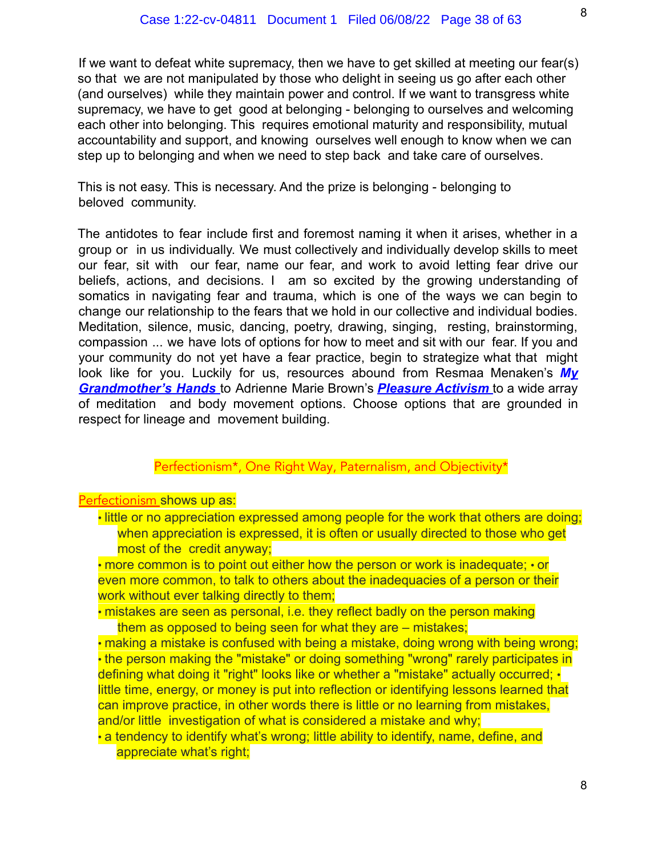If we want to defeat white supremacy, then we have to get skilled at meeting our fear(s) so that we are not manipulated by those who delight in seeing us go after each other (and ourselves) while they maintain power and control. If we want to transgress white supremacy, we have to get good at belonging - belonging to ourselves and welcoming each other into belonging. This requires emotional maturity and responsibility, mutual accountability and support, and knowing ourselves well enough to know when we can step up to belonging and when we need to step back and take care of ourselves.

This is not easy. This is necessary. And the prize is belonging - belonging to beloved community.

The antidotes to fear include first and foremost naming it when it arises, whether in a group or in us individually. We must collectively and individually develop skills to meet our fear, sit with our fear, name our fear, and work to avoid letting fear drive our beliefs, actions, and decisions. I am so excited by the growing understanding of somatics in navigating fear and trauma, which is one of the ways we can begin to change our relationship to the fears that we hold in our collective and individual bodies. Meditation, silence, music, dancing, poetry, drawing, singing, resting, brainstorming, compassion ... we have lots of options for how to meet and sit with our fear. If you and your community do not yet have a fear practice, begin to strategize what that might look like for you. Luckily for us, resources abound from Resmaa Menaken's *My Grandmother's Hands* to Adrienne Marie Brown's *Pleasure Activism* to a wide array of meditation and body movement options. Choose options that are grounded in respect for lineage and movement building.

#### Perfectionism\*, One Right Way, Paternalism, and Objectivity\*

#### Perfectionism shows up as:

• little or no appreciation expressed among people for the work that others are doing; when appreciation is expressed, it is often or usually directed to those who get most of the credit anyway;

• more common is to point out either how the person or work is inadequate; • or even more common, to talk to others about the inadequacies of a person or their work without ever talking directly to them;

- mistakes are seen as personal, i.e. they reflect badly on the person making them as opposed to being seen for what they are – mistakes;
- making a mistake is confused with being a mistake, doing wrong with being wrong: • the person making the "mistake" or doing something "wrong" rarely participates in defining what doing it "right" looks like or whether a "mistake" actually occurred; • little time, energy, or money is put into reflection or identifying lessons learned that can improve practice, in other words there is little or no learning from mistakes, and/or little investigation of what is considered a mistake and why;
- a tendency to identify what's wrong; little ability to identify, name, define, and appreciate what's right;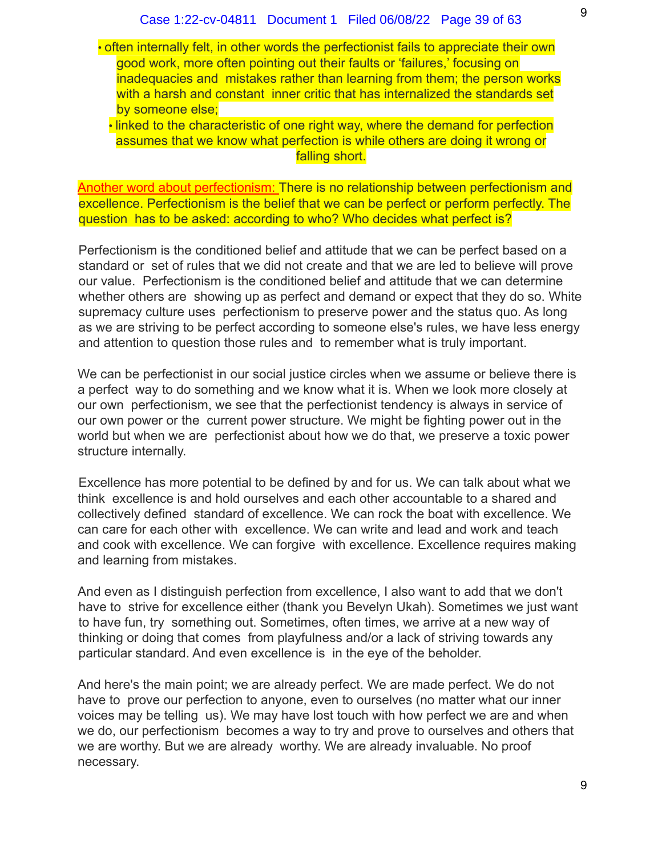• often internally felt, in other words the perfectionist fails to appreciate their own good work, more often pointing out their faults or 'failures,' focusing on inadequacies and mistakes rather than learning from them; the person works with a harsh and constant inner critic that has internalized the standards set by someone else;

• linked to the characteristic of one right way, where the demand for perfection assumes that we know what perfection is while others are doing it wrong or falling short.

Another word about perfectionism: There is no relationship between perfectionism and excellence. Perfectionism is the belief that we can be perfect or perform perfectly. The question has to be asked: according to who? Who decides what perfect is?

Perfectionism is the conditioned belief and attitude that we can be perfect based on a standard or set of rules that we did not create and that we are led to believe will prove our value. Perfectionism is the conditioned belief and attitude that we can determine whether others are showing up as perfect and demand or expect that they do so. White supremacy culture uses perfectionism to preserve power and the status quo. As long as we are striving to be perfect according to someone else's rules, we have less energy and attention to question those rules and to remember what is truly important.

We can be perfectionist in our social justice circles when we assume or believe there is a perfect way to do something and we know what it is. When we look more closely at our own perfectionism, we see that the perfectionist tendency is always in service of our own power or the current power structure. We might be fighting power out in the world but when we are perfectionist about how we do that, we preserve a toxic power structure internally.

Excellence has more potential to be defined by and for us. We can talk about what we think excellence is and hold ourselves and each other accountable to a shared and collectively defined standard of excellence. We can rock the boat with excellence. We can care for each other with excellence. We can write and lead and work and teach and cook with excellence. We can forgive with excellence. Excellence requires making and learning from mistakes.

And even as I distinguish perfection from excellence, I also want to add that we don't have to strive for excellence either (thank you Bevelyn Ukah). Sometimes we just want to have fun, try something out. Sometimes, often times, we arrive at a new way of thinking or doing that comes from playfulness and/or a lack of striving towards any particular standard. And even excellence is in the eye of the beholder.

And here's the main point; we are already perfect. We are made perfect. We do not have to prove our perfection to anyone, even to ourselves (no matter what our inner voices may be telling us). We may have lost touch with how perfect we are and when we do, our perfectionism becomes a way to try and prove to ourselves and others that we are worthy. But we are already worthy. We are already invaluable. No proof necessary.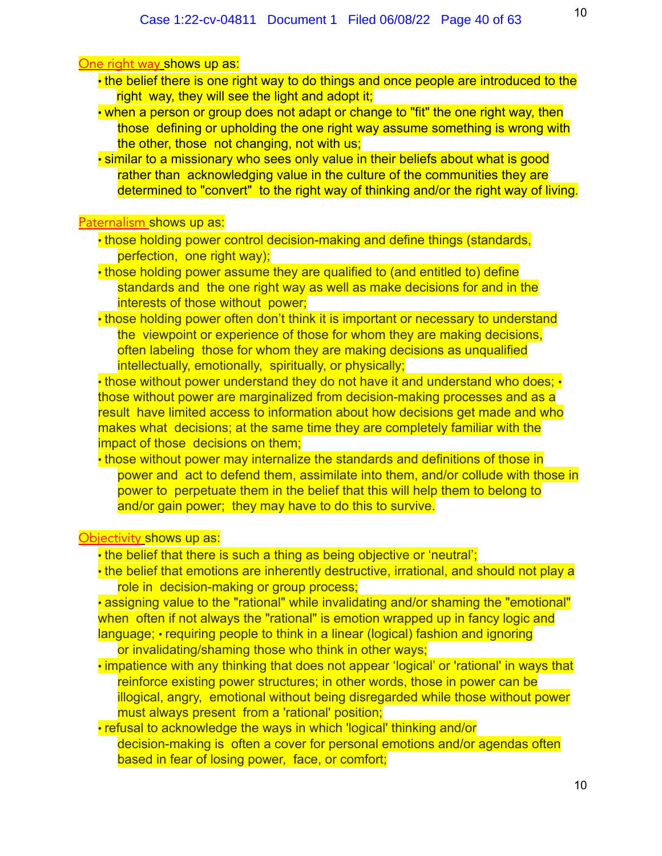#### One right way shows up as:

- the belief there is one right way to do things and once people are introduced to the right way, they will see the light and adopt it;
- when a person or group does not adapt or change to "fit" the one right way, then those defining or upholding the one right way assume something is wrong with the other, those not changing, not with us;
- similar to a missionary who sees only value in their beliefs about what is good rather than acknowledging value in the culture of the communities they are determined to "convert" to the right way of thinking and/or the right way of living.

# Paternalism shows up as:

- those holding power control decision-making and define things (standards, perfection, one right way);
- those holding power assume they are qualified to (and entitled to) define standards and the one right way as well as make decisions for and in the interests of those without power;
- those holding power often don't think it is important or necessary to understand the viewpoint or experience of those for whom they are making decisions, often labeling those for whom they are making decisions as unqualified intellectually, emotionally, spiritually, or physically;

• those without power understand they do not have it and understand who does: • those without power are marginalized from decision-making processes and as a result have limited access to information about how decisions get made and who makes what decisions; at the same time they are completely familiar with the impact of those decisions on them;

• those without power may internalize the standards and definitions of those in power and act to defend them, assimilate into them, and/or collude with those in power to perpetuate them in the belief that this will help them to belong to and/or gain power; they may have to do this to survive.

#### Objectivity shows up as:

- the belief that there is such a thing as being objective or 'neutral';
- the belief that emotions are inherently destructive, irrational, and should not play a role in decision-making or group process;

• assigning value to the "rational" while invalidating and/or shaming the "emotional" when often if not always the "rational" is emotion wrapped up in fancy logic and language; • requiring people to think in a linear (logical) fashion and ignoring

or invalidating/shaming those who think in other ways;

- impatience with any thinking that does not appear 'logical' or 'rational' in ways that reinforce existing power structures; in other words, those in power can be illogical, angry, emotional without being disregarded while those without power must always present from a 'rational' position;
- refusal to acknowledge the ways in which 'logical' thinking and/or decision-making is often a cover for personal emotions and/or agendas often based in fear of losing power, face, or comfort;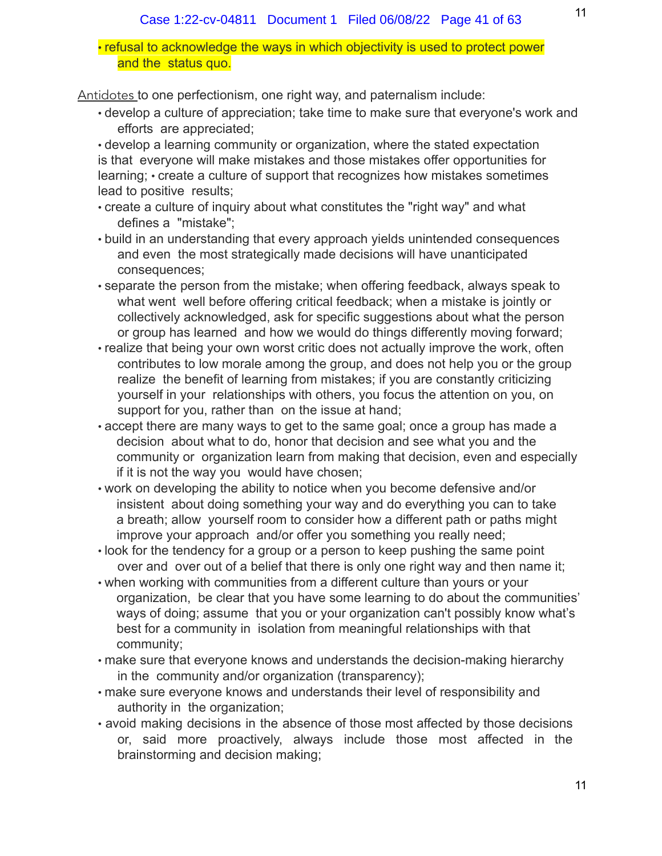• refusal to acknowledge the ways in which objectivity is used to protect power and the status quo.

Antidotes to one perfectionism, one right way, and paternalism include:

• develop a culture of appreciation; take time to make sure that everyone's work and efforts are appreciated;

• develop a learning community or organization, where the stated expectation is that everyone will make mistakes and those mistakes offer opportunities for learning; • create a culture of support that recognizes how mistakes sometimes lead to positive results;

- create a culture of inquiry about what constitutes the "right way" and what defines a "mistake";
- build in an understanding that every approach yields unintended consequences and even the most strategically made decisions will have unanticipated consequences;
- separate the person from the mistake; when offering feedback, always speak to what went well before offering critical feedback; when a mistake is jointly or collectively acknowledged, ask for specific suggestions about what the person or group has learned and how we would do things differently moving forward;
- realize that being your own worst critic does not actually improve the work, often contributes to low morale among the group, and does not help you or the group realize the benefit of learning from mistakes; if you are constantly criticizing yourself in your relationships with others, you focus the attention on you, on support for you, rather than on the issue at hand;
- accept there are many ways to get to the same goal; once a group has made a decision about what to do, honor that decision and see what you and the community or organization learn from making that decision, even and especially if it is not the way you would have chosen;
- work on developing the ability to notice when you become defensive and/or insistent about doing something your way and do everything you can to take a breath; allow yourself room to consider how a different path or paths might improve your approach and/or offer you something you really need;
- look for the tendency for a group or a person to keep pushing the same point over and over out of a belief that there is only one right way and then name it;
- when working with communities from a different culture than yours or your organization, be clear that you have some learning to do about the communities' ways of doing; assume that you or your organization can't possibly know what's best for a community in isolation from meaningful relationships with that community;
- make sure that everyone knows and understands the decision-making hierarchy in the community and/or organization (transparency);
- make sure everyone knows and understands their level of responsibility and authority in the organization;
- avoid making decisions in the absence of those most affected by those decisions or, said more proactively, always include those most affected in the brainstorming and decision making;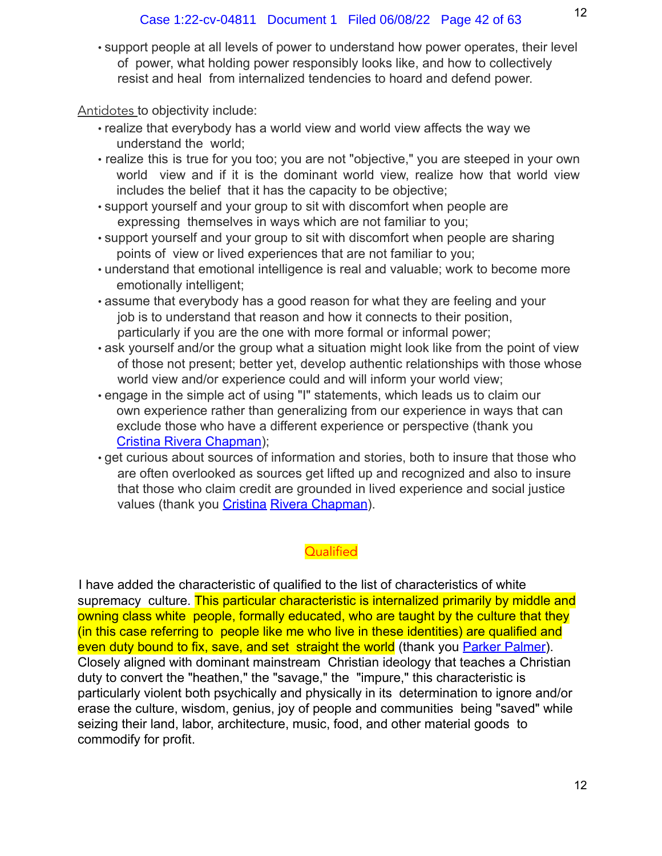• support people at all levels of power to understand how power operates, their level of power, what holding power responsibly looks like, and how to collectively resist and heal from internalized tendencies to hoard and defend power.

Antidotes to objectivity include:

- realize that everybody has a world view and world view affects the way we understand the world;
- realize this is true for you too; you are not "objective," you are steeped in your own world view and if it is the dominant world view, realize how that world view includes the belief that it has the capacity to be objective;
- support yourself and your group to sit with discomfort when people are expressing themselves in ways which are not familiar to you;
- support yourself and your group to sit with discomfort when people are sharing points of view or lived experiences that are not familiar to you;
- understand that emotional intelligence is real and valuable; work to become more emotionally intelligent;
- assume that everybody has a good reason for what they are feeling and your job is to understand that reason and how it connects to their position, particularly if you are the one with more formal or informal power;
- ask yourself and/or the group what a situation might look like from the point of view of those not present; better yet, develop authentic relationships with those whose world view and/or experience could and will inform your world view;
- engage in the simple act of using "I" statements, which leads us to claim our own experience rather than generalizing from our experience in ways that can exclude those who have a different experience or perspective (thank you Cristina Rivera Chapman);
- get curious about sources of information and stories, both to insure that those who are often overlooked as sources get lifted up and recognized and also to insure that those who claim credit are grounded in lived experience and social justice values (thank you Cristina Rivera Chapman).

# **Qualified**

I have added the characteristic of qualified to the list of characteristics of white supremacy culture. This particular characteristic is internalized primarily by middle and owning class white people, formally educated, who are taught by the culture that they (in this case referring to people like me who live in these identities) are qualified and even duty bound to fix, save, and set straight the world (thank you Parker Palmer). Closely aligned with dominant mainstream Christian ideology that teaches a Christian duty to convert the "heathen," the "savage," the "impure," this characteristic is particularly violent both psychically and physically in its determination to ignore and/or erase the culture, wisdom, genius, joy of people and communities being "saved" while seizing their land, labor, architecture, music, food, and other material goods to commodify for profit.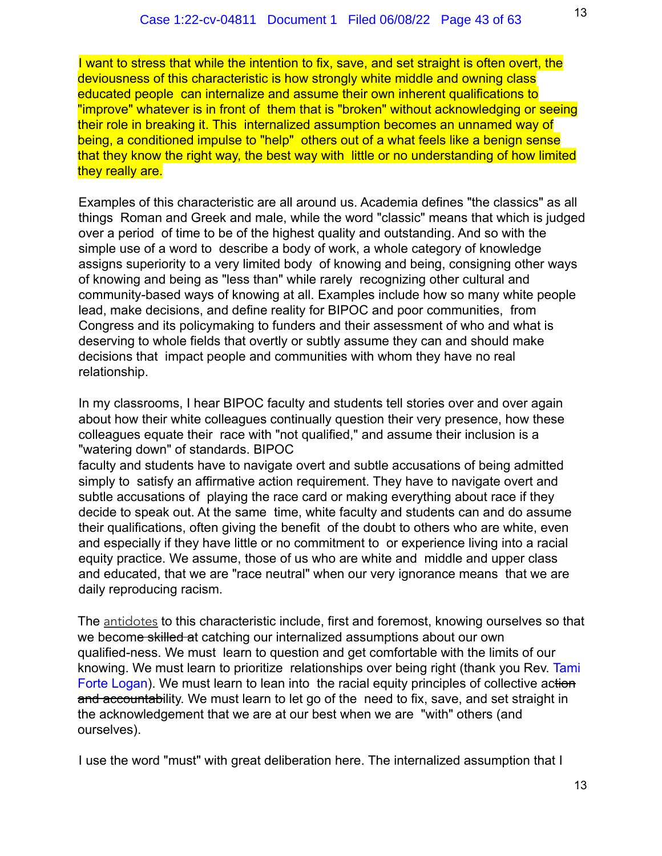I want to stress that while the intention to fix, save, and set straight is often overt, the deviousness of this characteristic is how strongly white middle and owning class educated people can internalize and assume their own inherent qualifications to "improve" whatever is in front of them that is "broken" without acknowledging or seeing their role in breaking it. This internalized assumption becomes an unnamed way of being, a conditioned impulse to "help" others out of a what feels like a benign sense that they know the right way, the best way with little or no understanding of how limited they really are.

Examples of this characteristic are all around us. Academia defines "the classics" as all things Roman and Greek and male, while the word "classic" means that which is judged over a period of time to be of the highest quality and outstanding. And so with the simple use of a word to describe a body of work, a whole category of knowledge assigns superiority to a very limited body of knowing and being, consigning other ways of knowing and being as "less than" while rarely recognizing other cultural and community-based ways of knowing at all. Examples include how so many white people lead, make decisions, and define reality for BIPOC and poor communities, from Congress and its policymaking to funders and their assessment of who and what is deserving to whole fields that overtly or subtly assume they can and should make decisions that impact people and communities with whom they have no real relationship.

In my classrooms, I hear BIPOC faculty and students tell stories over and over again about how their white colleagues continually question their very presence, how these colleagues equate their race with "not qualified," and assume their inclusion is a "watering down" of standards. BIPOC

faculty and students have to navigate overt and subtle accusations of being admitted simply to satisfy an affirmative action requirement. They have to navigate overt and subtle accusations of playing the race card or making everything about race if they decide to speak out. At the same time, white faculty and students can and do assume their qualifications, often giving the benefit of the doubt to others who are white, even and especially if they have little or no commitment to or experience living into a racial equity practice. We assume, those of us who are white and middle and upper class and educated, that we are "race neutral" when our very ignorance means that we are daily reproducing racism.

The antidotes to this characteristic include, first and foremost, knowing ourselves so that we become skilled at catching our internalized assumptions about our own qualified-ness. We must learn to question and get comfortable with the limits of our knowing. We must learn to prioritize relationships over being right (thank you Rev. Tami Forte Logan). We must learn to lean into the racial equity principles of collective action and accountability. We must learn to let go of the need to fix, save, and set straight in the acknowledgement that we are at our best when we are "with" others (and ourselves).

I use the word "must" with great deliberation here. The internalized assumption that I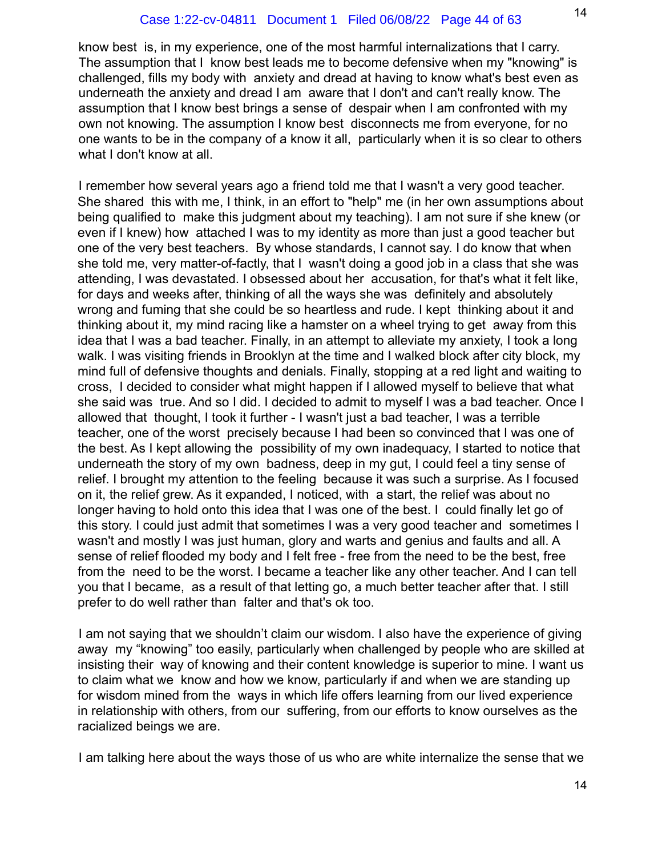know best is, in my experience, one of the most harmful internalizations that I carry. The assumption that I know best leads me to become defensive when my "knowing" is challenged, fills my body with anxiety and dread at having to know what's best even as underneath the anxiety and dread I am aware that I don't and can't really know. The assumption that I know best brings a sense of despair when I am confronted with my own not knowing. The assumption I know best disconnects me from everyone, for no one wants to be in the company of a know it all, particularly when it is so clear to others what I don't know at all.

I remember how several years ago a friend told me that I wasn't a very good teacher. She shared this with me, I think, in an effort to "help" me (in her own assumptions about being qualified to make this judgment about my teaching). I am not sure if she knew (or even if I knew) how attached I was to my identity as more than just a good teacher but one of the very best teachers. By whose standards, I cannot say. I do know that when she told me, very matter-of-factly, that I wasn't doing a good job in a class that she was attending, I was devastated. I obsessed about her accusation, for that's what it felt like, for days and weeks after, thinking of all the ways she was definitely and absolutely wrong and fuming that she could be so heartless and rude. I kept thinking about it and thinking about it, my mind racing like a hamster on a wheel trying to get away from this idea that I was a bad teacher. Finally, in an attempt to alleviate my anxiety, I took a long walk. I was visiting friends in Brooklyn at the time and I walked block after city block, my mind full of defensive thoughts and denials. Finally, stopping at a red light and waiting to cross, I decided to consider what might happen if I allowed myself to believe that what she said was true. And so I did. I decided to admit to myself I was a bad teacher. Once I allowed that thought, I took it further - I wasn't just a bad teacher, I was a terrible teacher, one of the worst precisely because I had been so convinced that I was one of the best. As I kept allowing the possibility of my own inadequacy, I started to notice that underneath the story of my own badness, deep in my gut, I could feel a tiny sense of relief. I brought my attention to the feeling because it was such a surprise. As I focused on it, the relief grew. As it expanded, I noticed, with a start, the relief was about no longer having to hold onto this idea that I was one of the best. I could finally let go of this story. I could just admit that sometimes I was a very good teacher and sometimes I wasn't and mostly I was just human, glory and warts and genius and faults and all. A sense of relief flooded my body and I felt free - free from the need to be the best, free from the need to be the worst. I became a teacher like any other teacher. And I can tell you that I became, as a result of that letting go, a much better teacher after that. I still prefer to do well rather than falter and that's ok too.

I am not saying that we shouldn't claim our wisdom. I also have the experience of giving away my "knowing" too easily, particularly when challenged by people who are skilled at insisting their way of knowing and their content knowledge is superior to mine. I want us to claim what we know and how we know, particularly if and when we are standing up for wisdom mined from the ways in which life offers learning from our lived experience in relationship with others, from our suffering, from our efforts to know ourselves as the racialized beings we are.

I am talking here about the ways those of us who are white internalize the sense that we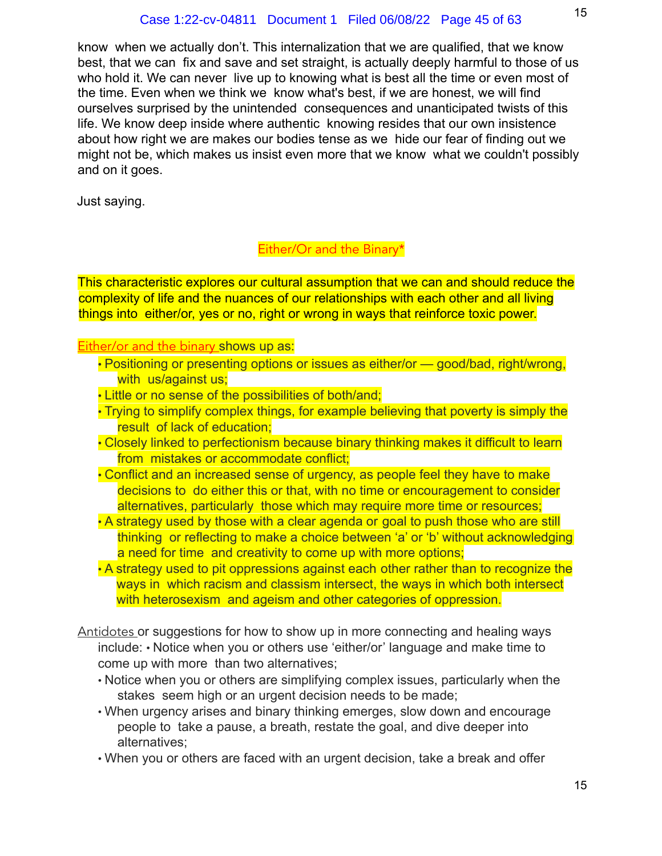know when we actually don't. This internalization that we are qualified, that we know best, that we can fix and save and set straight, is actually deeply harmful to those of us who hold it. We can never live up to knowing what is best all the time or even most of the time. Even when we think we know what's best, if we are honest, we will find ourselves surprised by the unintended consequences and unanticipated twists of this life. We know deep inside where authentic knowing resides that our own insistence about how right we are makes our bodies tense as we hide our fear of finding out we might not be, which makes us insist even more that we know what we couldn't possibly and on it goes.

Just saying.

# Either/Or and the Binary\*

This characteristic explores our cultural assumption that we can and should reduce the complexity of life and the nuances of our relationships with each other and all living things into either/or, yes or no, right or wrong in ways that reinforce toxic power.

#### Either/or and the binary shows up as:

- Positioning or presenting options or issues as either/or good/bad, right/wrong, with us/against us;
- Little or no sense of the possibilities of both/and;
- Trying to simplify complex things, for example believing that poverty is simply the result of lack of education;
- Closely linked to perfectionism because binary thinking makes it difficult to learn from mistakes or accommodate conflict;
- Conflict and an increased sense of urgency, as people feel they have to make decisions to do either this or that, with no time or encouragement to consider alternatives, particularly those which may require more time or resources;
- A strategy used by those with a clear agenda or goal to push those who are still thinking or reflecting to make a choice between 'a' or 'b' without acknowledging a need for time and creativity to come up with more options;
- A strategy used to pit oppressions against each other rather than to recognize the ways in which racism and classism intersect, the ways in which both intersect with heterosexism and ageism and other categories of oppression.
- Antidotes or suggestions for how to show up in more connecting and healing ways include: • Notice when you or others use 'either/or' language and make time to come up with more than two alternatives;
	- Notice when you or others are simplifying complex issues, particularly when the stakes seem high or an urgent decision needs to be made;
	- When urgency arises and binary thinking emerges, slow down and encourage people to take a pause, a breath, restate the goal, and dive deeper into alternatives;
	- When you or others are faced with an urgent decision, take a break and offer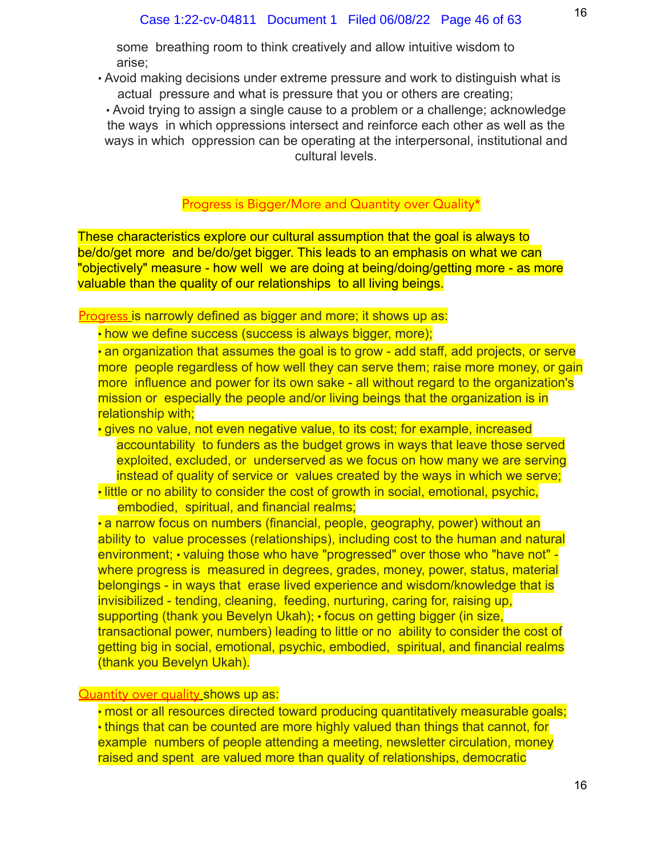some breathing room to think creatively and allow intuitive wisdom to arise;

• Avoid making decisions under extreme pressure and work to distinguish what is actual pressure and what is pressure that you or others are creating;

• Avoid trying to assign a single cause to a problem or a challenge; acknowledge the ways in which oppressions intersect and reinforce each other as well as the ways in which oppression can be operating at the interpersonal, institutional and cultural levels.

#### Progress is Bigger/More and Quantity over Quality\*

These characteristics explore our cultural assumption that the goal is always to be/do/get more and be/do/get bigger. This leads to an emphasis on what we can "objectively" measure - how well we are doing at being/doing/getting more - as more valuable than the quality of our relationships to all living beings.

Progress is narrowly defined as bigger and more; it shows up as:

• how we define success (success is always bigger, more);

• an organization that assumes the goal is to grow - add staff, add projects, or serve more people regardless of how well they can serve them; raise more money, or gain more influence and power for its own sake - all without regard to the organization's mission or especially the people and/or living beings that the organization is in relationship with;

• gives no value, not even negative value, to its cost; for example, increased accountability to funders as the budget grows in ways that leave those served exploited, excluded, or underserved as we focus on how many we are serving instead of quality of service or values created by the ways in which we serve;

• little or no ability to consider the cost of growth in social, emotional, psychic, embodied, spiritual, and financial realms;

• a narrow focus on numbers (financial, people, geography, power) without an ability to value processes (relationships), including cost to the human and natural environment; • valuing those who have "progressed" over those who "have not" where progress is measured in degrees, grades, money, power, status, material belongings - in ways that erase lived experience and wisdom/knowledge that is invisibilized - tending, cleaning, feeding, nurturing, caring for, raising up, supporting (thank you Bevelyn Ukah); • focus on getting bigger (in size, transactional power, numbers) leading to little or no ability to consider the cost of getting big in social, emotional, psychic, embodied, spiritual, and financial realms (thank you Bevelyn Ukah).

#### **Quantity over quality shows up as:**

• most or all resources directed toward producing quantitatively measurable goals; • things that can be counted are more highly valued than things that cannot, for example numbers of people attending a meeting, newsletter circulation, money raised and spent are valued more than quality of relationships, democratic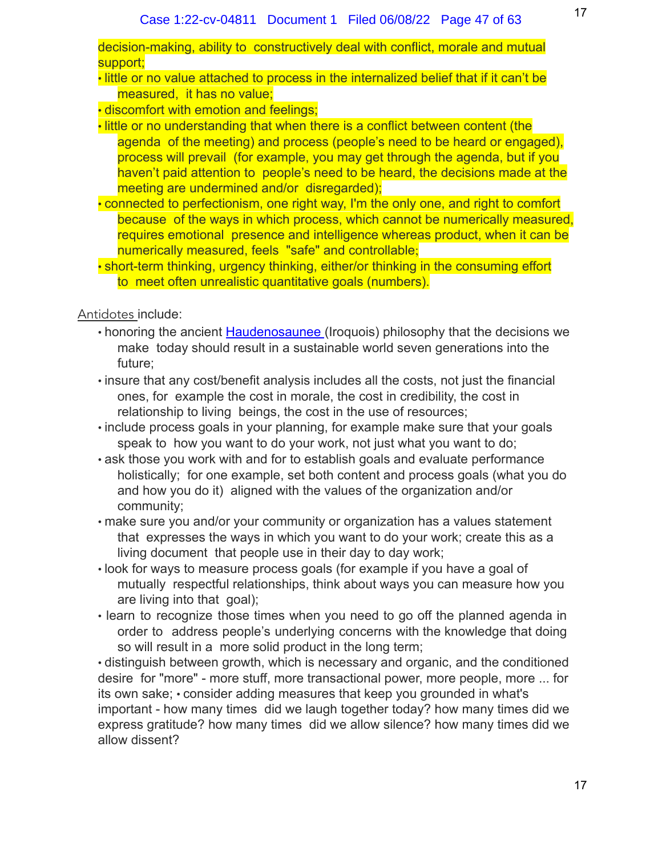decision-making, ability to constructively deal with conflict, morale and mutual support;

• little or no value attached to process in the internalized belief that if it can't be measured, it has no value;

• discomfort with emotion and feelings;

- little or no understanding that when there is a conflict between content (the agenda of the meeting) and process (people's need to be heard or engaged), process will prevail (for example, you may get through the agenda, but if you haven't paid attention to people's need to be heard, the decisions made at the meeting are undermined and/or disregarded);
- connected to perfectionism, one right way, I'm the only one, and right to comfort because of the ways in which process, which cannot be numerically measured, requires emotional presence and intelligence whereas product, when it can be numerically measured, feels "safe" and controllable;
- short-term thinking, urgency thinking, either/or thinking in the consuming effort to meet often unrealistic quantitative goals (numbers).

Antidotes include:

- honoring the ancient Haudenosaunee (Iroquois) philosophy that the decisions we make today should result in a sustainable world seven generations into the future;
- insure that any cost/benefit analysis includes all the costs, not just the financial ones, for example the cost in morale, the cost in credibility, the cost in relationship to living beings, the cost in the use of resources;
- include process goals in your planning, for example make sure that your goals speak to how you want to do your work, not just what you want to do;
- ask those you work with and for to establish goals and evaluate performance holistically; for one example, set both content and process goals (what you do and how you do it) aligned with the values of the organization and/or community;
- make sure you and/or your community or organization has a values statement that expresses the ways in which you want to do your work; create this as a living document that people use in their day to day work;
- look for ways to measure process goals (for example if you have a goal of mutually respectful relationships, think about ways you can measure how you are living into that goal);
- learn to recognize those times when you need to go off the planned agenda in order to address people's underlying concerns with the knowledge that doing so will result in a more solid product in the long term;

• distinguish between growth, which is necessary and organic, and the conditioned desire for "more" - more stuff, more transactional power, more people, more ... for its own sake; • consider adding measures that keep you grounded in what's important - how many times did we laugh together today? how many times did we express gratitude? how many times did we allow silence? how many times did we allow dissent?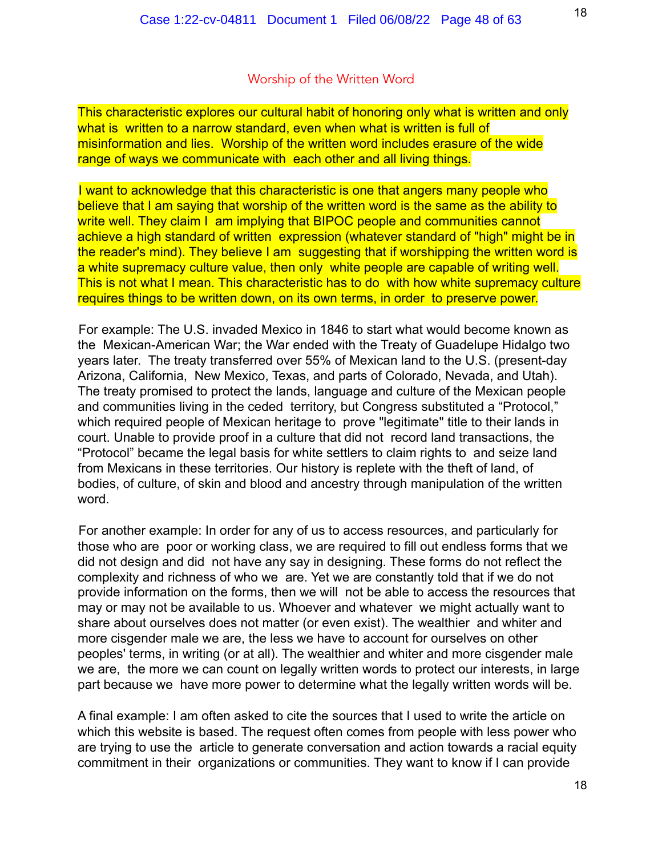#### Worship of the Written Word

This characteristic explores our cultural habit of honoring only what is written and only what is written to a narrow standard, even when what is written is full of misinformation and lies. Worship of the written word includes erasure of the wide range of ways we communicate with each other and all living things.

I want to acknowledge that this characteristic is one that angers many people who believe that I am saying that worship of the written word is the same as the ability to write well. They claim I am implying that BIPOC people and communities cannot achieve a high standard of written expression (whatever standard of "high" might be in the reader's mind). They believe I am suggesting that if worshipping the written word is a white supremacy culture value, then only white people are capable of writing well. This is not what I mean. This characteristic has to do with how white supremacy culture requires things to be written down, on its own terms, in order to preserve power.

For example: The U.S. invaded Mexico in 1846 to start what would become known as the Mexican-American War; the War ended with the Treaty of Guadelupe Hidalgo two years later. The treaty transferred over 55% of Mexican land to the U.S. (present-day Arizona, California, New Mexico, Texas, and parts of Colorado, Nevada, and Utah). The treaty promised to protect the lands, language and culture of the Mexican people and communities living in the ceded territory, but Congress substituted a "Protocol," which required people of Mexican heritage to prove "legitimate" title to their lands in court. Unable to provide proof in a culture that did not record land transactions, the "Protocol" became the legal basis for white settlers to claim rights to and seize land from Mexicans in these territories. Our history is replete with the theft of land, of bodies, of culture, of skin and blood and ancestry through manipulation of the written word.

For another example: In order for any of us to access resources, and particularly for those who are poor or working class, we are required to fill out endless forms that we did not design and did not have any say in designing. These forms do not reflect the complexity and richness of who we are. Yet we are constantly told that if we do not provide information on the forms, then we will not be able to access the resources that may or may not be available to us. Whoever and whatever we might actually want to share about ourselves does not matter (or even exist). The wealthier and whiter and more cisgender male we are, the less we have to account for ourselves on other peoples' terms, in writing (or at all). The wealthier and whiter and more cisgender male we are, the more we can count on legally written words to protect our interests, in large part because we have more power to determine what the legally written words will be.

A final example: I am often asked to cite the sources that I used to write the article on which this website is based. The request often comes from people with less power who are trying to use the article to generate conversation and action towards a racial equity commitment in their organizations or communities. They want to know if I can provide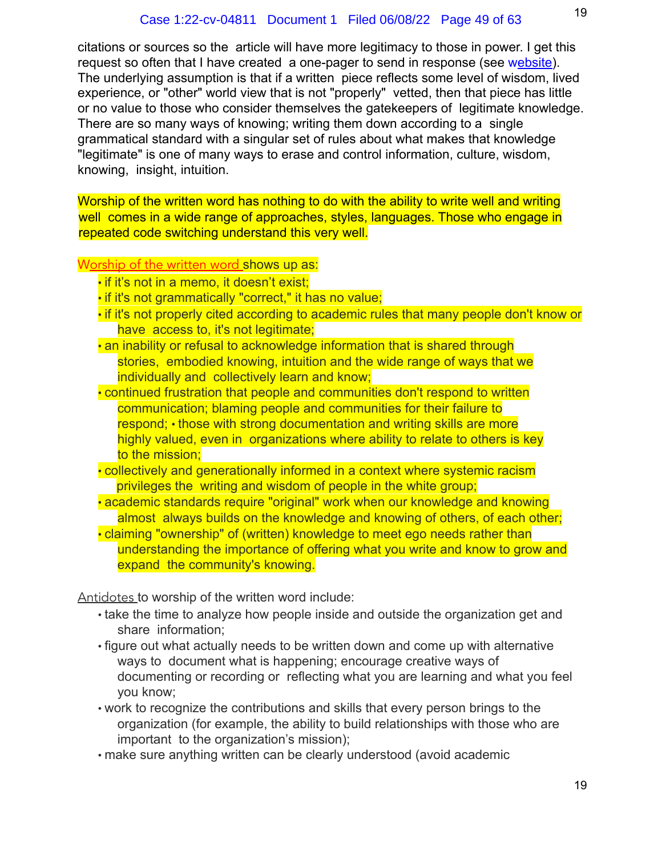citations or sources so the article will have more legitimacy to those in power. I get this request so often that I have created a one-pager to send in response (see website). The underlying assumption is that if a written piece reflects some level of wisdom, lived experience, or "other" world view that is not "properly" vetted, then that piece has little or no value to those who consider themselves the gatekeepers of legitimate knowledge. There are so many ways of knowing; writing them down according to a single grammatical standard with a singular set of rules about what makes that knowledge "legitimate" is one of many ways to erase and control information, culture, wisdom, knowing, insight, intuition.

Worship of the written word has nothing to do with the ability to write well and writing well comes in a wide range of approaches, styles, languages. Those who engage in repeated code switching understand this very well.

#### Worship of the written word shows up as:

- if it's not in a memo, it doesn't exist;
- if it's not grammatically "correct," it has no value;
- if it's not properly cited according to academic rules that many people don't know or have access to, it's not legitimate;
- an inability or refusal to acknowledge information that is shared through stories, embodied knowing, intuition and the wide range of ways that we individually and collectively learn and know;
- continued frustration that people and communities don't respond to written communication; blaming people and communities for their failure to respond; • those with strong documentation and writing skills are more highly valued, even in organizations where ability to relate to others is key to the mission;
- collectively and generationally informed in a context where systemic racism privileges the writing and wisdom of people in the white group;
- academic standards require "original" work when our knowledge and knowing almost always builds on the knowledge and knowing of others, of each other;
- claiming "ownership" of (written) knowledge to meet ego needs rather than understanding the importance of offering what you write and know to grow and expand the community's knowing.

Antidotes to worship of the written word include:

- take the time to analyze how people inside and outside the organization get and share information;
- figure out what actually needs to be written down and come up with alternative ways to document what is happening; encourage creative ways of documenting or recording or reflecting what you are learning and what you feel you know;
- work to recognize the contributions and skills that every person brings to the organization (for example, the ability to build relationships with those who are important to the organization's mission);
- make sure anything written can be clearly understood (avoid academic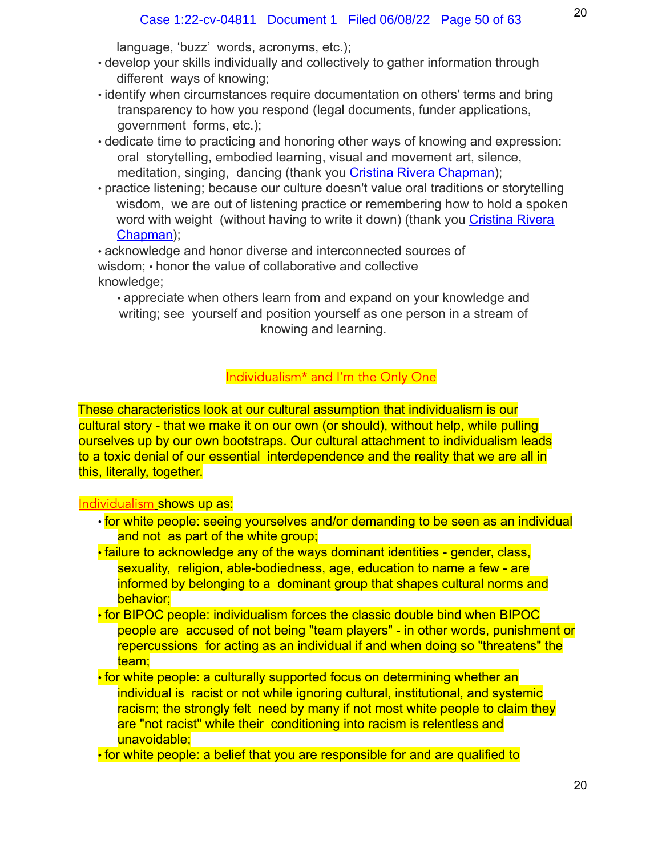language, 'buzz' words, acronyms, etc.);

- develop your skills individually and collectively to gather information through different ways of knowing;
- identify when circumstances require documentation on others' terms and bring transparency to how you respond (legal documents, funder applications, government forms, etc.);
- dedicate time to practicing and honoring other ways of knowing and expression: oral storytelling, embodied learning, visual and movement art, silence, meditation, singing, dancing (thank you Cristina Rivera Chapman);
- practice listening; because our culture doesn't value oral traditions or storytelling wisdom, we are out of listening practice or remembering how to hold a spoken word with weight (without having to write it down) (thank you Cristina Rivera Chapman);

• acknowledge and honor diverse and interconnected sources of wisdom; • honor the value of collaborative and collective knowledge;

• appreciate when others learn from and expand on your knowledge and writing; see yourself and position yourself as one person in a stream of knowing and learning.

# Individualism\* and I'm the Only One

These characteristics look at our cultural assumption that individualism is our cultural story - that we make it on our own (or should), without help, while pulling ourselves up by our own bootstraps. Our cultural attachment to individualism leads to a toxic denial of our essential interdependence and the reality that we are all in this, literally, together.

# Individualism shows up as:

- for white people: seeing yourselves and/or demanding to be seen as an individual and not as part of the white group;
- failure to acknowledge any of the ways dominant identities gender, class, sexuality, religion, able-bodiedness, age, education to name a few - are informed by belonging to a dominant group that shapes cultural norms and behavior;
- for BIPOC people: individualism forces the classic double bind when BIPOC people are accused of not being "team players" - in other words, punishment or repercussions for acting as an individual if and when doing so "threatens" the team;
- for white people: a culturally supported focus on determining whether an individual is racist or not while ignoring cultural, institutional, and systemic racism; the strongly felt need by many if not most white people to claim they are "not racist" while their conditioning into racism is relentless and unavoidable;

• for white people: a belief that you are responsible for and are qualified to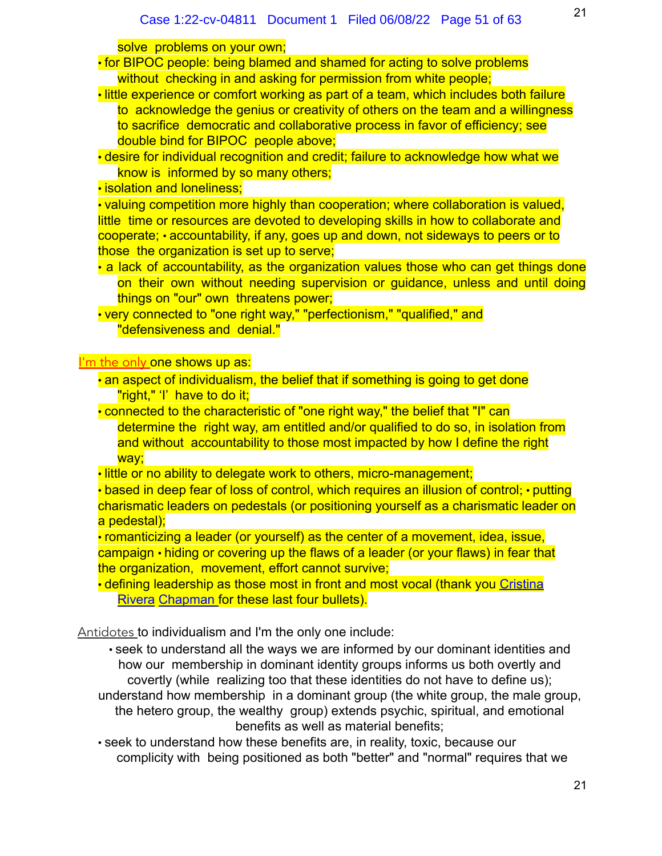solve problems on your own;

- for BIPOC people: being blamed and shamed for acting to solve problems without checking in and asking for permission from white people;
- little experience or comfort working as part of a team, which includes both failure to acknowledge the genius or creativity of others on the team and a willingness to sacrifice democratic and collaborative process in favor of efficiency; see double bind for BIPOC people above;
- desire for individual recognition and credit; failure to acknowledge how what we know is informed by so many others;

• isolation and loneliness;

• valuing competition more highly than cooperation; where collaboration is valued, little time or resources are devoted to developing skills in how to collaborate and cooperate; • accountability, if any, goes up and down, not sideways to peers or to those the organization is set up to serve;

• a lack of accountability, as the organization values those who can get things done on their own without needing supervision or guidance, unless and until doing things on "our" own threatens power;

• very connected to "one right way," "perfectionism," "qualified," and "defensiveness and denial."

I'm the only one shows up as:

- an aspect of individualism, the belief that if something is going to get done "right," 'I' have to do it;
- connected to the characteristic of "one right way," the belief that "I" can determine the right way, am entitled and/or qualified to do so, in isolation from and without accountability to those most impacted by how I define the right way;
- little or no ability to delegate work to others, micro-management;
- based in deep fear of loss of control, which requires an illusion of control; putting charismatic leaders on pedestals (or positioning yourself as a charismatic leader on a pedestal);

• romanticizing a leader (or yourself) as the center of a movement, idea, issue, campaign • hiding or covering up the flaws of a leader (or your flaws) in fear that the organization, movement, effort cannot survive;

• defining leadership as those most in front and most vocal (thank you Cristina Rivera Chapman for these last four bullets).

Antidotes to individualism and I'm the only one include:

• seek to understand all the ways we are informed by our dominant identities and how our membership in dominant identity groups informs us both overtly and covertly (while realizing too that these identities do not have to define us); understand how membership in a dominant group (the white group, the male group, the hetero group, the wealthy group) extends psychic, spiritual, and emotional

benefits as well as material benefits;

• seek to understand how these benefits are, in reality, toxic, because our complicity with being positioned as both "better" and "normal" requires that we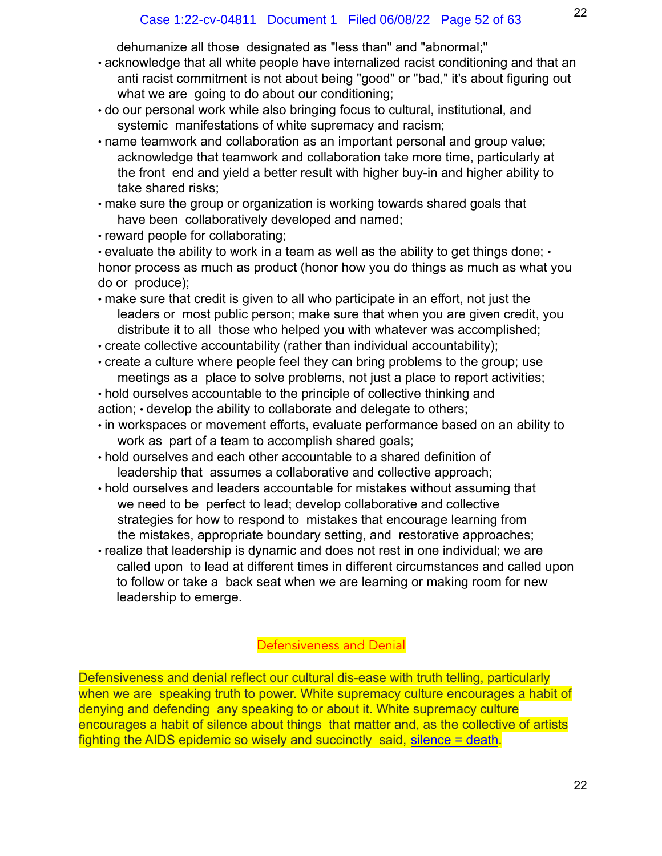dehumanize all those designated as "less than" and "abnormal;"

- acknowledge that all white people have internalized racist conditioning and that an anti racist commitment is not about being "good" or "bad," it's about figuring out what we are going to do about our conditioning;
- do our personal work while also bringing focus to cultural, institutional, and systemic manifestations of white supremacy and racism;
- name teamwork and collaboration as an important personal and group value; acknowledge that teamwork and collaboration take more time, particularly at the front end and yield a better result with higher buy-in and higher ability to take shared risks;
- make sure the group or organization is working towards shared goals that have been collaboratively developed and named;
- reward people for collaborating;

• evaluate the ability to work in a team as well as the ability to get things done; • honor process as much as product (honor how you do things as much as what you do or produce);

- make sure that credit is given to all who participate in an effort, not just the leaders or most public person; make sure that when you are given credit, you distribute it to all those who helped you with whatever was accomplished;
- create collective accountability (rather than individual accountability);
- create a culture where people feel they can bring problems to the group; use meetings as a place to solve problems, not just a place to report activities;
- hold ourselves accountable to the principle of collective thinking and action; • develop the ability to collaborate and delegate to others;
- in workspaces or movement efforts, evaluate performance based on an ability to work as part of a team to accomplish shared goals;
- hold ourselves and each other accountable to a shared definition of leadership that assumes a collaborative and collective approach;
- hold ourselves and leaders accountable for mistakes without assuming that we need to be perfect to lead; develop collaborative and collective strategies for how to respond to mistakes that encourage learning from the mistakes, appropriate boundary setting, and restorative approaches;
- realize that leadership is dynamic and does not rest in one individual; we are called upon to lead at different times in different circumstances and called upon to follow or take a back seat when we are learning or making room for new leadership to emerge.

# Defensiveness and Denial

Defensiveness and denial reflect our cultural dis-ease with truth telling, particularly when we are speaking truth to power. White supremacy culture encourages a habit of denying and defending any speaking to or about it. White supremacy culture encourages a habit of silence about things that matter and, as the collective of artists fighting the AIDS epidemic so wisely and succinctly said, silence = death.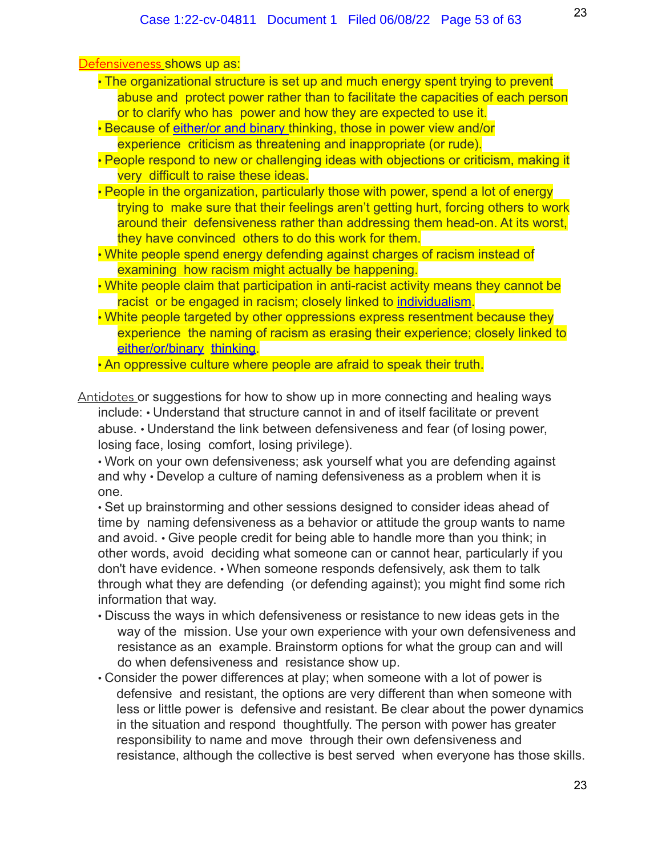| <u>Defensiveness shows up as:</u> |  |  |
|-----------------------------------|--|--|
|-----------------------------------|--|--|

- The organizational structure is set up and much energy spent trying to prevent abuse and protect power rather than to facilitate the capacities of each person or to clarify who has power and how they are expected to use it.
- Because of either/or and binary thinking, those in power view and/or experience criticism as threatening and inappropriate (or rude).
- People respond to new or challenging ideas with objections or criticism, making it very difficult to raise these ideas.
- People in the organization, particularly those with power, spend a lot of energy trying to make sure that their feelings aren't getting hurt, forcing others to work around their defensiveness rather than addressing them head-on. At its worst, they have convinced others to do this work for them.
- White people spend energy defending against charges of racism instead of examining how racism might actually be happening.
- White people claim that participation in anti-racist activity means they cannot be racist or be engaged in racism; closely linked to individualism.
- White people targeted by other oppressions express resentment because they experience the naming of racism as erasing their experience; closely linked to either/or/binary thinking.

• An oppressive culture where people are afraid to speak their truth.

Antidotes or suggestions for how to show up in more connecting and healing ways include: • Understand that structure cannot in and of itself facilitate or prevent abuse. • Understand the link between defensiveness and fear (of losing power, losing face, losing comfort, losing privilege).

• Work on your own defensiveness; ask yourself what you are defending against and why • Develop a culture of naming defensiveness as a problem when it is one.

• Set up brainstorming and other sessions designed to consider ideas ahead of time by naming defensiveness as a behavior or attitude the group wants to name and avoid. • Give people credit for being able to handle more than you think; in other words, avoid deciding what someone can or cannot hear, particularly if you don't have evidence. • When someone responds defensively, ask them to talk through what they are defending (or defending against); you might find some rich information that way.

- Discuss the ways in which defensiveness or resistance to new ideas gets in the way of the mission. Use your own experience with your own defensiveness and resistance as an example. Brainstorm options for what the group can and will do when defensiveness and resistance show up.
- Consider the power differences at play; when someone with a lot of power is defensive and resistant, the options are very different than when someone with less or little power is defensive and resistant. Be clear about the power dynamics in the situation and respond thoughtfully. The person with power has greater responsibility to name and move through their own defensiveness and resistance, although the collective is best served when everyone has those skills.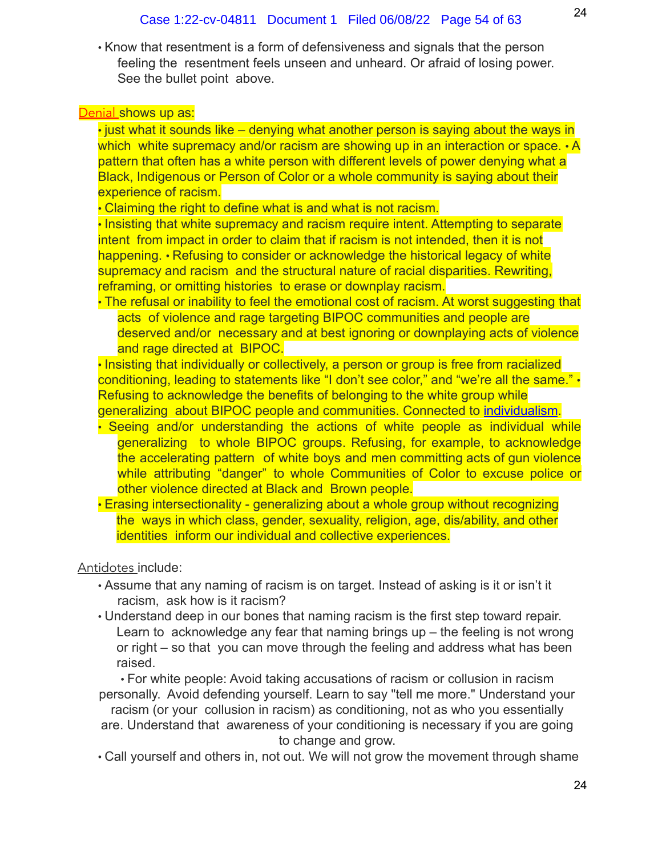• Know that resentment is a form of defensiveness and signals that the person feeling the resentment feels unseen and unheard. Or afraid of losing power. See the bullet point above.

#### **Denial shows up as:**

• just what it sounds like – denying what another person is saying about the ways in which white supremacy and/or racism are showing up in an interaction or space.  $\cdot$  A pattern that often has a white person with different levels of power denying what a Black, Indigenous or Person of Color or a whole community is saying about their experience of racism.

• Claiming the right to define what is and what is not racism.

• Insisting that white supremacy and racism require intent. Attempting to separate intent from impact in order to claim that if racism is not intended, then it is not happening. • Refusing to consider or acknowledge the historical legacy of white supremacy and racism and the structural nature of racial disparities. Rewriting, reframing, or omitting histories to erase or downplay racism.

• The refusal or inability to feel the emotional cost of racism. At worst suggesting that acts of violence and rage targeting BIPOC communities and people are deserved and/or necessary and at best ignoring or downplaying acts of violence and rage directed at BIPOC.

• Insisting that individually or collectively, a person or group is free from racialized conditioning, leading to statements like "I don't see color," and "we're all the same." • Refusing to acknowledge the benefits of belonging to the white group while generalizing about BIPOC people and communities. Connected to individualism.

- Seeing and/or understanding the actions of white people as individual while generalizing to whole BIPOC groups. Refusing, for example, to acknowledge the accelerating pattern of white boys and men committing acts of gun violence while attributing "danger" to whole Communities of Color to excuse police or other violence directed at Black and Brown people.
- Erasing intersectionality generalizing about a whole group without recognizing the ways in which class, gender, sexuality, religion, age, dis/ability, and other identities inform our individual and collective experiences.

#### Antidotes include:

- Assume that any naming of racism is on target. Instead of asking is it or isn't it racism, ask how is it racism?
- Understand deep in our bones that naming racism is the first step toward repair. Learn to acknowledge any fear that naming brings up – the feeling is not wrong or right – so that you can move through the feeling and address what has been raised.

• For white people: Avoid taking accusations of racism or collusion in racism personally. Avoid defending yourself. Learn to say "tell me more." Understand your racism (or your collusion in racism) as conditioning, not as who you essentially are. Understand that awareness of your conditioning is necessary if you are going to change and grow.

• Call yourself and others in, not out. We will not grow the movement through shame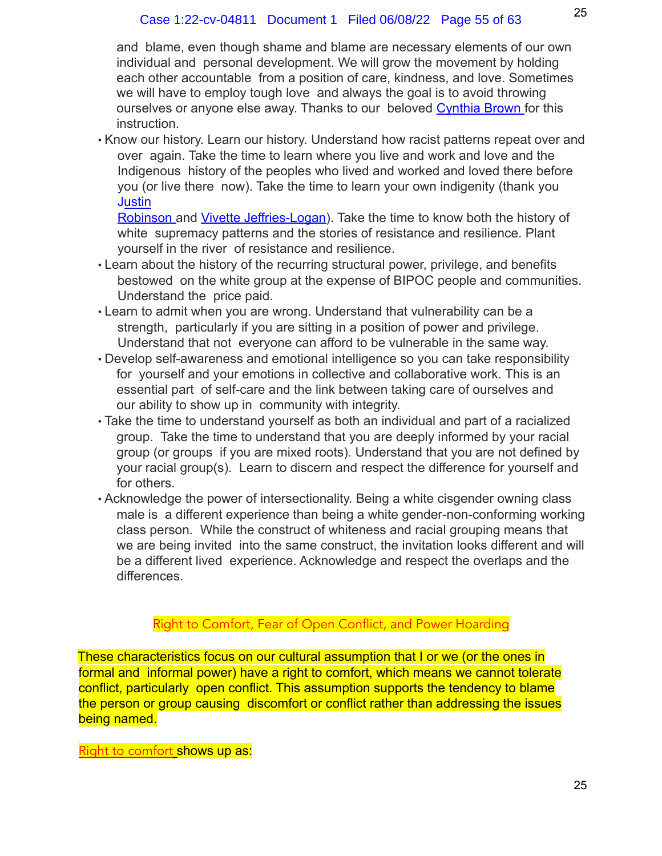and blame, even though shame and blame are necessary elements of our own individual and personal development. We will grow the movement by holding each other accountable from a position of care, kindness, and love. Sometimes we will have to employ tough love and always the goal is to avoid throwing ourselves or anyone else away. Thanks to our beloved Cynthia Brown for this instruction.

• Know our history. Learn our history. Understand how racist patterns repeat over and over again. Take the time to learn where you live and work and love and the Indigenous history of the peoples who lived and worked and loved there before you (or live there now). Take the time to learn your own indigenity (thank you **Justin** 

Robinson and Vivette Jeffries-Logan). Take the time to know both the history of white supremacy patterns and the stories of resistance and resilience. Plant yourself in the river of resistance and resilience.

- Learn about the history of the recurring structural power, privilege, and benefits bestowed on the white group at the expense of BIPOC people and communities. Understand the price paid.
- Learn to admit when you are wrong. Understand that vulnerability can be a strength, particularly if you are sitting in a position of power and privilege. Understand that not everyone can afford to be vulnerable in the same way.
- Develop self-awareness and emotional intelligence so you can take responsibility for yourself and your emotions in collective and collaborative work. This is an essential part of self-care and the link between taking care of ourselves and our ability to show up in community with integrity.
- Take the time to understand yourself as both an individual and part of a racialized group. Take the time to understand that you are deeply informed by your racial group (or groups if you are mixed roots). Understand that you are not defined by your racial group(s). Learn to discern and respect the difference for yourself and for others.
- Acknowledge the power of intersectionality. Being a white cisgender owning class male is a different experience than being a white gender-non-conforming working class person. While the construct of whiteness and racial grouping means that we are being invited into the same construct, the invitation looks different and will be a different lived experience. Acknowledge and respect the overlaps and the differences.

# Right to Comfort, Fear of Open Conflict, and Power Hoarding

These characteristics focus on our cultural assumption that I or we (or the ones in formal and informal power) have a right to comfort, which means we cannot tolerate conflict, particularly open conflict. This assumption supports the tendency to blame the person or group causing discomfort or conflict rather than addressing the issues being named.

Right to comfort shows up as: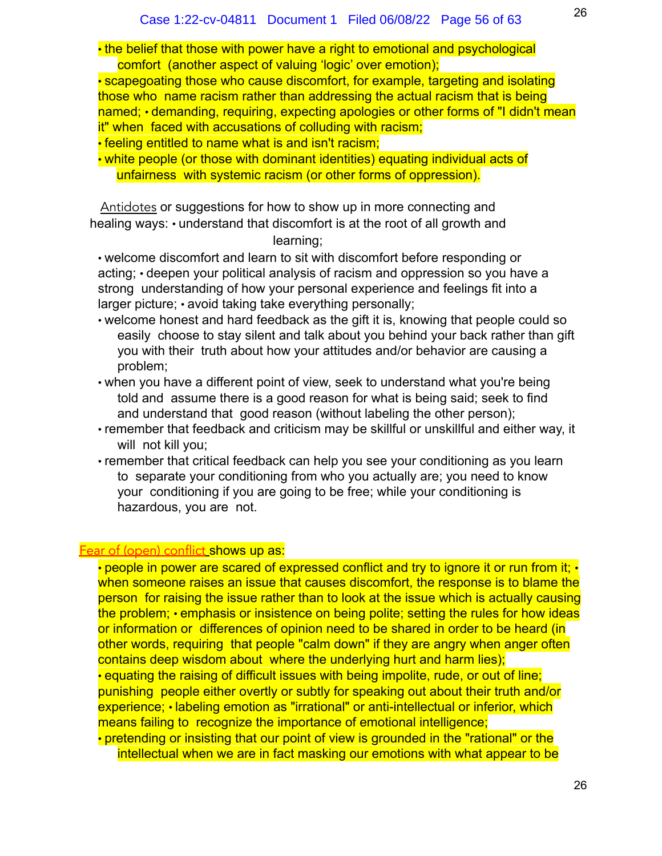• the belief that those with power have a right to emotional and psychological comfort (another aspect of valuing 'logic' over emotion);

• scapegoating those who cause discomfort, for example, targeting and isolating those who name racism rather than addressing the actual racism that is being named; • demanding, requiring, expecting apologies or other forms of "I didn't mean it" when faced with accusations of colluding with racism;

• feeling entitled to name what is and isn't racism;

• white people (or those with dominant identities) equating individual acts of unfairness with systemic racism (or other forms of oppression).

Antidotes or suggestions for how to show up in more connecting and healing ways: • understand that discomfort is at the root of all growth and learning;

• welcome discomfort and learn to sit with discomfort before responding or acting; • deepen your political analysis of racism and oppression so you have a strong understanding of how your personal experience and feelings fit into a larger picture; • avoid taking take everything personally;

- welcome honest and hard feedback as the gift it is, knowing that people could so easily choose to stay silent and talk about you behind your back rather than gift you with their truth about how your attitudes and/or behavior are causing a problem;
- when you have a different point of view, seek to understand what you're being told and assume there is a good reason for what is being said; seek to find and understand that good reason (without labeling the other person);
- remember that feedback and criticism may be skillful or unskillful and either way, it will not kill you;
- remember that critical feedback can help you see your conditioning as you learn to separate your conditioning from who you actually are; you need to know your conditioning if you are going to be free; while your conditioning is hazardous, you are not.

# Fear of (open) conflict shows up as:

• people in power are scared of expressed conflict and try to ignore it or run from it; • when someone raises an issue that causes discomfort, the response is to blame the person for raising the issue rather than to look at the issue which is actually causing the problem; • emphasis or insistence on being polite; setting the rules for how ideas or information or differences of opinion need to be shared in order to be heard (in other words, requiring that people "calm down" if they are angry when anger often contains deep wisdom about where the underlying hurt and harm lies); • equating the raising of difficult issues with being impolite, rude, or out of line; punishing people either overtly or subtly for speaking out about their truth and/or experience; • labeling emotion as "irrational" or anti-intellectual or inferior, which means failing to recognize the importance of emotional intelligence; • pretending or insisting that our point of view is grounded in the "rational" or the intellectual when we are in fact masking our emotions with what appear to be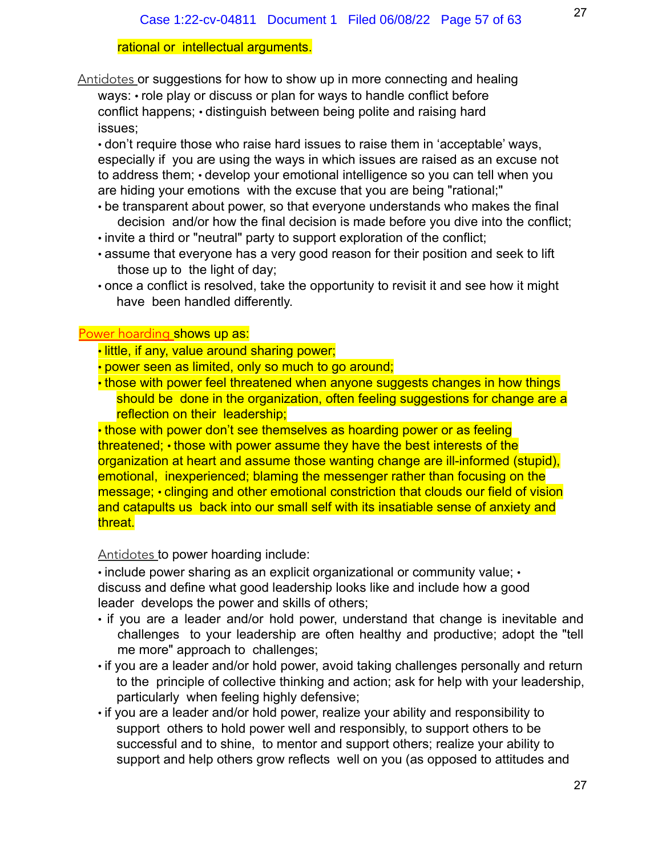#### rational or intellectual arguments.

Antidotes or suggestions for how to show up in more connecting and healing ways: • role play or discuss or plan for ways to handle conflict before conflict happens; • distinguish between being polite and raising hard issues;

• don't require those who raise hard issues to raise them in 'acceptable' ways, especially if you are using the ways in which issues are raised as an excuse not to address them; • develop your emotional intelligence so you can tell when you are hiding your emotions with the excuse that you are being "rational;"

- be transparent about power, so that everyone understands who makes the final decision and/or how the final decision is made before you dive into the conflict;
- invite a third or "neutral" party to support exploration of the conflict;
- assume that everyone has a very good reason for their position and seek to lift those up to the light of day;
- once a conflict is resolved, take the opportunity to revisit it and see how it might have been handled differently.

#### Power hoarding shows up as:

- little, if any, value around sharing power;
- power seen as limited, only so much to go around;
- those with power feel threatened when anyone suggests changes in how things should be done in the organization, often feeling suggestions for change are a reflection on their leadership;

• those with power don't see themselves as hoarding power or as feeling threatened; • those with power assume they have the best interests of the organization at heart and assume those wanting change are ill-informed (stupid), emotional, inexperienced; blaming the messenger rather than focusing on the message; • clinging and other emotional constriction that clouds our field of vision and catapults us back into our small self with its insatiable sense of anxiety and threat.

Antidotes to power hoarding include:

• include power sharing as an explicit organizational or community value; • discuss and define what good leadership looks like and include how a good leader develops the power and skills of others;

- if you are a leader and/or hold power, understand that change is inevitable and challenges to your leadership are often healthy and productive; adopt the "tell me more" approach to challenges;
- if you are a leader and/or hold power, avoid taking challenges personally and return to the principle of collective thinking and action; ask for help with your leadership, particularly when feeling highly defensive;
- if you are a leader and/or hold power, realize your ability and responsibility to support others to hold power well and responsibly, to support others to be successful and to shine, to mentor and support others; realize your ability to support and help others grow reflects well on you (as opposed to attitudes and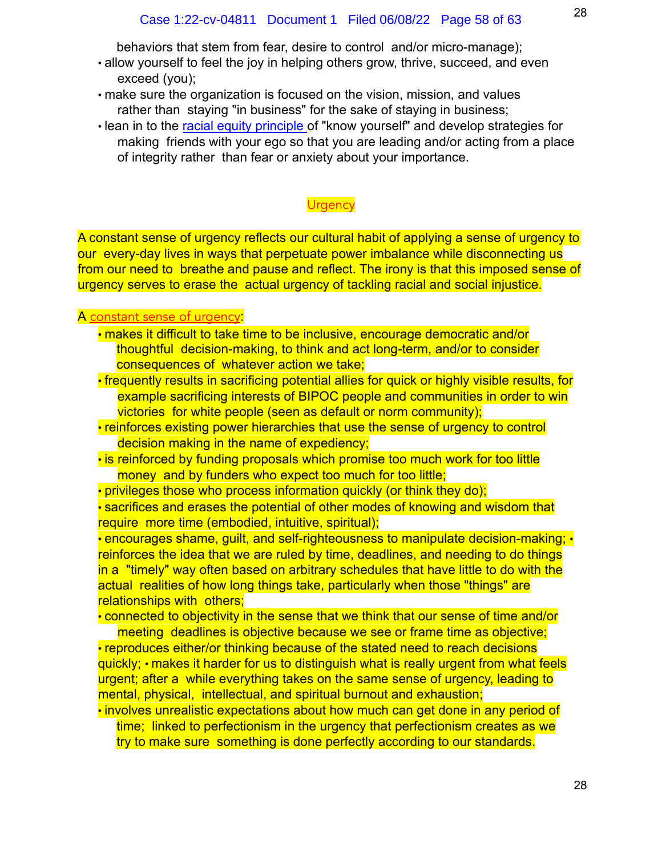behaviors that stem from fear, desire to control and/or micro-manage);

- allow yourself to feel the joy in helping others grow, thrive, succeed, and even exceed (you);
- make sure the organization is focused on the vision, mission, and values rather than staying "in business" for the sake of staying in business;
- lean in to the racial equity principle of "know yourself" and develop strategies for making friends with your ego so that you are leading and/or acting from a place of integrity rather than fear or anxiety about your importance.

# **Urgency**

A constant sense of urgency reflects our cultural habit of applying a sense of urgency to our every-day lives in ways that perpetuate power imbalance while disconnecting us from our need to breathe and pause and reflect. The irony is that this imposed sense of urgency serves to erase the actual urgency of tackling racial and social injustice.

#### A constant sense of urgency:

- makes it difficult to take time to be inclusive, encourage democratic and/or thoughtful decision-making, to think and act long-term, and/or to consider consequences of whatever action we take;
- frequently results in sacrificing potential allies for quick or highly visible results, for example sacrificing interests of BIPOC people and communities in order to win victories for white people (seen as default or norm community);

• reinforces existing power hierarchies that use the sense of urgency to control decision making in the name of expediency;

- is reinforced by funding proposals which promise too much work for too little money and by funders who expect too much for too little;
- privileges those who process information quickly (or think they do);

• sacrifices and erases the potential of other modes of knowing and wisdom that require more time (embodied, intuitive, spiritual);

• encourages shame, guilt, and self-righteousness to manipulate decision-making; • reinforces the idea that we are ruled by time, deadlines, and needing to do things in a "timely" way often based on arbitrary schedules that have little to do with the actual realities of how long things take, particularly when those "things" are relationships with others;

• connected to objectivity in the sense that we think that our sense of time and/or

meeting deadlines is objective because we see or frame time as objective; • reproduces either/or thinking because of the stated need to reach decisions quickly; • makes it harder for us to distinguish what is really urgent from what feels urgent; after a while everything takes on the same sense of urgency, leading to mental, physical, intellectual, and spiritual burnout and exhaustion;

• involves unrealistic expectations about how much can get done in any period of time; linked to perfectionism in the urgency that perfectionism creates as we try to make sure something is done perfectly according to our standards.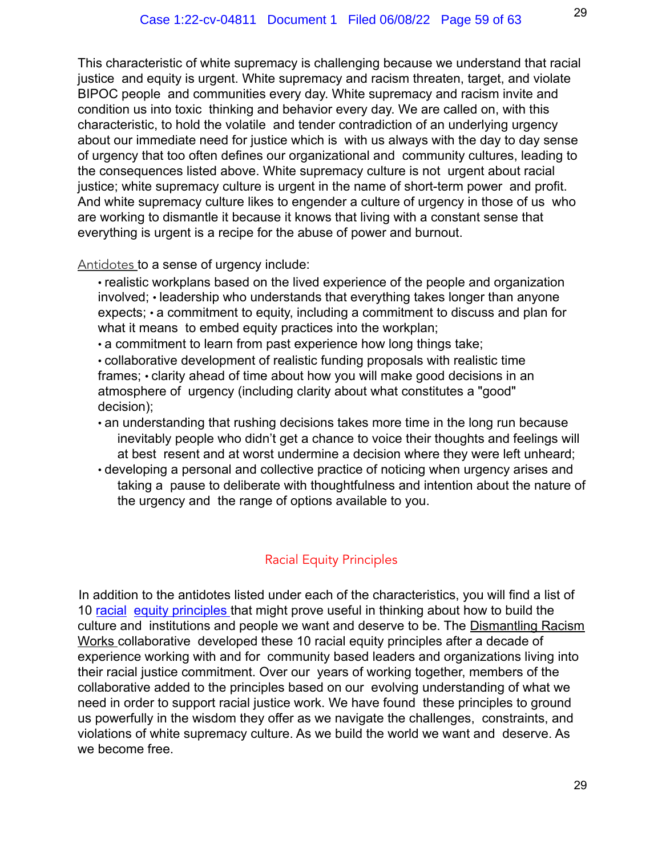This characteristic of white supremacy is challenging because we understand that racial justice and equity is urgent. White supremacy and racism threaten, target, and violate BIPOC people and communities every day. White supremacy and racism invite and condition us into toxic thinking and behavior every day. We are called on, with this characteristic, to hold the volatile and tender contradiction of an underlying urgency about our immediate need for justice which is with us always with the day to day sense of urgency that too often defines our organizational and community cultures, leading to the consequences listed above. White supremacy culture is not urgent about racial justice; white supremacy culture is urgent in the name of short-term power and profit. And white supremacy culture likes to engender a culture of urgency in those of us who are working to dismantle it because it knows that living with a constant sense that everything is urgent is a recipe for the abuse of power and burnout.

Antidotes to a sense of urgency include:

• realistic workplans based on the lived experience of the people and organization involved; • leadership who understands that everything takes longer than anyone expects; • a commitment to equity, including a commitment to discuss and plan for what it means to embed equity practices into the workplan;

• a commitment to learn from past experience how long things take;

• collaborative development of realistic funding proposals with realistic time frames; • clarity ahead of time about how you will make good decisions in an atmosphere of urgency (including clarity about what constitutes a "good" decision);

- an understanding that rushing decisions takes more time in the long run because inevitably people who didn't get a chance to voice their thoughts and feelings will at best resent and at worst undermine a decision where they were left unheard;
- developing a personal and collective practice of noticing when urgency arises and taking a pause to deliberate with thoughtfulness and intention about the nature of the urgency and the range of options available to you.

# Racial Equity Principles

In addition to the antidotes listed under each of the characteristics, you will find a list of 10 racial equity principles that might prove useful in thinking about how to build the culture and institutions and people we want and deserve to be. The Dismantling Racism Works collaborative developed these 10 racial equity principles after a decade of experience working with and for community based leaders and organizations living into their racial justice commitment. Over our years of working together, members of the collaborative added to the principles based on our evolving understanding of what we need in order to support racial justice work. We have found these principles to ground us powerfully in the wisdom they offer as we navigate the challenges, constraints, and violations of white supremacy culture. As we build the world we want and deserve. As we become free.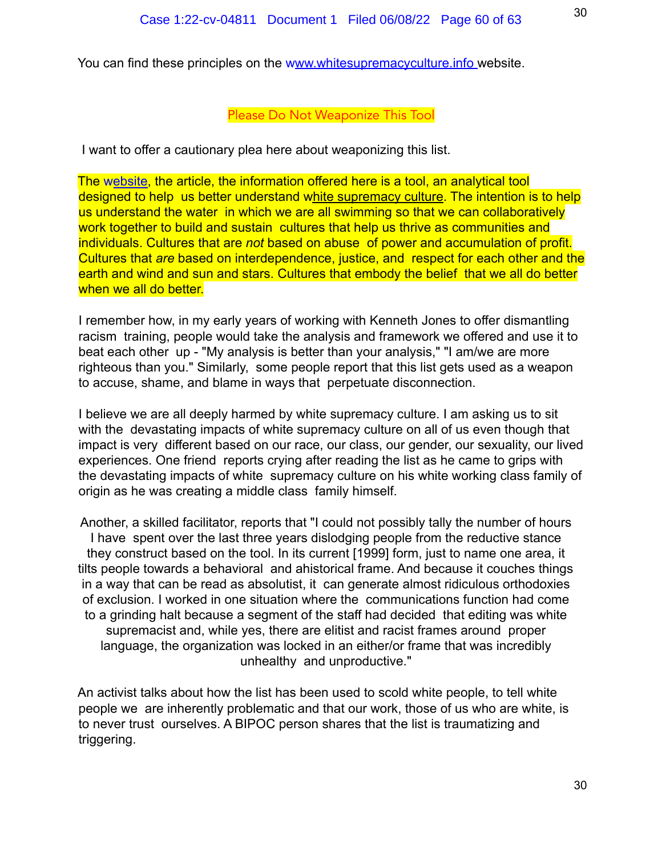You can find these principles on the www.whitesupremacyculture.info website.

#### Please Do Not Weaponize This Tool

I want to offer a cautionary plea here about weaponizing this list.

The website, the article, the information offered here is a tool, an analytical tool designed to help us better understand white supremacy culture. The intention is to help us understand the water in which we are all swimming so that we can collaboratively work together to build and sustain cultures that help us thrive as communities and individuals. Cultures that are *not* based on abuse of power and accumulation of profit. Cultures that *are* based on interdependence, justice, and respect for each other and the earth and wind and sun and stars. Cultures that embody the belief that we all do better when we all do better.

I remember how, in my early years of working with Kenneth Jones to offer dismantling racism training, people would take the analysis and framework we offered and use it to beat each other up - "My analysis is better than your analysis," "I am/we are more righteous than you." Similarly, some people report that this list gets used as a weapon to accuse, shame, and blame in ways that perpetuate disconnection.

I believe we are all deeply harmed by white supremacy culture. I am asking us to sit with the devastating impacts of white supremacy culture on all of us even though that impact is very different based on our race, our class, our gender, our sexuality, our lived experiences. One friend reports crying after reading the list as he came to grips with the devastating impacts of white supremacy culture on his white working class family of origin as he was creating a middle class family himself.

Another, a skilled facilitator, reports that "I could not possibly tally the number of hours I have spent over the last three years dislodging people from the reductive stance they construct based on the tool. In its current [1999] form, just to name one area, it tilts people towards a behavioral and ahistorical frame. And because it couches things in a way that can be read as absolutist, it can generate almost ridiculous orthodoxies of exclusion. I worked in one situation where the communications function had come to a grinding halt because a segment of the staff had decided that editing was white supremacist and, while yes, there are elitist and racist frames around proper language, the organization was locked in an either/or frame that was incredibly unhealthy and unproductive."

An activist talks about how the list has been used to scold white people, to tell white people we are inherently problematic and that our work, those of us who are white, is to never trust ourselves. A BIPOC person shares that the list is traumatizing and triggering.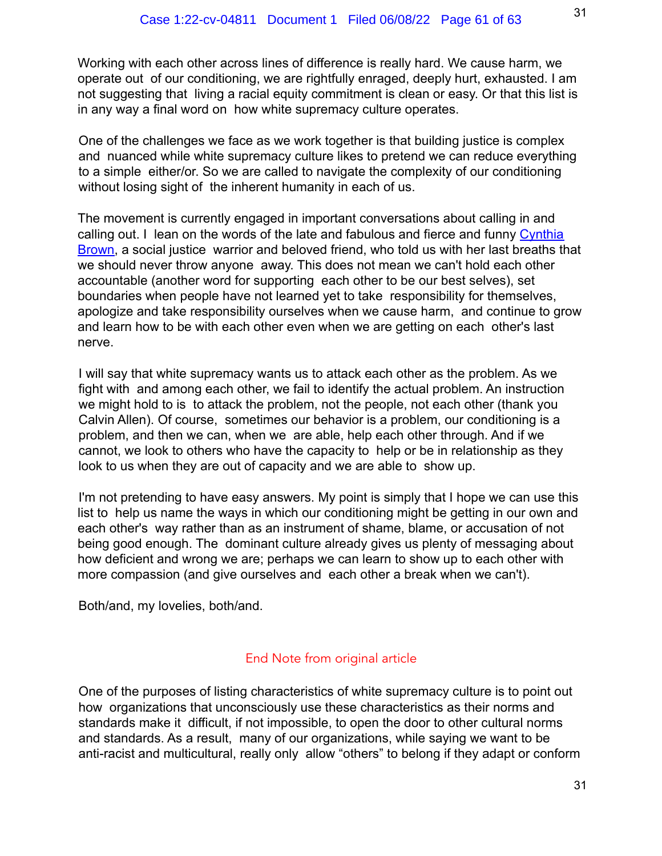Working with each other across lines of difference is really hard. We cause harm, we operate out of our conditioning, we are rightfully enraged, deeply hurt, exhausted. I am not suggesting that living a racial equity commitment is clean or easy. Or that this list is in any way a final word on how white supremacy culture operates.

One of the challenges we face as we work together is that building justice is complex and nuanced while white supremacy culture likes to pretend we can reduce everything to a simple either/or. So we are called to navigate the complexity of our conditioning without losing sight of the inherent humanity in each of us.

The movement is currently engaged in important conversations about calling in and calling out. I lean on the words of the late and fabulous and fierce and funny Cynthia Brown, a social justice warrior and beloved friend, who told us with her last breaths that we should never throw anyone away. This does not mean we can't hold each other accountable (another word for supporting each other to be our best selves), set boundaries when people have not learned yet to take responsibility for themselves, apologize and take responsibility ourselves when we cause harm, and continue to grow and learn how to be with each other even when we are getting on each other's last nerve.

I will say that white supremacy wants us to attack each other as the problem. As we fight with and among each other, we fail to identify the actual problem. An instruction we might hold to is to attack the problem, not the people, not each other (thank you Calvin Allen). Of course, sometimes our behavior is a problem, our conditioning is a problem, and then we can, when we are able, help each other through. And if we cannot, we look to others who have the capacity to help or be in relationship as they look to us when they are out of capacity and we are able to show up.

I'm not pretending to have easy answers. My point is simply that I hope we can use this list to help us name the ways in which our conditioning might be getting in our own and each other's way rather than as an instrument of shame, blame, or accusation of not being good enough. The dominant culture already gives us plenty of messaging about how deficient and wrong we are; perhaps we can learn to show up to each other with more compassion (and give ourselves and each other a break when we can't).

Both/and, my lovelies, both/and.

#### End Note from original article

One of the purposes of listing characteristics of white supremacy culture is to point out how organizations that unconsciously use these characteristics as their norms and standards make it difficult, if not impossible, to open the door to other cultural norms and standards. As a result, many of our organizations, while saying we want to be anti-racist and multicultural, really only allow "others" to belong if they adapt or conform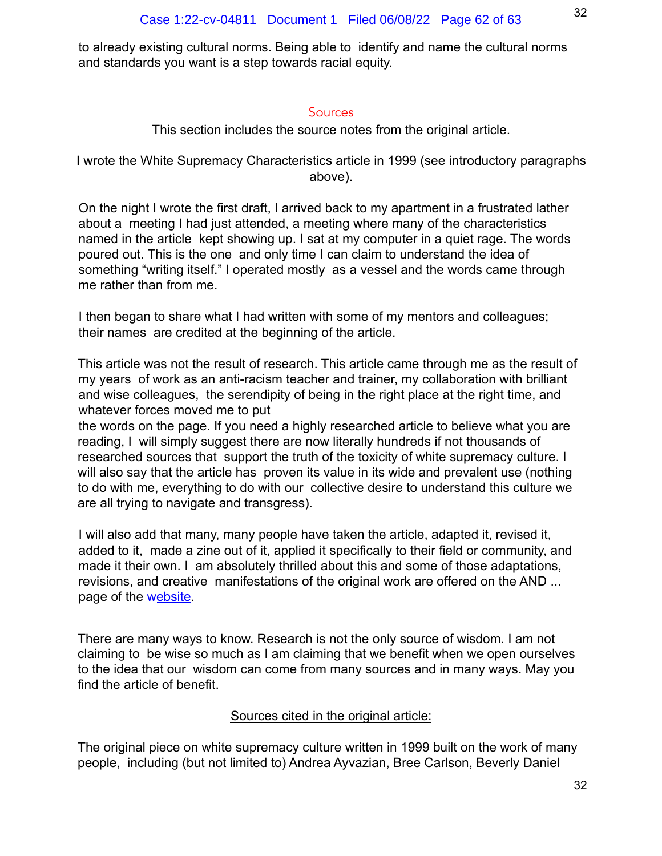to already existing cultural norms. Being able to identify and name the cultural norms and standards you want is a step towards racial equity.

# **Sources**

This section includes the source notes from the original article.

I wrote the White Supremacy Characteristics article in 1999 (see introductory paragraphs above).

On the night I wrote the first draft, I arrived back to my apartment in a frustrated lather about a meeting I had just attended, a meeting where many of the characteristics named in the article kept showing up. I sat at my computer in a quiet rage. The words poured out. This is the one and only time I can claim to understand the idea of something "writing itself." I operated mostly as a vessel and the words came through me rather than from me.

I then began to share what I had written with some of my mentors and colleagues; their names are credited at the beginning of the article.

This article was not the result of research. This article came through me as the result of my years of work as an anti-racism teacher and trainer, my collaboration with brilliant and wise colleagues, the serendipity of being in the right place at the right time, and whatever forces moved me to put

the words on the page. If you need a highly researched article to believe what you are reading, I will simply suggest there are now literally hundreds if not thousands of researched sources that support the truth of the toxicity of white supremacy culture. I will also say that the article has proven its value in its wide and prevalent use (nothing to do with me, everything to do with our collective desire to understand this culture we are all trying to navigate and transgress).

I will also add that many, many people have taken the article, adapted it, revised it, added to it, made a zine out of it, applied it specifically to their field or community, and made it their own. I am absolutely thrilled about this and some of those adaptations, revisions, and creative manifestations of the original work are offered on the AND ... page of the website.

There are many ways to know. Research is not the only source of wisdom. I am not claiming to be wise so much as I am claiming that we benefit when we open ourselves to the idea that our wisdom can come from many sources and in many ways. May you find the article of benefit.

# Sources cited in the original article:

The original piece on white supremacy culture written in 1999 built on the work of many people, including (but not limited to) Andrea Ayvazian, Bree Carlson, Beverly Daniel

32